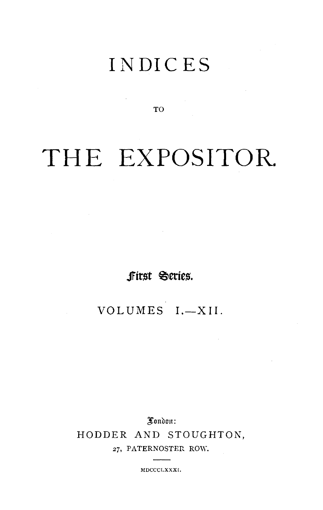# INDICES

**TO** 

# THE EXPOSITOR.

first Series.

VOLUMES  $I - XII$ .

Xondon: HODDER AND STOUGHTON, 27, PATERNOSTER ROW.

MDCCCLXXXI.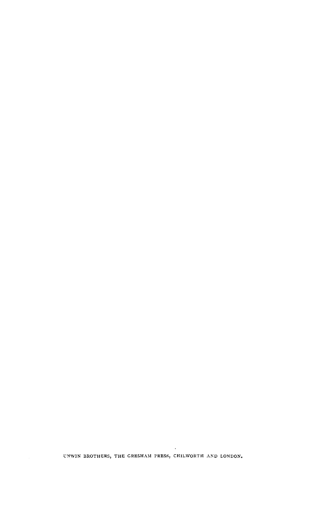UNWIN BROTHERS, THE GRESHAM PRESS, CHILWORTH AND LONDON.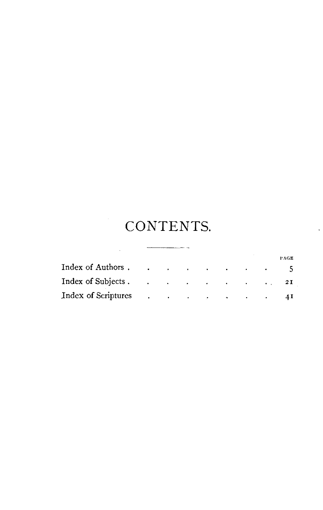# CONTENTS.

|                     |                                                |  |  |             | PACE |
|---------------------|------------------------------------------------|--|--|-------------|------|
| Index of Authors    |                                                |  |  |             |      |
| Index of Subjects.  |                                                |  |  | $\cdots$ 21 |      |
| Index of Scriptures | and the state of the state of the state of the |  |  |             |      |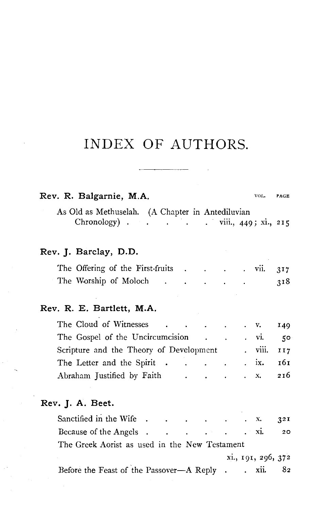|  |  | Rev. R. Balgarnie, M.A. |  |  | VOL. PAGE |
|--|--|-------------------------|--|--|-----------|
|--|--|-------------------------|--|--|-----------|

As Old as Methuselah. (A Chapter in Antediluvian Chronology) . . . . . viii., 449; xi., 215

|  | Rev. J. Barclay, D.D. |  |
|--|-----------------------|--|
|--|-----------------------|--|

| The Offering of the First-fruits |  |  | the contract of the contract of the |  | $\overline{v}$ vii. 317 |     |
|----------------------------------|--|--|-------------------------------------|--|-------------------------|-----|
| The Worship of Moloch            |  |  |                                     |  |                         | 318 |

#### **Rev. R. E. Bartlett, M.A.**

| The Cloud of Witnesses 149              |                                                                                                                                                                                                                                                                                                                                              |  |                   |              |
|-----------------------------------------|----------------------------------------------------------------------------------------------------------------------------------------------------------------------------------------------------------------------------------------------------------------------------------------------------------------------------------------------|--|-------------------|--------------|
| The Gospel of the Uncircumcision vi.    |                                                                                                                                                                                                                                                                                                                                              |  |                   | $50^{\circ}$ |
| Scripture and the Theory of Development |                                                                                                                                                                                                                                                                                                                                              |  | . viii. 117       |              |
| The Letter and the Spirit               |                                                                                                                                                                                                                                                                                                                                              |  | $\cdot$ ix. $161$ |              |
| Abraham Justified by Faith              | $\cdots$ $\cdots$ $\cdots$ $\cdots$ $\cdots$ $\cdots$ $\cdots$ $\cdots$ $\cdots$ $\cdots$ $\cdots$ $\cdots$ $\cdots$ $\cdots$ $\cdots$ $\cdots$ $\cdots$ $\cdots$ $\cdots$ $\cdots$ $\cdots$ $\cdots$ $\cdots$ $\cdots$ $\cdots$ $\cdots$ $\cdots$ $\cdots$ $\cdots$ $\cdots$ $\cdots$ $\cdots$ $\cdots$ $\cdots$ $\cdots$ $\cdots$ $\cdots$ |  |                   |              |

#### **Rev. J. A. Beet.**

| Because of the Angels 20                           |  |                    |  |
|----------------------------------------------------|--|--------------------|--|
| The Greek Aorist as used in the New Testament      |  |                    |  |
|                                                    |  | xi., 191, 296, 372 |  |
| Before the Feast of the Passover-A Reply . xii. 82 |  |                    |  |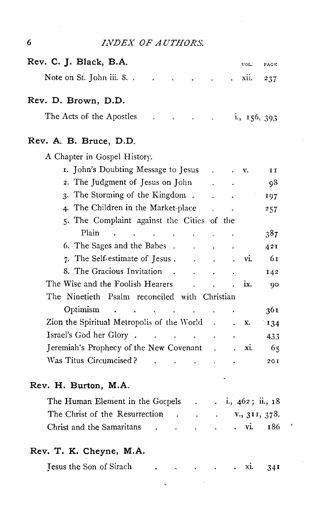| 6 |  | <i>INDEX OF AUTHORS.</i> |
|---|--|--------------------------|
|   |  |                          |

| Rev. C. J. Black, B.A.                | VOL.<br>PAGE                     |
|---------------------------------------|----------------------------------|
|                                       | 237                              |
| Rev. D. Brown, D.D.                   |                                  |
|                                       |                                  |
| Rev. A. B. Bruce, D.D.                |                                  |
| A Chapter in Gospel History.          |                                  |
| 1. John's Doubting Message to Jesus   | II<br>$\cdots$ $\cdots$ $\cdots$ |
| 2. The Judgment of Jesus on John.     | 98                               |
| 3. The Storming of the Kingdom.       | 197                              |
| . The Children in the Mericate place. |                                  |

| 1. John's Doubting Message to Jesus                 |                          |                           | v.  | II  |
|-----------------------------------------------------|--------------------------|---------------------------|-----|-----|
| 2. The Judgment of Jesus on John                    |                          | $\mathbf{L} = \mathbf{L}$ |     | 98  |
| 3. The Storming of the Kingdom.                     |                          |                           |     | 197 |
| 4. The Children in the Market-place                 |                          | $\sim 10^{-11}$           |     | 257 |
| 5. The Complaint against the Cities of the          |                          |                           |     |     |
| Plain                                               |                          |                           |     | 387 |
| 6. The Sages and the Babes.                         |                          |                           |     | 421 |
| 7. The Self-estimate of Jesus.<br>$\sim$ 100 $\sim$ |                          |                           | Vl. | 61  |
| 8. The Gracious Invitation.                         |                          |                           |     | 142 |
| The Wise and the Foolish Hearers                    |                          |                           | ix. | 90  |
| The Ninetieth Psalm reconciled with Christian       |                          |                           |     |     |
| Optimism                                            |                          |                           |     | 361 |
| Zion the Spiritual Metropolis of the World          | <b>Contract Contract</b> |                           | x.  | 134 |
|                                                     |                          |                           |     | 433 |
| Jeremiah's Prophecy of the New Covenant.            |                          |                           | X1. | 65  |
| Was Titus Circumcised?                              |                          |                           |     | 201 |
|                                                     |                          |                           |     |     |

#### **Rev. H. Burton, M.A.**

| The Human Element in the Gospels             |  |  |  | $\ldots$ i., 462; ii., 18 |
|----------------------------------------------|--|--|--|---------------------------|
| The Christ of the Resurrection v., 311, 378. |  |  |  |                           |
| Christ and the Samaritans                    |  |  |  | . vi. 186                 |

 $\sim 10$ 

### **Rev. T. K. Cheyne, M.A.**

| Jesus the Son of Sirach |  |  | . XI. | 34I |
|-------------------------|--|--|-------|-----|
|                         |  |  |       |     |

 $\bar{\mathbf{v}}$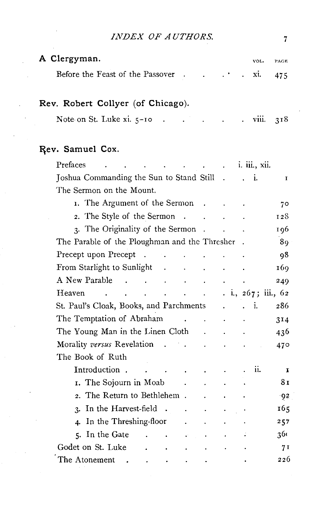| INDEX OF AUTHORS.                                                                         |  |      | 7           |
|-------------------------------------------------------------------------------------------|--|------|-------------|
| A Clergyman.                                                                              |  | VOL. | PAGE<br>475 |
| Rev. Robert Collyer (of Chicago).<br>Note on St. Luke $xi$ , $5-10$ viii.                 |  |      | 318         |
| Rev. Samuel Cox.<br>Prefaces i. iii., xii.<br>Joshua Commanding the Sun to Stand Still i. |  |      | $\mathbf I$ |

| The Sermon on the Mount.                                                                                                                                            |                                             |     |                 |
|---------------------------------------------------------------------------------------------------------------------------------------------------------------------|---------------------------------------------|-----|-----------------|
| 1. The Argument of the Sermon<br>$\sim$                                                                                                                             |                                             |     | 70              |
| 2. The Style of the Sermon.                                                                                                                                         |                                             |     | 128             |
| 3. The Originality of the Sermon<br>$\overline{\phantom{a}}$                                                                                                        |                                             |     | 196             |
| The Parable of the Ploughman and the Thresher .                                                                                                                     |                                             |     | 89              |
| Precept upon Precept<br>$\sim 10^{-10}$<br>-14                                                                                                                      |                                             |     | 98              |
| From Starlight to Sunlight<br>$\sim 100$ km s $^{-1}$<br>$\ddot{\phantom{0}}$                                                                                       | $\ddot{\phantom{0}}$                        |     | 169             |
| A New Parable<br>$\mathcal{L}^{\mathcal{L}}$<br>$\sim$<br>$\sim$ $\sim$<br>$\ddot{\phantom{0}}$                                                                     |                                             |     | 249             |
| $\ldots$ $\ldots$ $\ldots$ $\ldots$ $\ldots$ $\ldots$ $\ldots$ $\ldots$ $\ldots$ $\ldots$ $\ldots$ $\ldots$<br>Heaven<br>$\sim 100$<br>and the contract of the con- |                                             |     |                 |
| St. Paul's Cloak, Books, and Parchments                                                                                                                             | $\ddot{\phantom{0}}$                        | ÷Ī. | 286             |
| The Temptation of Abraham                                                                                                                                           | $\mathbf{r} = \mathbf{r} \times \mathbf{r}$ |     | 314             |
| The Young Man in the Linen Cloth<br>¥.                                                                                                                              |                                             |     | 436             |
| Morality versus Revelation                                                                                                                                          |                                             |     | 47 <sup>°</sup> |
| The Book of Ruth                                                                                                                                                    |                                             |     |                 |
| Introduction.<br>$\bullet$                                                                                                                                          |                                             | 11. | I               |
| 1. The Sojourn in Moab                                                                                                                                              |                                             |     | 81              |
| 2. The Return to Bethlehem.                                                                                                                                         |                                             |     | $-92$           |
| In the Harvest-field.<br>$\mathbf{R}$<br>$\mathbf{r}$<br>$\ddot{\phantom{0}}$                                                                                       | $\ddot{\phantom{0}}$                        |     | 165             |
| In the Threshing-floor<br>4.                                                                                                                                        |                                             |     | 257             |
| 5. In the Gate<br>$\mathbf{r} = \mathbf{r} \times \mathbf{r}$ .<br>$\bullet^\circ$                                                                                  |                                             |     | 360             |
| Godet on St. Luke                                                                                                                                                   |                                             |     | 71              |
| The Atonement<br>$\bullet$                                                                                                                                          |                                             |     | 226             |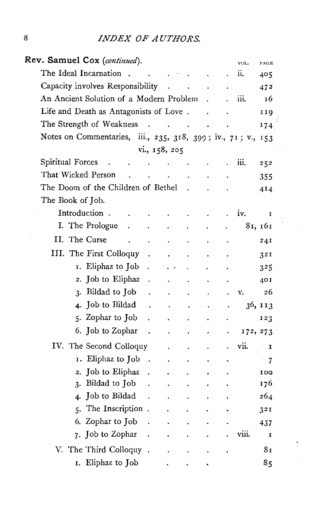| Rev. Samuel Cox (continued).                                                               | VOL.     | PAGE    |
|--------------------------------------------------------------------------------------------|----------|---------|
| The Ideal Incarnation                                                                      | ii.      | 405     |
| Capacity involves Responsibility                                                           |          | 472     |
| An Ancient Solution of a Modern Problem                                                    | iii.     | 16      |
| Life and Death as Antagonists of Love.                                                     |          | 119     |
| The Strength of Weakness<br>$\ddot{\phantom{0}}$<br>$\mathbf{z} = \mathbf{z} - \mathbf{z}$ |          | 174     |
| Notes on Commentaries, iii., 235, 318, 399; iv., 71; v., 153                               |          |         |
| vi., 158, 205                                                                              |          |         |
| Spiritual Forces                                                                           | iii.     | 252     |
| That Wicked Person                                                                         |          | 355     |
| The Doom of the Children of Bethel                                                         |          | 414     |
| The Book of Job.                                                                           |          |         |
| Introduction.                                                                              | iv.      | I       |
| I. The Prologue                                                                            |          | 81, 161 |
| II. The Curse                                                                              |          | 24I     |
| III. The First Colloquy                                                                    |          | 321     |
| 1. Eliphaz to Job<br>$\ddot{\phantom{0}}$                                                  |          | 325     |
| 2. Job to Eliphaz                                                                          |          | 401     |
| 3. Bildad to Job                                                                           | v.       | 26      |
| 4. Job to Bildad                                                                           |          | 36, 113 |
| 5. Zophar to Job                                                                           |          | 123     |
| 6. Job to Zophar                                                                           | 172, 273 |         |
| IV. The Second Colloquy                                                                    | vii.     | I       |
| Eliphaz to Job<br>I.<br>$\ddot{\phantom{1}}$                                               |          | 7.      |
| Job to Eliphaz<br>$\overline{2}$ .                                                         |          | 100     |
| Bildad to Job<br>3.                                                                        |          | 176     |
| Job to Bildad<br>4.                                                                        |          | 264     |
| 5. The Inscription.                                                                        |          | 321     |
| Zophar to Job<br>6.                                                                        |          | 437     |
| 7. Job to Zophar                                                                           | viii.    | I       |
| V. The Third Colloquy                                                                      |          | 81      |
| I. Eliphaz to Job                                                                          |          | 85      |

 $\sim$ 

.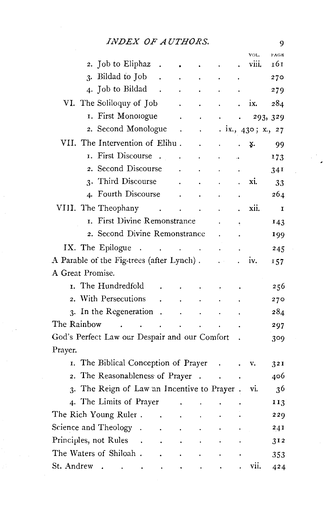|                                               |        | VOL.           | PAGE |
|-----------------------------------------------|--------|----------------|------|
| 2. Job to Eliphaz                             |        | viii.          | 161  |
| Bildad to Job<br>3.                           |        |                | 270  |
| 4. Job to Bildad                              |        |                | 279  |
| VI. The Soliloquy of Job                      |        | ix.            | 284  |
| I. First Monologue                            |        | 293, 329       |      |
| 2. Second Monologue                           |        | ix, 430; x, 27 |      |
| VII. The Intervention of Elihu.               |        | x.             | 99   |
| First Discourse<br>T.                         |        |                | 173  |
| 2. Second Discourse                           |        |                | 341  |
| Third Discourse<br>$\overline{3}$             |        | xi.            | 33   |
| 4. Fourth Discourse                           |        |                | 264  |
| VIII. The Theophany                           |        | xii.           | I    |
| I. First Divine Remonstrance                  |        |                | 143  |
| 2. Second Divine Remonstrance                 |        |                | 199  |
| IX. The Epilogue<br>$\sim$                    |        |                | 245  |
| A Parable of the Fig-trees (after Lynch).     |        | iv.            | 157  |
| A Great Promise.                              |        |                |      |
| 1. The Hundredfold                            |        |                | 256  |
| 2. With Persecutions                          |        |                | 270  |
| 3. In the Regeneration                        |        |                | 284  |
| The Rainbow                                   |        |                | 297  |
| God's Perfect Law our Despair and our Comfort |        |                | 309  |
| Prayer.                                       |        |                |      |
| I. The Biblical Conception of Prayer          |        | v.             | 321  |
| 2. The Reasonableness of Prayer               | $\sim$ |                | 406  |
| 3. The Reign of Law an Incentive to Prayer.   |        | vi.            | 36   |
| 4. The Limits of Prayer                       |        |                | 113  |
| The Rich Young Ruler.                         |        |                | 229  |
| Science and Theology                          |        |                | 241  |
| Principles, not Rules                         |        |                | 312  |
| The Waters of Shiloah.                        |        |                | 353  |
| St. Andrew                                    |        | vii.           | 424  |

 $\overline{9}$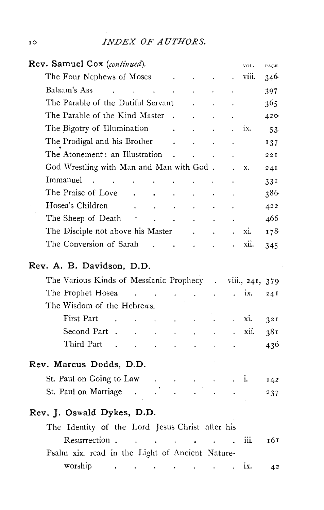| Rev. Samuel Cox (continued).                                                                                                                                                                                                                         |                                                                                                                                                                  |                      |                      |                      |                                      | VOL.  | PAGE            |
|------------------------------------------------------------------------------------------------------------------------------------------------------------------------------------------------------------------------------------------------------|------------------------------------------------------------------------------------------------------------------------------------------------------------------|----------------------|----------------------|----------------------|--------------------------------------|-------|-----------------|
| The Four Nephews of Moses                                                                                                                                                                                                                            | $\sim 100$ km s $^{-1}$                                                                                                                                          |                      | $\sim 100$           | $\ddot{\phantom{0}}$ |                                      | viii. | 346             |
| Balaam's Ass<br>$\ddot{\phantom{0}}$<br>$\overline{a}$                                                                                                                                                                                               | <b>Contract Contract</b>                                                                                                                                         |                      |                      |                      |                                      |       | 397             |
| The Parable of the Dutiful Servant                                                                                                                                                                                                                   |                                                                                                                                                                  |                      | $\ddot{\phantom{a}}$ |                      |                                      |       | 365             |
| The Parable of the Kind Master                                                                                                                                                                                                                       |                                                                                                                                                                  | $\sim$ $\sim$        |                      |                      |                                      |       | 420             |
| The Bigotry of Illumination                                                                                                                                                                                                                          |                                                                                                                                                                  | <b>Contractor</b>    |                      | $\sim$ $\sim$        | $\mathbf{I} = \mathbf{I} \mathbf{X}$ |       | 53              |
| The Prodigal and his Brother                                                                                                                                                                                                                         |                                                                                                                                                                  | $\sim$ $\sim$        |                      |                      | $\ddot{\phantom{0}}$                 |       | 137             |
| The Atonement: an Illustration                                                                                                                                                                                                                       |                                                                                                                                                                  | $\sim$               | $\ddot{\phantom{a}}$ |                      |                                      |       | 221             |
| God Wrestling with Man and Man with God.                                                                                                                                                                                                             |                                                                                                                                                                  |                      |                      |                      |                                      | x.    | 24I             |
| Immanuel<br><b>Carl Corporation</b><br>$\mathbf{r}$                                                                                                                                                                                                  |                                                                                                                                                                  |                      |                      |                      |                                      |       | 331             |
| The Praise of Love<br>$\ddot{\phantom{0}}$                                                                                                                                                                                                           |                                                                                                                                                                  |                      |                      |                      |                                      |       | 386             |
| Hosea's Children<br>$\sim$ $\sim$                                                                                                                                                                                                                    |                                                                                                                                                                  |                      | $\ddot{\phantom{a}}$ |                      |                                      |       | 422             |
| The Sheep of Death<br><b>Contract</b>                                                                                                                                                                                                                |                                                                                                                                                                  | $\sim$               | $\ddot{\phantom{0}}$ |                      |                                      |       | 466             |
| The Disciple not above his Master .                                                                                                                                                                                                                  |                                                                                                                                                                  |                      |                      |                      |                                      | xi.   | 178             |
| The Conversion of Sarah                                                                                                                                                                                                                              | $\mathbb{R}^2$                                                                                                                                                   | and a strategic con- |                      |                      |                                      | xii.  | 345             |
| Rev. A. B. Davidson, D.D.<br>The Various Kinds of Messianic Prophecy . viii., 241, 379                                                                                                                                                               |                                                                                                                                                                  |                      |                      |                      |                                      |       |                 |
| The Prophet Hosea<br>$\sim$                                                                                                                                                                                                                          | $\mathcal{L}^{\mathcal{L}}(\mathcal{L}^{\mathcal{L}}(\mathcal{L}^{\mathcal{L}}(\mathcal{L}^{\mathcal{L}}(\mathcal{L}^{\mathcal{L}}(\mathcal{L}^{\mathcal{L}})))$ |                      |                      |                      |                                      | ix.   | 24I             |
| The Wisdom of the Hebrews.                                                                                                                                                                                                                           |                                                                                                                                                                  |                      |                      |                      |                                      |       |                 |
| First Part                                                                                                                                                                                                                                           |                                                                                                                                                                  | $\mathbf{L}^{(1)}$   | $\blacksquare$       |                      | $\blacksquare$                       | xi.   | 321             |
| Second Part .                                                                                                                                                                                                                                        |                                                                                                                                                                  |                      |                      |                      |                                      | xii.  | 38 <sub>I</sub> |
| Third Part                                                                                                                                                                                                                                           |                                                                                                                                                                  |                      |                      |                      |                                      |       | 436             |
| Rev. Marcus Dodds, D.D.                                                                                                                                                                                                                              |                                                                                                                                                                  |                      |                      |                      |                                      |       |                 |
| St. Paul on Going to Law                                                                                                                                                                                                                             |                                                                                                                                                                  | $\ddot{\phantom{0}}$ |                      | ä,                   |                                      | i.    | 142             |
| St. Paul on Marriage<br>$\overline{\phantom{a}}$                                                                                                                                                                                                     |                                                                                                                                                                  |                      |                      |                      |                                      |       | 237             |
| Rev. J. Oswald Dykes, D.D.                                                                                                                                                                                                                           |                                                                                                                                                                  |                      |                      |                      |                                      |       |                 |
| The Identity of the Lord Jesus Christ after his                                                                                                                                                                                                      |                                                                                                                                                                  |                      |                      |                      |                                      |       |                 |
| Resurrection.<br>$\sim$                                                                                                                                                                                                                              | $\sim 100$ km s $^{-1}$                                                                                                                                          |                      |                      |                      |                                      | iіi.  | 161             |
| Psalm xix. read in the Light of Ancient Nature-                                                                                                                                                                                                      |                                                                                                                                                                  |                      |                      |                      |                                      |       |                 |
| worship<br>$\mathcal{L}^{\mathcal{A}}$ , and the set of the set of the set of the set of the set of the set of the set of the set of the set of the set of the set of the set of the set of the set of the set of the set of the set of the set of t |                                                                                                                                                                  |                      |                      |                      |                                      | ix.   | 42              |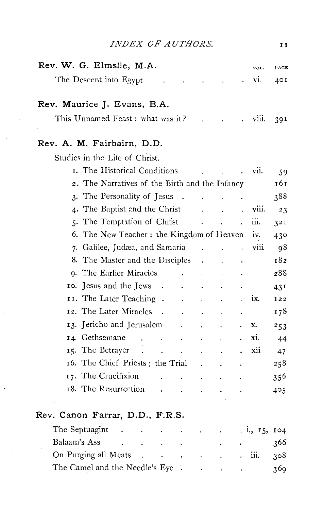| INDEX OF AUTHORS.                                                           |             | II   |
|-----------------------------------------------------------------------------|-------------|------|
| Rev. W. G. Elmslie, M.A.                                                    | VOL.        | PAGE |
| The Descent into Egypt                                                      | vi.         | 40 I |
| Rev. Maurice J. Evans, B.A.                                                 |             |      |
| This Unnamed Feast: what was it?                                            | viii.       | 39I  |
| Rev. A. M. Fairbairn, D.D.                                                  |             |      |
| Studies in the Life of Christ.                                              |             |      |
| I. The Historical Conditions                                                | vii.        | 59   |
| 2. The Narratives of the Birth and the Infancy                              |             | 161  |
| 3. The Personality of Jesus<br>$\ddot{\phantom{a}}$<br>$\ddot{\phantom{a}}$ |             | 388  |
| 4. The Baptist and the Christ                                               | viii.       | 23   |
| 5. The Temptation of Christ                                                 | iii.        | 32I  |
| 6. The New Teacher: the Kingdom of Heaven                                   | iv.         | 430  |
| 7. Galilee, Judæa, and Samaria                                              | viii.       | 98   |
| 8. The Master and the Disciples                                             |             | 182  |
| 9. The Earlier Miracles<br>$\ddot{\phantom{a}}$                             |             | 288  |
| 10. Jesus and the Jews<br>$\blacksquare$ .                                  |             | 43I  |
| II. The Later Teaching.<br>$\ddot{\phantom{0}}$                             | ix.         | 122  |
| 12. The Later Miracles<br>$\overline{\phantom{a}}$                          |             | 178  |
| 13. Jericho and Jerusalem<br>$\cdot$<br>$\ddot{\phantom{0}}$                | x.          | 253  |
| 14. Gethsemane<br>$\sim$<br>$\sim$<br>$\cdot$<br>$\ddot{\phantom{0}}$       | xi.         | 44   |
| 15. The Betrayer                                                            | xii         | 47   |
| 16. The Chief Priests; the Trial                                            |             | 258  |
| 17. The Crucifixion<br>L.                                                   |             | 356  |
| 18. The Resurrection                                                        |             | 405  |
| Rev. Canon Farrar, D.D., F.R.S.                                             |             |      |
| The Septuagint                                                              | 1., 15, 104 |      |
| Balaam's Ass                                                                |             | 366  |

 $\frac{1}{2} \frac{1}{2} \frac{1}{2}$ 

| On Purging all Meats.           |  |  |  | iii. $308$ |     |
|---------------------------------|--|--|--|------------|-----|
| The Camel and the Needle's Eye. |  |  |  |            | 369 |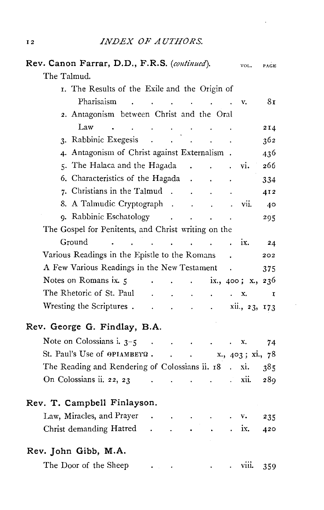$\epsilon$ 

à,

| Rev. Canon Farrar, D.D., F.R.S. (continued). |                                                     |                               |                      |                                                             |                                     |                             |                      | VOL.                   | PAGE         |
|----------------------------------------------|-----------------------------------------------------|-------------------------------|----------------------|-------------------------------------------------------------|-------------------------------------|-----------------------------|----------------------|------------------------|--------------|
| The Talmud.                                  |                                                     |                               |                      |                                                             |                                     |                             |                      |                        |              |
|                                              | I. The Results of the Exile and the Origin of       |                               |                      |                                                             |                                     |                             |                      |                        |              |
|                                              | Pharisaism                                          | $\mathbf{r}$ and $\mathbf{r}$ | $\ddot{\phantom{a}}$ | $\sim 100$                                                  | $\sim$ $\sim$                       | $\sim$ $\sim$               | $\sim 100$           | v.                     | 8τ           |
|                                              | 2. Antagonism between Christ and the Oral           |                               |                      |                                                             |                                     |                             |                      |                        |              |
|                                              | Law                                                 |                               |                      |                                                             |                                     |                             |                      |                        | 2I4          |
|                                              | 3. Rabbinic Exegesis                                |                               | $\sim 10^{-1}$       |                                                             |                                     |                             |                      |                        | 362          |
|                                              | 4. Antagonism of Christ against Externalism.        |                               |                      |                                                             |                                     |                             |                      |                        | 436          |
|                                              | 5. The Halaca and the Hagada .                      |                               |                      |                                                             |                                     | $\ddot{\phantom{a}}$        |                      | vi.                    | 266          |
|                                              | 6. Characteristics of the Hagada .                  |                               |                      |                                                             |                                     |                             |                      |                        | 334          |
|                                              | 7. Christians in the Talmud.                        |                               |                      |                                                             | $\ddot{\phantom{0}}$                |                             |                      |                        | 412          |
|                                              | 8. A Talmudic Cryptograph.                          |                               |                      |                                                             |                                     | $\sim$ $\sim$               |                      | vii.                   | 40           |
|                                              | 9. Rabbinic Eschatology .                           |                               |                      |                                                             | $\ddot{\phantom{a}}$                | $\ddot{\phantom{a}}$        | $\ddot{\phantom{0}}$ |                        | 295          |
|                                              | The Gospel for Penitents, and Christ writing on the |                               |                      |                                                             |                                     |                             |                      |                        |              |
| Ground                                       |                                                     |                               |                      |                                                             | and the contract of the contract of |                             |                      | ix.                    | 24           |
|                                              | Various Readings in the Epistle to the Romans       |                               |                      |                                                             |                                     |                             |                      |                        | 202          |
|                                              | A Few Various Readings in the New Testament         |                               |                      |                                                             |                                     |                             | $\sim$               |                        | 375          |
|                                              | Notes on Romans ix. 5                               |                               |                      | $\ddot{\phantom{0}}$                                        | $\ddot{\phantom{0}}$                |                             |                      | ix., $400$ ; x., $236$ |              |
|                                              | The Rhetoric of St. Paul                            |                               |                      |                                                             |                                     | $\ddot{\phantom{a}}$        | $\mathbf{L}$         | x.                     | $\mathbf{I}$ |
|                                              | Wresting the Scriptures.                            |                               | $\ddot{\phantom{1}}$ | $\ddot{\phantom{0}}$                                        | $\bullet$                           | $\sim$ $\sim$               |                      | xii., 23, 173          |              |
| Rev. George G. Findlay, B.A.                 |                                                     |                               |                      |                                                             |                                     |                             |                      |                        |              |
|                                              | Note on Colossians i. $3-5$                         |                               | $\ddot{\phantom{a}}$ | $\mathcal{A}^{\mathcal{A}}$ and $\mathcal{A}^{\mathcal{A}}$ |                                     | $\sim 10^{11}$ km s $^{-1}$ | $\ddot{\phantom{0}}$ | x.                     | 74           |
|                                              | St. Paul's Use of $\Theta$ PIAMBEYQ.                |                               |                      | $\mathbf{r} = \mathbf{r} \times \mathbf{r}$ .               |                                     |                             |                      | x., 403; xi., 78       |              |
|                                              | The Reading and Rendering of Colossians ii. 18.     |                               |                      |                                                             |                                     |                             |                      | xi.                    | 385          |
|                                              | On Colossians ii. 22, 23                            |                               |                      |                                                             | $\mathbf{a}$                        |                             |                      | xii.                   | 289          |
| Rev. T. Campbell Finlayson.                  |                                                     |                               |                      |                                                             |                                     |                             |                      |                        |              |
|                                              | Law, Miracles, and Prayer                           |                               | $\sim$               | $\ddot{\phantom{0}}$                                        |                                     |                             |                      | v.                     | 235          |
|                                              | Christ demanding Hatred                             |                               | $\ddot{\phantom{0}}$ |                                                             |                                     |                             |                      | ix.                    | 420          |
| Rev. John Gibb, M.A.                         |                                                     |                               |                      |                                                             |                                     |                             |                      |                        |              |
|                                              | The Door of the Sheep                               |                               |                      |                                                             |                                     |                             |                      | VIII.                  | 359          |
|                                              |                                                     |                               |                      |                                                             |                                     |                             |                      |                        |              |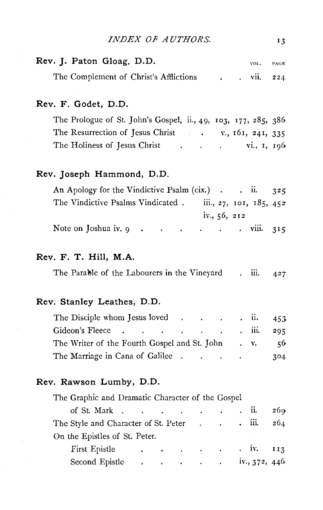|  | <i>INDEX OF AUTHORS.</i> |  |
|--|--------------------------|--|
|--|--------------------------|--|

| Rev. J. Paton Gloag, D.D.              |  | VOL.     | PAGE |
|----------------------------------------|--|----------|------|
| The Complement of Christ's Afflictions |  | VII. 224 |      |

#### **Rev. F. Godet, D.D.**

The Prologue of St. John's Gospel, ii., 49, 103, 177, 285, 386 The Resurrection of Jesus Christ . v., 161, 241, 335 The Holiness of Jesus Christ  $\ldots$   $\ldots$   $\ldots$   $\ldots$   $\ldots$   $\ldots$   $\ldots$   $\ldots$ 

#### **Rev. Joseph Hammond, D.D.**

| An Apology for the Vindictive Psalm (cix.) $\cdot$ ii. 325                                                           |  |                |                         |  |
|----------------------------------------------------------------------------------------------------------------------|--|----------------|-------------------------|--|
| The Vindictive Psalms Vindicated.                                                                                    |  |                | iii., 27, 101, 185, 452 |  |
|                                                                                                                      |  | iv., $56, 212$ |                         |  |
| Note on Joshua iv. $9 \cdot \cdot \cdot \cdot \cdot \cdot \cdot \cdot \cdot \cdot \cdot \cdot \cdot \cdot \cdot 315$ |  |                |                         |  |

#### **Rev. F. T. Hill, M.A.**

| The Parable of the Labourers in the Vinevard |  |  |  | 111. | 427 |
|----------------------------------------------|--|--|--|------|-----|
|                                              |  |  |  |      |     |

#### **Rev. Stanley Leathes, D.D.**

| The Disciple whom Jesus loved $\cdot$ . $\cdot$ ii. 453            |  |     |
|--------------------------------------------------------------------|--|-----|
| Gideon's Fleece iii. 295                                           |  |     |
| The Writer of the Fourth Gospel and St. John $\cdot$ v. $\cdot$ 56 |  |     |
| The Marriage in Cana of Galilee                                    |  | 304 |

#### **Rev. Rawson Lumby, D.D.**

| The Graphic and Dramatic Character of the Gospel                                                                                                                                          |  |  |  |     |
|-------------------------------------------------------------------------------------------------------------------------------------------------------------------------------------------|--|--|--|-----|
| of St. Mark $\cdot$ $\cdot$ $\cdot$ $\cdot$ $\cdot$ $\cdot$ $\cdot$                                                                                                                       |  |  |  | 269 |
| The Style and Character of St. Peter iii.                                                                                                                                                 |  |  |  | 264 |
| On the Epistles of St. Peter.                                                                                                                                                             |  |  |  |     |
| First Epistle iv. 113                                                                                                                                                                     |  |  |  |     |
| Second Epistle $\ldots$ $\ldots$ $\ldots$ $\ldots$ $\ldots$ $\ldots$ $\ldots$ $\ldots$ $\ldots$ $\ldots$ $\ldots$ $\ldots$ $\ldots$ $\ldots$ $\ldots$ $\ldots$ $\ldots$ $\ldots$ $\ldots$ |  |  |  |     |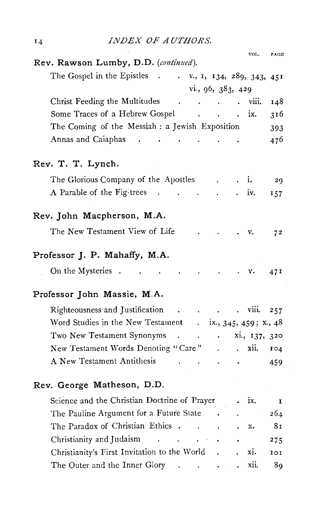| 14 | <i>INDEX OF AUTHORS.</i>                                              |                           |              |               |                |
|----|-----------------------------------------------------------------------|---------------------------|--------------|---------------|----------------|
|    | Rev. Rawson Lumby, D.D. (continued).                                  |                           |              | VOL.          | PAGE           |
|    | The Gospel in the Epistles .<br>$\ldots$ v., 1, 134, 289, 343, 451    |                           |              |               |                |
|    | vi., 96, 383, 429                                                     |                           |              |               |                |
|    | Christ Feeding the Multitudes<br>$\sim 10^{-11}$                      |                           |              | viii.         | 148            |
|    | Some Traces of a Hebrew Gospel<br><b>Contractor</b>                   | $\ddot{\phantom{a}}$      |              | ix.           | 316            |
|    | The Coming of the Messiah : a Jewish Exposition                       |                           |              |               | 393            |
|    | Annas and Caiaphas                                                    |                           |              |               | 476            |
|    | Rev. T. T. Lynch.                                                     |                           |              |               |                |
|    | The Glorious Company of the Apostles                                  |                           |              | i.            | 29             |
|    | A Parable of the Fig-trees.                                           |                           |              | iv.           | 157            |
|    | Rev. John Macpherson, M.A.                                            |                           |              |               |                |
|    | The New Testament View of Life                                        |                           |              | v.            | 7 <sup>2</sup> |
|    | Professor J. P. Mahaffy, M.A.                                         |                           |              |               |                |
|    | On the Mysteries<br>$\ddot{\phantom{a}}$                              |                           |              | ٧.            | 471            |
|    | Professor John Massie, M.A.                                           |                           |              |               |                |
|    | Righteousness and Justification<br>$\sim 100$                         |                           |              | $\cdot$ viii. | 257            |
|    | Word Studies in the New Testament . ix., 345, 459; x., 48             |                           |              |               |                |
|    | Two New Testament Synonyms<br>$\mathbf{r}$<br>$\sim$                  | $\mathbf{a} = \mathbf{a}$ |              | xi., 137, 320 |                |
|    | New Testament Words Denoting "Care"                                   |                           | $\mathbf{r}$ | xii.          | IO4            |
|    | A New Testament Antithesis                                            |                           |              |               | 459            |
|    | Rev. George Matheson, D.D.                                            |                           |              |               |                |
|    | Science and the Christian Doctrine of Prayer                          |                           |              | ix.           | $\mathbf{I}$   |
|    | The Pauline Argument for a Future State                               |                           |              |               | 264            |
|    | The Paradox of Christian Ethics .                                     |                           |              | x.            | 81             |
|    | Christianity and Judaism                                              |                           |              |               | 275            |
|    | Christianity's First Invitation to the World                          |                           |              | xi.           | 101            |
|    | The Outer and the Inner Glory<br>$\mathbf{r}$<br>$\ddot{\phantom{a}}$ | $\ddot{\phantom{0}}$      |              | xii.          | 89             |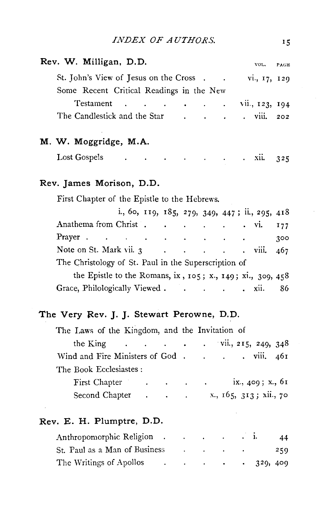| <i>INDEX OF AUTHORS.</i> |  |
|--------------------------|--|
|--------------------------|--|

| Rev. W. Milligan, D.D.                                                |  |  | VOL. PAGE |     |
|-----------------------------------------------------------------------|--|--|-----------|-----|
| St. John's View of Jesus on the Cross vi., 17, 129                    |  |  |           |     |
| Some Recent Critical Readings in the New                              |  |  |           |     |
| Testament vii., $123, 194$                                            |  |  |           |     |
| The Candlestick and the Star viii. 202                                |  |  |           |     |
| M. W. Moggridge, M.A.                                                 |  |  |           |     |
| Lost Gospels xii. 325                                                 |  |  |           |     |
| Rev. James Morison, D.D.                                              |  |  |           |     |
| First Chapter of the Epistle to the Hebrews.                          |  |  |           |     |
| i., 60, 119, 185, 279, 349, 447; ii., 295, 418                        |  |  |           |     |
| Anathema from Christ vi.                                              |  |  |           | 177 |
| Prayer                                                                |  |  |           | 300 |
| Note on St. Mark vii. 3 viii.                                         |  |  |           | 467 |
| The Christology of St. Paul in the Superscription of                  |  |  |           |     |
| the Epistle to the Romans, ix, $105$ ; x., $149$ ; xi., $309$ , $458$ |  |  |           |     |
| Grace, Philologically Viewed xii.                                     |  |  |           | 86  |

### **The Very Rev. J. J. Stewart Perowne, D.D.**

| The Laws of the Kingdom, and the Invitation of |  |  |  |  |  |
|------------------------------------------------|--|--|--|--|--|
| the King vii., 215, 249, 348                   |  |  |  |  |  |
| Wind and Fire Ministers of God viii. 461       |  |  |  |  |  |
| The Book Ecclesiastes:                         |  |  |  |  |  |
| First Chapter ix., 409; x., 61                 |  |  |  |  |  |
|                                                |  |  |  |  |  |

#### **Rev. E. H. Plumptre, D.D.**

| Anthropomorphic Religion.     |        | the contract of the contract of |                                                  | 44  |
|-------------------------------|--------|---------------------------------|--------------------------------------------------|-----|
| St. Paul as a Man of Business | $\sim$ |                                 |                                                  | 250 |
| The Writings of Apollos       |        |                                 | $\cdot$ $\cdot$ $\cdot$ $\cdot$ $\cdot$ 329, 409 |     |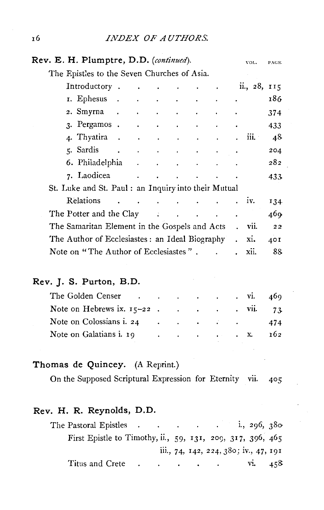| Rev. E. H. Plumptre, D.D. (continued). |                                                      |                                     |                                         |                                  |                                                                 |                                                                 |                      | VOL.             | PAGE. |
|----------------------------------------|------------------------------------------------------|-------------------------------------|-----------------------------------------|----------------------------------|-----------------------------------------------------------------|-----------------------------------------------------------------|----------------------|------------------|-------|
|                                        | The Epistles to the Seven Churches of Asia.          |                                     |                                         |                                  |                                                                 |                                                                 |                      |                  |       |
|                                        | Introductory.                                        |                                     |                                         |                                  |                                                                 |                                                                 |                      | 11., 28, 115     |       |
|                                        | 1. Ephesus .                                         | <b>All Contract Contract</b>        |                                         | $\bullet$ . The set of $\bullet$ | $\sim 100$                                                      | $\bullet$ .<br><br><br><br><br><br><br><br><br><br><br><br><br> | $\bullet$            |                  | 186   |
|                                        | 2. Smyrna                                            |                                     |                                         |                                  |                                                                 |                                                                 |                      |                  | 374   |
|                                        | 3. Pergamos.                                         | and the contract of the contract of |                                         |                                  | $\bullet$ .<br><br><br><br><br><br><br><br><br><br><br><br><br> |                                                                 |                      |                  | 433   |
|                                        | 4. Thyatira                                          |                                     |                                         |                                  |                                                                 | $\bullet$                                                       | $\ddot{\phantom{0}}$ | 111.             | 48    |
|                                        | 5. Sardis                                            |                                     |                                         |                                  |                                                                 |                                                                 |                      |                  | 204   |
|                                        | 6. Philadelphia                                      |                                     |                                         |                                  |                                                                 |                                                                 |                      |                  | 282   |
|                                        |                                                      |                                     |                                         |                                  | and the state of the                                            |                                                                 |                      |                  | 433   |
|                                        | St. Luke and St. Paul : an Inquiry into their Mutual |                                     |                                         |                                  |                                                                 |                                                                 |                      |                  |       |
|                                        | Relations                                            |                                     | and the contract of the contract of the |                                  |                                                                 |                                                                 | . IV.                |                  | 134   |
|                                        | The Potter and the Clay The Potter and the Clay      |                                     |                                         |                                  |                                                                 |                                                                 |                      |                  | 469   |
|                                        | The Samaritan Element in the Gospels and Acts        |                                     |                                         |                                  |                                                                 |                                                                 |                      | vii.             | 22    |
|                                        | The Author of Ecclesiastes: an Ideal Biography       |                                     |                                         |                                  |                                                                 |                                                                 |                      | x <sub>1</sub> . | 40I   |
|                                        | Note on "The Author of Ecclesiastes".                |                                     |                                         |                                  |                                                                 |                                                                 |                      | XII.             | 88    |
|                                        |                                                      |                                     |                                         |                                  |                                                                 |                                                                 |                      |                  |       |

#### **Rev. J. S. Purton, B.D.**

| The Golden Censer vi. 469                                                                                                                                                                                                      |  |  |  |  |
|--------------------------------------------------------------------------------------------------------------------------------------------------------------------------------------------------------------------------------|--|--|--|--|
| Note on Hebrews ix. $15-22$ . vii. 73                                                                                                                                                                                          |  |  |  |  |
| Note on Colossians i. 24 (a) contract the contract of the contract of the contract of the contract of the contract of the contract of the contract of the contract of the contract of the contract of the contract of the cont |  |  |  |  |
| Note on Galatians i. 19 162                                                                                                                                                                                                    |  |  |  |  |

#### **Thomas de Quincey.** (A Reprint.)

On the Supposed Scriptural Expression for Eternity vii. 405

#### **Rev. H. R. Reynolds, D.D.**

| First Epistle to Timothy, ii., 59, 131, 209, 317, 396, 465 |  |  |                                       |  |  |
|------------------------------------------------------------|--|--|---------------------------------------|--|--|
|                                                            |  |  | iii., 74, 142, 224, 380; iv., 47, 191 |  |  |
|                                                            |  |  |                                       |  |  |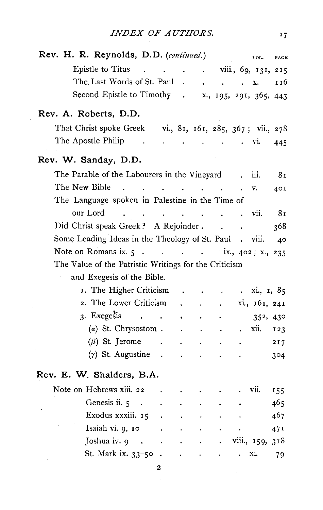$17$ 

| Rev. H. R. Reynolds, D.D. (continued.)                      |                      |                                                                         |                    |                                 |                                                     | VOL.                                                                  | PAGE            |
|-------------------------------------------------------------|----------------------|-------------------------------------------------------------------------|--------------------|---------------------------------|-----------------------------------------------------|-----------------------------------------------------------------------|-----------------|
| Epistle to Titus viii., 69, 131, 215                        |                      |                                                                         |                    |                                 |                                                     |                                                                       |                 |
| The Last Words of St. Paul.                                 |                      |                                                                         | $\sim 10^{-11}$    | $\sim$                          |                                                     | x.                                                                    | 116             |
| Second Epistle to Timothy . x., 195, 291, 365, 443          |                      |                                                                         |                    |                                 |                                                     |                                                                       |                 |
| Rev. A. Roberts, D.D.                                       |                      |                                                                         |                    |                                 |                                                     |                                                                       |                 |
| That Christ spoke Greek vi., 81, 161, 285, 367; vii., 278   |                      |                                                                         |                    |                                 |                                                     |                                                                       |                 |
| The Apostle Philip .                                        |                      | $\mathcal{L}(\mathbf{z})$ and $\mathcal{L}(\mathbf{z})$ . The following |                    |                                 |                                                     | . vi.                                                                 | 445             |
| Rev. W. Sanday, D.D.                                        |                      |                                                                         |                    |                                 |                                                     |                                                                       |                 |
| The Parable of the Labourers in the Vineyard.               |                      |                                                                         |                    |                                 |                                                     | iii.                                                                  | 81              |
| The New Bible .<br>the contract of the contract of the      |                      |                                                                         |                    |                                 |                                                     | v.                                                                    | 401             |
| The Language spoken in Palestine in the Time of             |                      |                                                                         |                    |                                 |                                                     |                                                                       |                 |
| our Lord<br>the contract of the contract of the contract of |                      |                                                                         |                    | $\ddot{\phantom{a}}$            | $\overline{\mathbf{v}}$ . $\overline{\mathbf{v}}$ . |                                                                       | 81              |
| Did Christ speak Greek? A Rejoinder.                        |                      |                                                                         |                    | $\overline{1}$ , $\overline{1}$ |                                                     |                                                                       | 368             |
| Some Leading Ideas in the Theology of St. Paul . viii.      |                      |                                                                         |                    |                                 |                                                     |                                                                       | 40              |
| Note on Romans ix. 5 ix., 402; x., 235                      |                      |                                                                         |                    |                                 |                                                     |                                                                       |                 |
| The Value of the Patristic Writings for the Criticism       |                      |                                                                         |                    |                                 |                                                     |                                                                       |                 |
| and Exegesis of the Bible.                                  |                      |                                                                         |                    |                                 |                                                     |                                                                       |                 |
| 1. The Higher Criticism .                                   |                      |                                                                         | $\Delta$           | $\mathcal{L}_{\bullet}$         |                                                     | $\dot{x}$ . $\dot{x}$ . $\dot{x}$ , $\dot{x}$ , $\dot{x}$ , $\dot{x}$ |                 |
| 2. The Lower Criticism                                      |                      |                                                                         |                    | and the company of the          |                                                     | xi., 161, 241                                                         |                 |
| 3. Exegesis                                                 |                      |                                                                         | $\sim$             |                                 |                                                     | 352, 430                                                              |                 |
| $(a)$ St. Chrysostom . $\qquad$ .                           |                      |                                                                         |                    | $\bullet$                       | $\mathbf{L}^{\text{max}}$                           | xii.                                                                  | 123             |
| $(\beta)$ St. Jerome .                                      |                      |                                                                         |                    |                                 |                                                     |                                                                       | 217             |
| $(\gamma)$ St. Augustine                                    |                      |                                                                         | $\blacksquare$ .   |                                 |                                                     |                                                                       | 304             |
| Rev. E. W. Shalders, B.A.                                   |                      |                                                                         |                    |                                 |                                                     |                                                                       |                 |
| Note on Hebrews xiii. 22                                    | $\ddot{\phantom{a}}$ |                                                                         | $\bullet$          | $\sim$                          |                                                     | VII.                                                                  | 155             |
| Genesis ii. 5                                               |                      |                                                                         |                    |                                 |                                                     |                                                                       | 465             |
| Exodus xxxiii. 15 .                                         |                      | $\sim$                                                                  |                    |                                 |                                                     |                                                                       | 467             |
| Isaiah vi. 9, 10.                                           |                      | $\ddot{\phantom{0}}$                                                    | $\hat{\textbf{r}}$ |                                 | $\sim$ 0.00 $\sim$                                  |                                                                       | 47 <sup>t</sup> |
| Joshua iv. $9 \cdot \cdot \cdot \cdot$                      |                      |                                                                         |                    | $\bullet$ .                     |                                                     | viii., 159, 318                                                       |                 |
| St. Mark ix. $33-50$ .                                      |                      |                                                                         |                    | $\sim 100$ km s $^{-1}$         | $\mathbf{r}$                                        | Xl.                                                                   | 79              |

2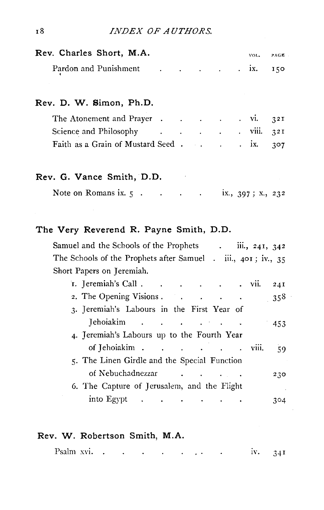| Rev. Charles Short, M.A.                                                                                                                                                                                                      |  |  | VOL. | PAGE |
|-------------------------------------------------------------------------------------------------------------------------------------------------------------------------------------------------------------------------------|--|--|------|------|
| Pardon and Punishment ix.                                                                                                                                                                                                     |  |  |      | 150  |
| Rev. D. W. Simon, Ph.D.                                                                                                                                                                                                       |  |  |      |      |
| The Atonement and Prayer vi.                                                                                                                                                                                                  |  |  |      | 32I  |
| Science and Philosophy (Chapter of Chapter of Chapter of Chapter of Chapter of Chapter of Chapter of Chapter of Chapter of Chapter of Chapter of Chapter of Chapter of Chapter of Chapter of Chapter of Chapter of Chapter of |  |  |      | 32I  |
| Faith as a Grain of Mustard Seed ix. 307                                                                                                                                                                                      |  |  |      |      |

#### **Rev. G. Vance Smith, D.D.**

| Note on Romans ix. 5 |  | 1x., $397; x, 232$ |  |
|----------------------|--|--------------------|--|
|----------------------|--|--------------------|--|

#### **The Very Reverend R. Payne Smith, D.D.**

| iii., 241, 342<br>Samuel and the Schools of the Prophets                                                                                                                                                                                                                                                                                                                                                                                                      |  |
|---------------------------------------------------------------------------------------------------------------------------------------------------------------------------------------------------------------------------------------------------------------------------------------------------------------------------------------------------------------------------------------------------------------------------------------------------------------|--|
| The Schools of the Prophets after Samuel . iii., 401; iv., 35                                                                                                                                                                                                                                                                                                                                                                                                 |  |
| Short Papers on Jeremiah.                                                                                                                                                                                                                                                                                                                                                                                                                                     |  |
| I. Jeremiah's Call<br>VII.<br>24I                                                                                                                                                                                                                                                                                                                                                                                                                             |  |
| 2. The Opening Visions<br>358                                                                                                                                                                                                                                                                                                                                                                                                                                 |  |
| 3. Jeremiah's Labours in the First Year of                                                                                                                                                                                                                                                                                                                                                                                                                    |  |
| Jehoiakim<br>453                                                                                                                                                                                                                                                                                                                                                                                                                                              |  |
| 4. Jeremiah's Labours up to the Fourth Year                                                                                                                                                                                                                                                                                                                                                                                                                   |  |
| of Jehoiakim.<br>$\mathbf{r} = \mathbf{r} + \mathbf{r} + \mathbf{r} + \mathbf{r} + \mathbf{r} + \mathbf{r} + \mathbf{r} + \mathbf{r} + \mathbf{r} + \mathbf{r} + \mathbf{r} + \mathbf{r} + \mathbf{r} + \mathbf{r} + \mathbf{r} + \mathbf{r} + \mathbf{r} + \mathbf{r} + \mathbf{r} + \mathbf{r} + \mathbf{r} + \mathbf{r} + \mathbf{r} + \mathbf{r} + \mathbf{r} + \mathbf{r} + \mathbf{r} + \mathbf{r} + \mathbf{r} + \mathbf{r} + \mathbf$<br>VIII.<br>59. |  |
| 5. The Linen Girdle and the Special Function                                                                                                                                                                                                                                                                                                                                                                                                                  |  |
| of Nebuchadnezzar<br>230                                                                                                                                                                                                                                                                                                                                                                                                                                      |  |
| 6. The Capture of Jerusalem, and the Flight<br>$\sim$ 10 $\mu$                                                                                                                                                                                                                                                                                                                                                                                                |  |
| into Egypt .<br><b>Contract Contract</b><br>304                                                                                                                                                                                                                                                                                                                                                                                                               |  |

#### **Rev. W. Robertson Smith, M.A.**

| Psalm xvi. |  |  | the contract of the contract of the contract of the |  | IV. 34I |  |
|------------|--|--|-----------------------------------------------------|--|---------|--|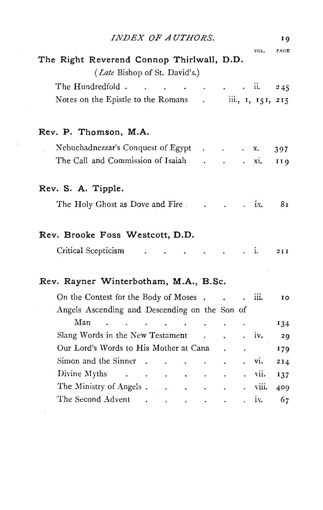|                                                        |        |                   | 19                                                   |
|--------------------------------------------------------|--------|-------------------|------------------------------------------------------|
| The Right Reverend Connop Thirlwall, D.D.              |        | VOL.              | PAGE                                                 |
| ( <i>Late</i> Bishop of St. David's.)                  |        |                   |                                                      |
| The Hundredfold.                                       |        | ii.               | 245                                                  |
| Notes on the Epistle to the Romans                     |        | iii., 1, 151, 215 |                                                      |
| Rev. P. Thomson, M.A.                                  |        |                   |                                                      |
| Nebuchadnezzar's Conquest of Egypt                     |        | х.                | 397                                                  |
| The Call and Commission of Isaiah                      |        | xi.               | 119                                                  |
| Rev. S. A. Tipple.                                     |        |                   |                                                      |
| The Holy Ghost as Dove and Fire.                       |        | ix.               | 81                                                   |
|                                                        |        |                   |                                                      |
| Rev. Brooke Foss Westcott, D.D.<br>Critical Scepticism |        | . i.              |                                                      |
| Rev. Rayner Winterbotham, M.A., B.Sc.                  |        |                   |                                                      |
| On the Contest for the Body of Moses.                  | $\sim$ | ш.                |                                                      |
| Angels Ascending and Descending on the Son of          |        |                   |                                                      |
| Man                                                    |        |                   |                                                      |
| Slang Words in the New Testament                       |        | iv.               |                                                      |
| Our Lord's Words to His Mother at Cana                 |        |                   |                                                      |
| Simon and the Sinner                                   |        | vi.               |                                                      |
| Divine Myths<br><b>Contractor</b>                      |        | vii.              |                                                      |
| The Ministry of Angels.                                |        | viii.             | 2 I I<br>10<br>134<br>29<br>179<br>214<br>137<br>409 |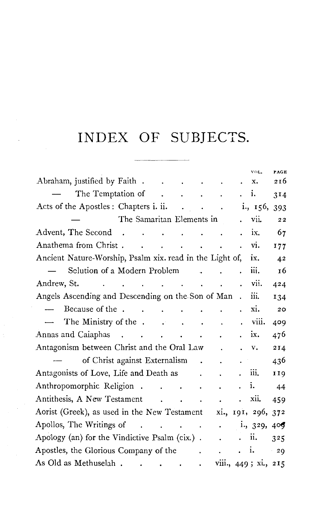# INDEX OF SUBJECTS.

 $\label{eq:2.1} \frac{1}{\sqrt{2}}\int_{-\infty}^{\infty} \frac{1}{\sqrt{2\pi}}\left(\frac{1}{\sqrt{2\pi}}\right)^2\frac{1}{\sqrt{2\pi}}\frac{1}{\sqrt{2\pi}}\frac{1}{\sqrt{2\pi}}\frac{1}{\sqrt{2\pi}}\frac{1}{\sqrt{2\pi}}\frac{1}{\sqrt{2\pi}}\frac{1}{\sqrt{2\pi}}\frac{1}{\sqrt{2\pi}}\frac{1}{\sqrt{2\pi}}\frac{1}{\sqrt{2\pi}}\frac{1}{\sqrt{2\pi}}\frac{1}{\sqrt{2\pi}}\frac{1}{\sqrt{2\pi}}\frac{$ 

|                                                                                                                                |                                                                                |                         |                                                                               |                      | VOL.                 | PAGE  |  |
|--------------------------------------------------------------------------------------------------------------------------------|--------------------------------------------------------------------------------|-------------------------|-------------------------------------------------------------------------------|----------------------|----------------------|-------|--|
| Abraham, justified by Faith                                                                                                    |                                                                                |                         | $\ddot{\phantom{0}}$                                                          | $\bullet$            | x.                   | 216   |  |
| The Temptation of The Temptation of The Temptation of The Temptation of The Temptation Contract The Temptation                 |                                                                                |                         |                                                                               | . i.                 |                      | 314   |  |
|                                                                                                                                |                                                                                |                         |                                                                               |                      |                      | 393   |  |
| The Samaritan Elements in                                                                                                      |                                                                                |                         |                                                                               |                      | vii.                 | 22    |  |
| Advent, The Second                                                                                                             |                                                                                | $\ddot{\phantom{a}}$    | $\sim$ $\sim$ $\sim$                                                          |                      | ix.                  | 67    |  |
| Anathema from Christ vi.                                                                                                       |                                                                                |                         |                                                                               |                      |                      | 177   |  |
| Ancient Nature-Worship, Psalm xix. read in the Light of, ix.                                                                   |                                                                                |                         |                                                                               |                      |                      | 42    |  |
| Sclution of a Modern Problem                                                                                                   |                                                                                |                         | and the state of the state of                                                 |                      | iii.                 | 16    |  |
| Andrew, St.<br>the contract of the contract of the contract of the contract of the contract of the contract of the contract of |                                                                                |                         |                                                                               |                      | vii.                 | 424   |  |
| Angels Ascending and Descending on the Son of Man.                                                                             |                                                                                |                         |                                                                               |                      | iii.                 | 134   |  |
| Because of the<br>$\overline{\phantom{a}}$                                                                                     |                                                                                | $\sim 100$ km s $^{-1}$ | $\ddot{\phantom{0}}$                                                          | $\ddot{\phantom{a}}$ | xi.                  | 20    |  |
| $\rightarrow$ The Ministry of the                                                                                              |                                                                                |                         |                                                                               | $\ddot{\phantom{0}}$ | viii.                | 409   |  |
| Annas and Caiaphas                                                                                                             |                                                                                |                         |                                                                               |                      | ix.                  | 476   |  |
| Antagonism between Christ and the Oral Law.                                                                                    |                                                                                |                         |                                                                               |                      | $\mathbf{V}$ .       | 214   |  |
| of Christ against Externalism                                                                                                  |                                                                                |                         | $\mathcal{L}(\mathbf{r},\mathbf{r})$ and $\mathcal{L}(\mathbf{r},\mathbf{r})$ |                      |                      | 436   |  |
| Antagonists of Love, Life and Death as                                                                                         |                                                                                | $\mathbf{r}$            |                                                                               |                      | 111.                 | 119   |  |
| Anthropomorphic Religion                                                                                                       |                                                                                |                         | $\ddot{\phantom{0}}$                                                          |                      | i.                   | 44    |  |
| Antithesis, A New Testament                                                                                                    |                                                                                |                         |                                                                               |                      | xii.                 | 459   |  |
| Aorist (Greek), as used in the New Testament xi., 191, 296, 372                                                                |                                                                                |                         |                                                                               |                      |                      |       |  |
| Apollos, The Writings of                                                                                                       | $\mathcal{L}(\mathbf{r},\mathbf{r})$ . The contribution of the contribution of |                         | $\ddot{\phantom{0}}$                                                          |                      | 1., 329, 409         |       |  |
| Apology (an) for the Vindictive Psalm (cix.).                                                                                  |                                                                                |                         | $\mathbf{L} = \mathbf{L}$                                                     |                      | ii.                  | 325   |  |
| Apostles, the Glorious Company of the                                                                                          |                                                                                | $\mathbf{r}$            | $\mathbf{L}$                                                                  |                      | $\mathbf{i}$         | $-20$ |  |
| As Old as Methuselah.                                                                                                          | $\ddot{\phantom{0}}$                                                           | $\ddot{\phantom{a}}$    |                                                                               |                      | viii., 449; xi., 215 |       |  |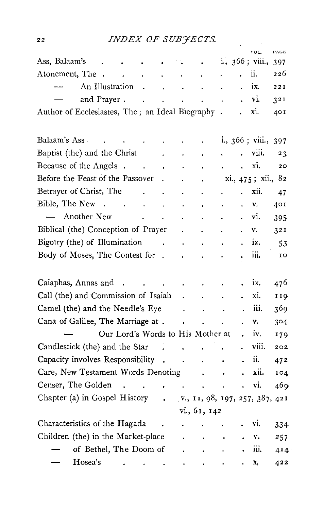# *INDEX OF SUB'JECTS.*

|                                                                                                                                                                     |                                       |                                           |                      |                      |                      | VOL.               | PAGE |
|---------------------------------------------------------------------------------------------------------------------------------------------------------------------|---------------------------------------|-------------------------------------------|----------------------|----------------------|----------------------|--------------------|------|
| Ass, Balaam's                                                                                                                                                       |                                       |                                           | $\ddot{\phantom{0}}$ |                      |                      | i., 366; viii.,    | 397  |
| Atonement, The .<br>$\sim 100$<br>$\sim 10^{-1}$                                                                                                                    | $\sim 10^{-10}$                       | $\sim$ $\sim$                             | $\sim$               | ä,                   |                      | ii.                | 226  |
| An Illustration<br>$\sim$ 40 $\,$                                                                                                                                   | $\sim$                                | $\sim$                                    | $\ddot{\phantom{a}}$ | $\ddot{\phantom{a}}$ | $\cdot$              | ix.                | 221  |
| and Prayer.<br>$\ddot{\phantom{1}}$                                                                                                                                 | $\ddot{\phantom{0}}$<br>$\sim$ $\sim$ |                                           | $\sim 10$            |                      | $\ddot{\phantom{0}}$ | vi.                | 321  |
| Author of Ecclesiastes, The; an Ideal Biography.                                                                                                                    |                                       |                                           |                      |                      | ÷.                   | xi.                | 401  |
|                                                                                                                                                                     |                                       |                                           |                      |                      |                      |                    |      |
| Balaam's Ass<br>ò.                                                                                                                                                  |                                       |                                           |                      |                      |                      | i., 366 ; viii.,   | 397  |
| Baptist (the) and the Christ                                                                                                                                        |                                       | $\ddot{\phantom{0}}$                      | $\ddot{\phantom{0}}$ |                      |                      | . viii.            | 23   |
| Because of the Angels.<br>$\sim 100$ km $^{-2}$                                                                                                                     | $\ddot{\phantom{1}}$                  | $\ddot{\phantom{0}}$                      | $\blacksquare$       |                      | a.                   | xi.                | 20   |
| Before the Feast of the Passover                                                                                                                                    | $\ddot{\phantom{0}}$                  | $\ddot{\phantom{0}}$                      | $\bullet$            |                      |                      | xi., 475; xii., 82 |      |
| Betrayer of Christ, The<br>$\sim 10$                                                                                                                                | $\ddot{\phantom{0}}$                  | $\ddot{\phantom{0}}$                      | $\ddot{\phantom{0}}$ |                      | $\ddot{\phantom{a}}$ | xii.               | 47   |
| Bible, The New<br>$\ddot{\phantom{1}}$                                                                                                                              | $\mathbf{a}^{\dagger}$                | $\ddot{\phantom{0}}$                      |                      |                      |                      | v.                 | 401  |
| - Another New<br>$\sim 100$ km s $^{-1}$<br>$\ddot{\phantom{0}}$                                                                                                    |                                       | $\ddot{\phantom{0}}$                      | $\bullet$            |                      | ¥                    | vi.                | 395  |
| Biblical (the) Conception of Prayer                                                                                                                                 |                                       | $\ddot{\phantom{0}}$                      | $\ddot{\phantom{0}}$ | $\ddot{\phantom{0}}$ |                      | v.                 | 321  |
| Bigotry (the) of Illumination<br>$\sim 10$                                                                                                                          |                                       | $\ddot{\phantom{0}}$                      | $\ddot{\phantom{0}}$ | $\ddot{\phantom{a}}$ |                      | ix.                | 53   |
| Body of Moses, The Contest for .                                                                                                                                    |                                       |                                           |                      |                      |                      | iii.               | 10   |
|                                                                                                                                                                     |                                       |                                           |                      |                      |                      |                    |      |
| Caiaphas, Annas and<br>$\ddot{\phantom{1}}$                                                                                                                         | $\sim 100$ km s $^{-1}$               | $\sim$                                    | $\bullet$            |                      |                      | ix.                | 476  |
| Call (the) and Commission of Isaiah                                                                                                                                 |                                       | $\ddot{\phantom{0}}$                      | $\ddot{\phantom{0}}$ | $\bullet$            | ¥.                   | xi.                | 119  |
| Camel (the) and the Needle's Eye                                                                                                                                    |                                       | $\mathbf{L}^{\text{max}}$                 | $\sim$               | $\sim$               |                      | iii.               | 369  |
| Cana of Galilee, The Marriage at.                                                                                                                                   |                                       | $\ddot{\phantom{0}}$                      | J.                   |                      | $\ddot{\phantom{a}}$ | v.                 | 304  |
| Our Lord's Words to His Mother at                                                                                                                                   |                                       |                                           |                      |                      |                      | iv.                | 179  |
| Candlestick (the) and the Star                                                                                                                                      | <b>Contract Contract</b>              | <b>Contractor</b><br>$\ddot{\phantom{a}}$ |                      | $\ddot{\phantom{0}}$ |                      | viii.              | 202  |
| Capacity involves Responsibility .                                                                                                                                  |                                       | $\sim$                                    | $\ddot{\phantom{0}}$ |                      |                      | ii.                | 472  |
| Care, New Testament Words Denoting                                                                                                                                  |                                       |                                           |                      | $\bullet$            |                      | xii.               | 104  |
| Censer, The Golden<br>$\mathbf{r}^{\prime}$ , $\mathbf{r}^{\prime}$ , $\mathbf{r}^{\prime}$ , $\mathbf{r}^{\prime}$ , $\mathbf{r}^{\prime}$ , $\mathbf{r}^{\prime}$ |                                       |                                           | $\ddot{\phantom{0}}$ |                      |                      | vi.                | 469  |
| Chapter (a) in Gospel History . v., 11, 98, 197, 257, 387, 421                                                                                                      |                                       |                                           |                      |                      |                      |                    |      |
|                                                                                                                                                                     |                                       |                                           | vi., 61, 142         |                      |                      |                    |      |
| Characteristics of the Hagada                                                                                                                                       |                                       |                                           |                      |                      |                      | vi.                | 334  |
| Children (the) in the Market-place                                                                                                                                  |                                       |                                           |                      | $\bullet$            |                      | v.                 | 257. |
| of Bethel, The Doom of                                                                                                                                              |                                       | $\ddot{\phantom{0}}$                      | $\bullet$            | $\bullet$            |                      | iii.               | 414  |
| Hosea's<br>the contract of the contract of the                                                                                                                      |                                       |                                           |                      |                      |                      | x.                 | 422  |

22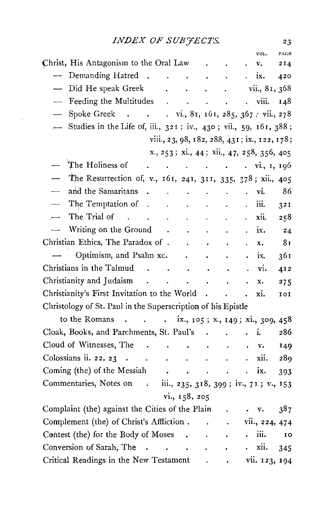|                                                                  |                      |                                                                                                           |                      | VOL.                                         | PAGE |
|------------------------------------------------------------------|----------------------|-----------------------------------------------------------------------------------------------------------|----------------------|----------------------------------------------|------|
| Christ, His Antagonism to the Oral Law                           |                      |                                                                                                           |                      | v.                                           | 214  |
| -- Demanding Hatred<br>$\sim$                                    | $\ddot{\phantom{a}}$ | $\ddot{\phantom{a}}$                                                                                      |                      | ix.                                          | 420  |
| Did He speak Greek<br>$\overline{\phantom{0}}$                   |                      | $\ddot{\phantom{0}}$                                                                                      |                      | vii., 81, 368                                |      |
| Feeding the Multitudes                                           | $\mathbf{r}$         | $\ddot{\phantom{a}}$                                                                                      |                      | viii.                                        | 148  |
| Spoke Greek vi., 81, 161, 285, 367 : vii., 278                   |                      |                                                                                                           |                      |                                              |      |
| Studies in the Life of, iii., 321; iv., 430; vii., 59, 161, 388; |                      |                                                                                                           |                      |                                              |      |
|                                                                  |                      |                                                                                                           |                      | viii., 23, 98, 182, 288, 431; ix., 122, 178; |      |
|                                                                  |                      |                                                                                                           |                      | x., 253; xi., 44; xii., 47, 258, 356, 405    |      |
| The Holiness of                                                  |                      | $\mathbf{r}^{\prime}$ , and $\mathbf{r}^{\prime}$ , and $\mathbf{r}^{\prime}$ , and $\mathbf{r}^{\prime}$ |                      | . vi., 1, 196                                |      |
| The Resurrection of, v., 161, 241, 311, 335, 378; xii., 405      |                      |                                                                                                           |                      |                                              |      |
| and the Samaritans                                               |                      |                                                                                                           |                      | vi.                                          | 86   |
| The Temptation of                                                |                      |                                                                                                           |                      | iii.                                         | 321  |
| The Trial of<br>$\sim$<br>$\mathbf{r}$                           |                      | $\mathbf{r}$                                                                                              |                      | xii.                                         | 258  |
| Writing on the Ground                                            | $\bullet$            |                                                                                                           |                      | ix.                                          | 24   |
| Christian Ethics, The Paradox of .                               |                      |                                                                                                           |                      | x.                                           | 81   |
| Optimism, and Psalm xc.                                          |                      | $\cdot$                                                                                                   |                      | ix.                                          | 361  |
| Christians in the Talmud<br>$\sim$                               |                      |                                                                                                           |                      | vi.                                          | 412  |
| Christianity and Judaism                                         |                      |                                                                                                           |                      | x.                                           | 275  |
| Christianity's First Invitation to the World.                    |                      |                                                                                                           |                      | xi.                                          | 101  |
| Christology of St. Paul in the Superscription of his Epistle     |                      |                                                                                                           |                      |                                              |      |
| to the Romans<br>$\mathbf{L}$                                    | $\bullet$            |                                                                                                           |                      | ix., 105; x., 149; xi., 309, 458             |      |
| Cloak, Books, and Parchments, St. Paul's                         |                      |                                                                                                           |                      | i.                                           | 286  |
| Cloud of Witnesses, The<br>$\sim 10^{-10}$                       |                      |                                                                                                           |                      | v.                                           | 149  |
| Colossians ii. 22, 23<br>$\sim$ $\sim$                           | $\ddot{\phantom{0}}$ |                                                                                                           |                      | xii.                                         | 289  |
| Coming (the) of the Messiah                                      |                      | $\blacksquare$<br>$\ddot{\phantom{0}}$                                                                    |                      | ix.                                          | 393  |
| Commentaries, Notes on .                                         |                      |                                                                                                           |                      | iii., 235, 318, 399; iv., 71; v., 153        |      |
|                                                                  |                      | vi., 158, 205                                                                                             |                      |                                              |      |
| Complaint (the) against the Cities of the Plain                  |                      |                                                                                                           |                      | $\cdot$ $\cdot$                              | 387  |
| Complement (the) of Christ's Affliction                          |                      |                                                                                                           | $\ddot{\phantom{0}}$ | vii., 224, 474                               |      |
| Contest (the) for the Body of Moses .                            |                      |                                                                                                           |                      | iii.                                         | 10   |
| Conversion of Sarah, The<br>$\ddot{\phantom{a}}$                 | $\ddot{\phantom{0}}$ | $\sim 10^{-11}$                                                                                           |                      | xii.                                         | 345  |
| Critical Readings in the New Testament                           |                      |                                                                                                           |                      | vii. 123, 194                                |      |
|                                                                  |                      |                                                                                                           |                      |                                              |      |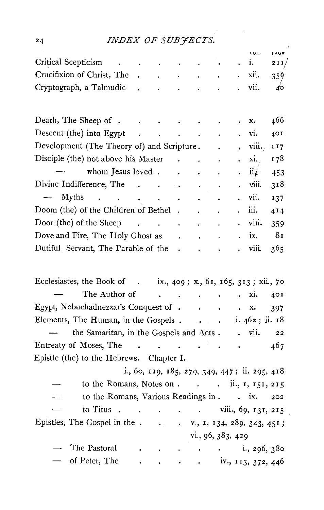# 24 *INDEX OF SUBYECTS.*

|                                                                  |                                            | -- <del>-</del> - - -                                   |                      | ر ۔                  |                                                                                                                                                                                                                                                |                      |                      |                                               |                 |
|------------------------------------------------------------------|--------------------------------------------|---------------------------------------------------------|----------------------|----------------------|------------------------------------------------------------------------------------------------------------------------------------------------------------------------------------------------------------------------------------------------|----------------------|----------------------|-----------------------------------------------|-----------------|
| Critical Scepticism                                              |                                            |                                                         |                      |                      |                                                                                                                                                                                                                                                |                      | $\ddot{\phantom{0}}$ | vol.<br>i.                                    | PAGE<br>211/    |
| Crucifixion of Christ, The .                                     |                                            |                                                         |                      | <b>All Contracts</b> | $\bullet$ .                                                                                                                                                                                                                                    |                      | $\ddot{\phantom{0}}$ | xii.                                          | 359             |
| Cryptograph, a Talmudic                                          |                                            | $\mathbf{z}^{(n)}$                                      | $\sim 100$           | $\sim 100$           |                                                                                                                                                                                                                                                |                      |                      | vii.                                          | $\sqrt{2}$      |
|                                                                  |                                            |                                                         |                      |                      | $\sim 10^{-11}$                                                                                                                                                                                                                                |                      |                      |                                               |                 |
|                                                                  |                                            |                                                         |                      |                      |                                                                                                                                                                                                                                                |                      |                      |                                               |                 |
| Death, The Sheep of                                              |                                            |                                                         |                      |                      |                                                                                                                                                                                                                                                |                      |                      | x.                                            | 466             |
| Descent (the) into Egypt                                         |                                            | $\mathcal{L}(\mathbf{w})$ and $\mathcal{L}(\mathbf{w})$ |                      | $\sim 10^7$          | $\sim$                                                                                                                                                                                                                                         |                      | $\ddot{\phantom{0}}$ | vi.                                           | 40I             |
| Development (The Theory of) and Scripture.                       |                                            |                                                         |                      |                      |                                                                                                                                                                                                                                                |                      | $\bullet$            | viii.                                         | II7             |
| Disciple (the) not above his Master                              |                                            |                                                         |                      |                      |                                                                                                                                                                                                                                                |                      | $\ddot{\phantom{0}}$ | xi.                                           | 178             |
|                                                                  | whom Jesus loved                           |                                                         |                      |                      | $\sim 10^{-11}$                                                                                                                                                                                                                                |                      |                      | $ii$ .                                        | 453             |
| Divine Indifference, The                                         |                                            |                                                         |                      |                      | $\mathcal{A}$                                                                                                                                                                                                                                  | $\ddot{\phantom{0}}$ |                      | viii.                                         | 318             |
| $\frac{1}{2}$<br>Myths                                           |                                            |                                                         |                      |                      | $\bullet$                                                                                                                                                                                                                                      |                      | $\ddot{\phantom{0}}$ | vii.                                          | 137             |
| Doom (the) of the Children of Bethel                             |                                            |                                                         |                      |                      |                                                                                                                                                                                                                                                | $\bullet$            | $\bullet$            | iii.                                          | 4 <sub>14</sub> |
| Door (the) of the Sheep $\cdot \cdot \cdot \cdot$                |                                            |                                                         |                      |                      |                                                                                                                                                                                                                                                |                      |                      | . viii.                                       | 359             |
| Dove and Fire, The Holy Ghost as .                               |                                            |                                                         |                      |                      | $\bullet$                                                                                                                                                                                                                                      |                      |                      | ix.                                           | 81              |
| Dutiful Servant, The Parable of the                              |                                            |                                                         |                      |                      |                                                                                                                                                                                                                                                |                      |                      | viii.                                         | 365             |
|                                                                  |                                            |                                                         |                      |                      |                                                                                                                                                                                                                                                |                      |                      |                                               |                 |
|                                                                  |                                            |                                                         |                      |                      |                                                                                                                                                                                                                                                |                      |                      |                                               |                 |
| Ecclesiastes, the Book of . ix., 409; x., 61, 165, 313; xii., 70 |                                            |                                                         |                      |                      |                                                                                                                                                                                                                                                |                      |                      |                                               |                 |
|                                                                  | The Author of                              |                                                         |                      |                      | $\mathcal{L}^{\mathcal{L}}(\mathcal{L}^{\mathcal{L}}(\mathcal{L}^{\mathcal{L}}(\mathcal{L}^{\mathcal{L}}(\mathcal{L}^{\mathcal{L}}(\mathcal{L}^{\mathcal{L}}(\mathcal{L}^{\mathcal{L}}(\mathcal{L}^{\mathcal{L}}(\mathcal{L}^{\mathcal{L}})))$ | $\bullet$            |                      | xi.                                           | 401             |
| Egypt, Nebuchadnezzar's Conquest of x.                           |                                            |                                                         |                      |                      |                                                                                                                                                                                                                                                |                      |                      |                                               | 397             |
| Elements, The Human, in the Gospels 462; ii. 18                  |                                            |                                                         |                      |                      |                                                                                                                                                                                                                                                |                      |                      |                                               |                 |
| the Samaritan, in the Gospels and Acts. . vii. 22                |                                            |                                                         |                      |                      |                                                                                                                                                                                                                                                |                      |                      |                                               |                 |
| Entreaty of Moses, The                                           |                                            |                                                         |                      |                      |                                                                                                                                                                                                                                                |                      |                      |                                               | 467             |
| Epistle (the) to the Hebrews. Chapter I.                         |                                            |                                                         |                      |                      |                                                                                                                                                                                                                                                |                      |                      |                                               |                 |
|                                                                  |                                            |                                                         |                      |                      |                                                                                                                                                                                                                                                |                      |                      | i., 60, 119, 185, 279, 349, 447; ii. 295, 418 |                 |
|                                                                  | to the Romans, Notes on ii., 1, 151, 215   |                                                         |                      |                      |                                                                                                                                                                                                                                                |                      |                      |                                               |                 |
|                                                                  | to the Romans, Various Readings in ix. 202 |                                                         |                      |                      |                                                                                                                                                                                                                                                |                      |                      |                                               |                 |
| to Titus                                                         |                                            |                                                         |                      |                      |                                                                                                                                                                                                                                                |                      |                      | $\cdot$ , viii., 69, 131, 215                 |                 |
|                                                                  |                                            |                                                         |                      |                      |                                                                                                                                                                                                                                                |                      |                      |                                               |                 |
|                                                                  |                                            |                                                         |                      |                      | vi., 96, 383, 429                                                                                                                                                                                                                              |                      |                      |                                               |                 |
| The Pastoral                                                     |                                            |                                                         |                      |                      | $\mathbf{r} = \mathbf{r} + \mathbf{r}$ , where $\mathbf{r} = \mathbf{r}$                                                                                                                                                                       |                      |                      | $\frac{1}{2}$ , 296, 380                      |                 |
| of Peter, The                                                    |                                            | $\bullet$ .                                             | $\ddot{\phantom{1}}$ |                      |                                                                                                                                                                                                                                                |                      |                      |                                               |                 |
|                                                                  |                                            |                                                         |                      |                      |                                                                                                                                                                                                                                                |                      |                      |                                               |                 |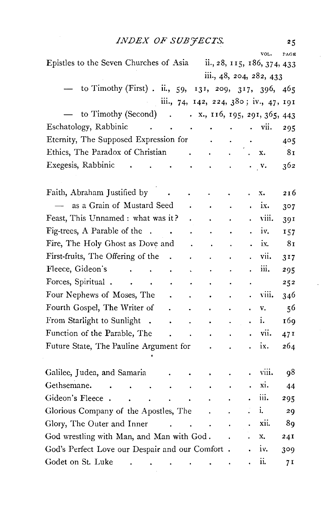# *.INDEX OF SUB'JECTS.* 25

|                                                                                                                                     |                           |                                                             |           | VOL.                    | PAGE             |
|-------------------------------------------------------------------------------------------------------------------------------------|---------------------------|-------------------------------------------------------------|-----------|-------------------------|------------------|
| Epistles to the Seven Churches of Asia ii., 28, 115, 186, 374, 433                                                                  |                           |                                                             |           |                         |                  |
|                                                                                                                                     |                           |                                                             |           | iii., 48, 204, 282, 433 |                  |
| to Timothy (First). ii., 59, 131, 209, 317, 396,                                                                                    |                           |                                                             |           |                         | 465              |
| iii., 74, 142, 224, 380; iv., 47, 191                                                                                               |                           |                                                             |           |                         |                  |
| to Timothy (Second).<br>$\ldots$ x., 116, 195, 291, 365, 443                                                                        |                           |                                                             |           |                         |                  |
| Eschatology, Rabbinic<br><b>Contract Contract</b><br>$\mathcal{L}(\mathbf{x})$ , and $\mathcal{L}(\mathbf{x})$ , and                |                           |                                                             |           | $\cdot$ vii.            | 295              |
| Eternity, The Supposed Expression for                                                                                               | $\sim$                    |                                                             |           |                         | 405              |
| Ethics, The Paradox of Christian .                                                                                                  | $\sim 10^{-10}$ m $^{-1}$ | $\mathcal{A}^{\mathcal{A}}$ and $\mathcal{A}^{\mathcal{A}}$ |           | x.                      | 81               |
| Exegesis, Rabbinic<br>$\ddot{\phantom{0}}$<br>$\mathcal{L}^{\mathcal{L}}(\mathbf{z})$ and $\mathcal{L}^{\mathcal{L}}(\mathbf{z})$ . | $\sim$                    |                                                             |           | $\mathbf{v}$ .          | 362              |
|                                                                                                                                     |                           |                                                             |           |                         |                  |
| Faith, Abraham Justified by                                                                                                         |                           |                                                             |           | x.                      | 216              |
| as a Grain of Mustard Seed                                                                                                          |                           |                                                             |           | ix.                     | 3 <sup>0</sup> 7 |
| Feast, This Unnamed : what was it?                                                                                                  |                           |                                                             |           | viii.                   | 391              |
| Fig-trees, A Parable of the<br>$\ddot{\phantom{a}}$<br>$\ddot{\phantom{0}}$                                                         |                           |                                                             |           | iv.                     | 157              |
| Fire, The Holy Ghost as Dove and                                                                                                    | $\ddot{\phantom{0}}$      |                                                             |           | ix.                     | 81               |
| First-fruits, The Offering of the                                                                                                   |                           |                                                             |           | vii.                    | 3 <sub>17</sub>  |
| Fleece, Gideon's<br>¥.<br>$\sim 100$ km s $^{-1}$<br>$\sim$ $\sim$<br>Ċ,                                                            |                           |                                                             |           | iii.                    | 295              |
| Forces, Spiritual<br>$\ddot{\phantom{0}}$                                                                                           |                           |                                                             |           |                         | 252              |
| Four Nephews of Moses, The                                                                                                          |                           |                                                             |           | viii.                   | 346              |
| Fourth Gospel, The Writer of<br>$\ddot{\phantom{0}}$                                                                                | $\bullet$                 |                                                             |           | v.                      | 56               |
| From Starlight to Sunlight<br>$\ddot{\phantom{a}}$<br>$\ddot{\phantom{0}}$                                                          | $\bullet$                 |                                                             |           | ī.                      | 169              |
| Function of the Parable, The                                                                                                        |                           |                                                             |           | vii.                    | 471              |
| Future State, The Pauline Argument for                                                                                              |                           |                                                             |           | ix.                     | 264              |
| Galilee, Judea, and Samaria                                                                                                         |                           |                                                             |           | viii.                   | 98               |
| Gethsemane.<br>$\sim 10$<br>$\bullet$<br>$\ddot{\phantom{0}}$<br>$\bullet$<br>$\sim$                                                | $\bullet$                 |                                                             | $\bullet$ | xi.                     | 44               |
| Gideon's Fleece.<br>$\ddot{\phantom{0}}$<br><b>Contract Contract Contract</b>                                                       |                           |                                                             |           | 111.                    | 295              |
| Glorious Company of the Apostles, The                                                                                               | $\ddot{\phantom{0}}$      |                                                             |           | i.                      | 29               |
| Glory, The Outer and Inner<br><b>Contractor</b>                                                                                     |                           |                                                             |           | xii.                    | 89               |
| God wrestling with Man, and Man with God.                                                                                           |                           |                                                             |           | x.                      | 241              |
| God's Perfect Love our Despair and our Comfort.                                                                                     |                           |                                                             |           | iv.                     | 309              |
| Godet on St. Luke<br>and the second control of the second                                                                           |                           |                                                             |           | ii.                     | 7 I              |
|                                                                                                                                     |                           |                                                             |           |                         |                  |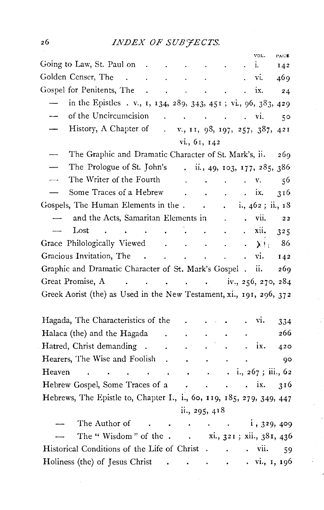|                                                                                                                                          |                          |                                              |                      |                                   |                      |                      | VOL.                                                                                               | PAGE        |
|------------------------------------------------------------------------------------------------------------------------------------------|--------------------------|----------------------------------------------|----------------------|-----------------------------------|----------------------|----------------------|----------------------------------------------------------------------------------------------------|-------------|
| Going to Law, St. Paul on                                                                                                                |                          |                                              |                      |                                   |                      |                      | i.                                                                                                 | 142         |
| Golden Censer, The<br>$\mathcal{L}(\mathbf{A})$ and $\mathcal{L}(\mathbf{A})$ are also the contribution of the $\mathcal{L}(\mathbf{A})$ |                          |                                              |                      |                                   |                      | . vi.                |                                                                                                    | 469         |
|                                                                                                                                          |                          |                                              |                      |                                   |                      | $\ddot{\phantom{a}}$ | ix.                                                                                                | 24          |
| in the Epistles . v., 1, 134, 289, 343, 451; vi., 96, 383, 429                                                                           |                          |                                              |                      |                                   |                      |                      |                                                                                                    |             |
| of the Uncircumcision                                                                                                                    |                          |                                              |                      |                                   |                      | $\mathbf{L}$         | vi.                                                                                                | $5^{\circ}$ |
| History, A Chapter of . v., 11, 98, 197, 257, 387, 421                                                                                   |                          |                                              |                      |                                   |                      |                      |                                                                                                    |             |
|                                                                                                                                          |                          |                                              | vi., 61, 142         |                                   |                      |                      |                                                                                                    |             |
| The Graphic and Dramatic Character of St. Mark's, ii.                                                                                    |                          |                                              |                      |                                   |                      |                      |                                                                                                    | 269         |
| The Prologue of St. John's . ii., 49, 103, 177, 285, 386                                                                                 |                          |                                              |                      |                                   |                      |                      |                                                                                                    |             |
| The Writer of the Fourth .                                                                                                               |                          |                                              |                      | <b>Contract Contract Contract</b> |                      |                      | v.                                                                                                 | 56          |
| Some Traces of a Hebrew                                                                                                                  |                          |                                              |                      |                                   |                      |                      | ix.                                                                                                | 316         |
| Gospels, The Human Elements in the.                                                                                                      |                          |                                              |                      |                                   |                      |                      | $\frac{1}{2}$ , $\frac{1}{462}$ ; ii., 18                                                          |             |
| and the Acts, Samaritan Elements in                                                                                                      |                          |                                              |                      |                                   | $\ddot{\phantom{a}}$ |                      | $\cdot$ vii.                                                                                       | 22          |
| Lost                                                                                                                                     | <b>Contract Contract</b> | $\mathbf{z} = \mathbf{z} + \mathbf{z}$       |                      | $\bullet$ .                       | $\ddot{\phantom{0}}$ |                      | xii.                                                                                               | 325         |
| Grace Philologically Viewed                                                                                                              |                          |                                              |                      | $\sim 100$ $\mu$                  |                      |                      | $\cdot$ $\lambda$ ) (                                                                              | 86          |
| Gracious Invitation, The .                                                                                                               |                          | $\mathbf{r} = \mathbf{r} \cdot \mathbf{r}$ . |                      | $\sim$                            | $\ddot{\phantom{a}}$ | $\ddot{\phantom{0}}$ | vi.                                                                                                | 142         |
| Graphic and Dramatic Character of St. Mark's Gospel . ii.                                                                                |                          |                                              |                      |                                   |                      |                      |                                                                                                    | 269         |
| Great Promise, A iv., 256, 270, 284                                                                                                      |                          |                                              |                      |                                   |                      |                      |                                                                                                    |             |
| Greek Aorist (the) as Used in the New Testament, xi., 191, 296, 372                                                                      |                          |                                              |                      |                                   |                      |                      |                                                                                                    |             |
|                                                                                                                                          |                          |                                              |                      |                                   |                      |                      |                                                                                                    |             |
| Hagada, The Characteristics of the                                                                                                       |                          |                                              |                      |                                   |                      |                      | vı.                                                                                                | 334         |
| Halaca (the) and the Hagada .                                                                                                            |                          |                                              | $\ddot{\phantom{0}}$ |                                   |                      |                      |                                                                                                    | 266         |
| Hatred, Christ demanding .                                                                                                               |                          | $\bullet$                                    |                      |                                   |                      |                      | . ix.                                                                                              | 420         |
| Hearers, The Wise and Foolish.                                                                                                           |                          |                                              | $\sim$               | $\sim$                            |                      |                      |                                                                                                    | 90          |
| Heaven<br><b>Contract Contract</b>                                                                                                       |                          |                                              | $\sim$               |                                   |                      |                      | $\ldots$ $\ldots$ $\ldots$ $\ldots$ $\ldots$ $\ldots$ $\ldots$ $\ldots$ $\ldots$ $\ldots$ $\ldots$ |             |
| Hebrew Gospel, Some Traces of a ix.                                                                                                      |                          |                                              |                      |                                   |                      |                      |                                                                                                    | 316         |
| Hebrews, The Epistle to, Chapter I., i., 60, 119, 185, 279, 349, 447                                                                     |                          |                                              |                      |                                   |                      |                      |                                                                                                    |             |
|                                                                                                                                          |                          |                                              | ii., 295, 418        |                                   |                      |                      |                                                                                                    |             |
| The Author of .                                                                                                                          |                          |                                              |                      |                                   |                      |                      |                                                                                                    |             |
| The "Wisdom" of the xi., $321$ ; xii., $381$ , $436$                                                                                     |                          |                                              |                      |                                   |                      |                      |                                                                                                    |             |
| Historical Conditions of the Life of Christ vii.                                                                                         |                          |                                              |                      |                                   |                      |                      |                                                                                                    | 59          |
| Holiness (the) of Jesus Christ                                                                                                           |                          |                                              |                      |                                   |                      |                      | $\ldots$ vi., 1, 196                                                                               |             |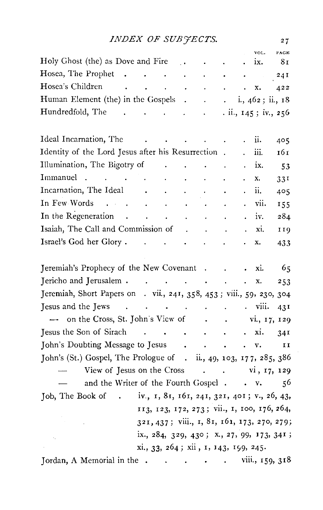# *INDEX OF SUB'JECTS.*

|                                                                                                                                            |            |                                                                                         |                 |                          | VOL.                                                                                                                                                     | PAGE                                        |
|--------------------------------------------------------------------------------------------------------------------------------------------|------------|-----------------------------------------------------------------------------------------|-----------------|--------------------------|----------------------------------------------------------------------------------------------------------------------------------------------------------|---------------------------------------------|
| Holy Ghost (the) as Dove and Fire                                                                                                          |            | $\sim$ 1.4                                                                              |                 | $\ddot{\phantom{0}}$     | ix.                                                                                                                                                      | 81                                          |
| <b>Hosea, The Prophet</b> .                                                                                                                | $\sim 100$ | $\mathcal{L}^{\mathcal{L}}(\mathbf{z})$ , where $\mathcal{L}^{\mathcal{L}}(\mathbf{z})$ |                 |                          | <b>All Controllers</b> and the second                                                                                                                    | 24I                                         |
| Hosea's Children<br>and the contract of the contract                                                                                       |            |                                                                                         |                 | <b>Contract Contract</b> | x.                                                                                                                                                       | 422                                         |
| Human Element (the) in the Gospels                                                                                                         |            |                                                                                         |                 |                          |                                                                                                                                                          | $\ldots$ i., 462; ii., 18                   |
| Hundredfold, The                                                                                                                           |            |                                                                                         |                 |                          |                                                                                                                                                          | . ii., 145; iv., 256                        |
| Ideal Incarnation, The                                                                                                                     |            |                                                                                         |                 |                          | ii.                                                                                                                                                      |                                             |
| Identity of the Lord Jesus after his Resurrection.                                                                                         |            | and the contract of the contract of                                                     |                 |                          |                                                                                                                                                          | 405                                         |
|                                                                                                                                            |            |                                                                                         |                 |                          | m.                                                                                                                                                       | 161                                         |
| Illumination, The Bigotry of Theory                                                                                                        |            |                                                                                         | $\sim$          |                          | ix.                                                                                                                                                      | 53                                          |
| Immanuel<br>$\mathcal{A}^{\mathcal{A}}$ and $\mathcal{A}^{\mathcal{A}}$ are $\mathcal{A}^{\mathcal{A}}$ . Then $\mathcal{A}^{\mathcal{A}}$ |            |                                                                                         | <b>Contract</b> |                          | x.                                                                                                                                                       | 331                                         |
| Incarnation, The Ideal                                                                                                                     |            |                                                                                         |                 |                          | ii.                                                                                                                                                      | 405                                         |
| In Few Words                                                                                                                               |            |                                                                                         |                 |                          | vii.                                                                                                                                                     | 155                                         |
| In the Regeneration.                                                                                                                       | $\sim 100$ | $\mathcal{L}(\mathcal{A})$ and $\mathcal{L}(\mathcal{A})$                               | $\sim 100$      | $\ddot{\phantom{0}}$     | iv.                                                                                                                                                      | 284                                         |
| Isaiah, The Call and Commission of                                                                                                         |            |                                                                                         |                 |                          | xi.                                                                                                                                                      | 119                                         |
|                                                                                                                                            |            |                                                                                         |                 |                          | x.                                                                                                                                                       | 433                                         |
| Jeremiah's Prophecy of the New Covenant                                                                                                    |            |                                                                                         |                 |                          | xi.                                                                                                                                                      | -65                                         |
| Jericho and Jerusalem                                                                                                                      |            |                                                                                         |                 |                          | x.                                                                                                                                                       | 253                                         |
| Jeremiah, Short Papers on . vii., 241, 358, 453; viii., 59, 230, 304                                                                       |            |                                                                                         |                 |                          |                                                                                                                                                          |                                             |
| Jesus and the Jews<br>$\sim$ $-$                                                                                                           |            |                                                                                         |                 |                          | $\cdots$ $\cdots$ $\cdots$ $\cdots$ $\cdots$ $\cdots$ $\cdots$ $\cdots$ $\cdots$ $\cdots$ $\cdots$ $\cdots$ $\cdots$ $\cdots$ $\cdots$ $\cdots$ $\cdots$ | 43I                                         |
| on the Cross, St. John's View of                                                                                                           |            |                                                                                         |                 |                          |                                                                                                                                                          | vi., 17, 129                                |
| Jesus the Son of Sirach                                                                                                                    |            |                                                                                         |                 |                          | $\cdot$ xi.                                                                                                                                              | 34I                                         |
| John's Doubting Message to Jesus                                                                                                           |            |                                                                                         |                 |                          | . <b>v.</b>                                                                                                                                              | II                                          |
| John's (St.) Gospel, The Prologue of . ii., 49, 103, 177, 285, 386                                                                         |            |                                                                                         |                 |                          |                                                                                                                                                          |                                             |
| View of Jesus on the Cross vi, 17, 129                                                                                                     |            |                                                                                         |                 |                          |                                                                                                                                                          |                                             |
| and the Writer of the Fourth Gospel. . v.                                                                                                  |            |                                                                                         |                 |                          |                                                                                                                                                          | 56                                          |
| Job, The Book of . iv., 1, 81, 161, 241, 321, 401; v., 26, 43,                                                                             |            |                                                                                         |                 |                          |                                                                                                                                                          |                                             |
|                                                                                                                                            |            |                                                                                         |                 |                          |                                                                                                                                                          | 113, 123, 172, 273; vii., 1, 100, 176, 264, |
|                                                                                                                                            |            |                                                                                         |                 |                          |                                                                                                                                                          | 321, 437; viii., 1, 81, 161, 173, 270, 279; |
|                                                                                                                                            |            |                                                                                         |                 |                          |                                                                                                                                                          | ix., 284, 329, 430; x., 27, 99, 173, 341;   |
|                                                                                                                                            |            |                                                                                         |                 |                          |                                                                                                                                                          |                                             |
|                                                                                                                                            |            |                                                                                         |                 |                          | xi., 33, 264; xii, 1, 143, 199, 245.                                                                                                                     |                                             |
| Jordan, A Memorial in the viii., 159, 318                                                                                                  |            |                                                                                         |                 |                          |                                                                                                                                                          |                                             |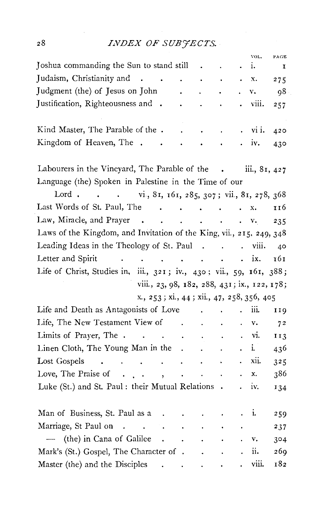# *INDEX OF SUB'JECTS.*

|                                                                                                               |                          |                                   |                                          |                          |           | VOL.          | PAGE           |
|---------------------------------------------------------------------------------------------------------------|--------------------------|-----------------------------------|------------------------------------------|--------------------------|-----------|---------------|----------------|
| Joshua commanding the Sun to stand still                                                                      |                          |                                   |                                          |                          |           | i.            | I              |
| Judaism, Christianity and<br>$\mathbf{r}$ , $\mathbf{r}$                                                      |                          | $\ddot{\phantom{a}}$              | $\sim$                                   | $\bullet$                | $\bullet$ | X.            | 275            |
| Judgment (the) of Jesus on John                                                                               |                          |                                   |                                          |                          |           | v.            | 98             |
| Justification, Righteousness and .                                                                            |                          |                                   | $\blacksquare$                           | $\bullet$                |           | viii.         | 257            |
|                                                                                                               |                          |                                   |                                          |                          |           |               |                |
| Kind Master, The Parable of the .                                                                             |                          |                                   | $\ddot{\phantom{0}}$                     |                          |           | $\cdot$ vi i. | 420            |
| Kingdom of Heaven, The<br>$\ddot{\phantom{a}}$                                                                |                          |                                   |                                          |                          |           | IV.           | 430            |
| Labourers in the Vineyard, The Parable of the . iii., 81, 427                                                 |                          |                                   |                                          |                          |           |               |                |
| Language (the) Spoken in Palestine in the Time of our                                                         |                          |                                   |                                          |                          |           |               |                |
| Lord vi, 81, 161, 285, 307; vii, 81, 278, 368                                                                 |                          |                                   |                                          |                          |           |               |                |
| Last Words of St. Paul, The .                                                                                 | $\sim$ $\sim$            | $\sim 100$ km s $^{-1}$           |                                          | <b>Contract Contract</b> |           | x.            | 116            |
| Law, Miracle, and Prayer                                                                                      |                          |                                   |                                          |                          |           |               | 235            |
| Laws of the Kingdom, and Invitation of the King, vii., 215, 249, 348                                          |                          |                                   |                                          |                          |           |               |                |
| Leading Ideas in the Theology of St. Paul viii.                                                               |                          |                                   |                                          |                          |           |               | - 40           |
| Letter and Spirit<br>$\cdots$ ix.                                                                             |                          |                                   |                                          |                          |           |               | 161            |
| Life of Christ, Studies in, iii., 321; iv., 430; vii., 59, 161, 388;                                          |                          |                                   |                                          |                          |           |               |                |
| viii., 23, 98, 182, 288, 431; ix., 122, 178;                                                                  |                          |                                   |                                          |                          |           |               |                |
| x., 253; xi., 44; xii., 47, 258, 356, 405                                                                     |                          |                                   |                                          |                          |           |               |                |
| Life and Death as Antagonists of Love                                                                         |                          |                                   | $\sim 10$<br>$\ddot{\phantom{0}}$        |                          |           | iii.          | 119            |
| Life, The New Testament View of .                                                                             |                          |                                   | $\sim 100$ km s $^{-1}$<br>$\sim$ $\sim$ |                          |           | v.            | 7 <sup>2</sup> |
| Limits of Prayer, The                                                                                         |                          |                                   | $\mathcal{A}_1$                          | $\ddot{\phantom{1}}$     |           | VI.           | 113            |
| Linen Cloth, The Young Man in the .                                                                           |                          |                                   | $\sim 100$                               |                          |           | i.            | 436            |
| Lost Gospels<br>$\mathcal{L}(\mathbf{z})$ . The contribution of the contribution of $\mathcal{L}(\mathbf{z})$ |                          |                                   |                                          |                          |           | xii.          | 325            |
| Love, The Praise of .<br>$\mathcal{L}^{\text{max}}$                                                           | $\overline{\phantom{a}}$ | $\sim 10^{-11}$                   | $\sim$                                   |                          |           | x.            | 386            |
| Luke (St.) and St. Paul : their Mutual Relations .                                                            |                          |                                   |                                          |                          |           | iv.           | 134            |
| Man of Business, St. Paul as a                                                                                | $\ddot{\phantom{1}}$     | $\bullet$                         | $\sim$                                   | $\blacksquare$           |           | i.            | 259            |
| Marriage, St Paul on<br><b>Contractor</b>                                                                     |                          | $\sim 100$ km s $^{-1}$           | $\ddot{\phantom{0}}$                     |                          |           |               | 237            |
| - (the) in Cana of Galilee                                                                                    | $\mathcal{L}_{\bullet}$  |                                   | $\sim 100$                               | $\blacksquare$ .         |           | v.            | 304            |
| Mark's (St.) Gospel, The Character of .                                                                       |                          |                                   | $\sim$ $\sim$                            | $\ddot{\phantom{a}}$     |           | ü.            | 269            |
| Master (the) and the Disciples                                                                                |                          | <b>Contract Contract Contract</b> |                                          |                          |           | viii.         | 182            |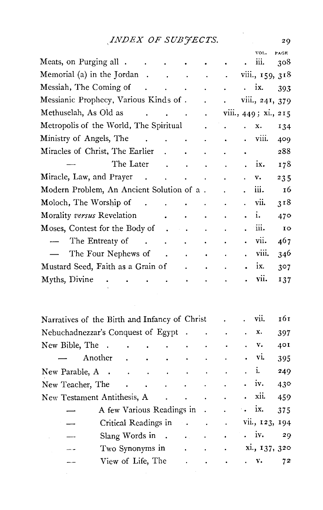# $\begin{array}{lll}\n & INDEX \; OF \; SUB\textit{FECTS.} & \hspace*{2.5cm} & 29\n\end{array}$

|                                               |                                                                                                 |                           |                                                             |                      |                      |                           | VOL.                 | PAGE |
|-----------------------------------------------|-------------------------------------------------------------------------------------------------|---------------------------|-------------------------------------------------------------|----------------------|----------------------|---------------------------|----------------------|------|
| Meats, on Purging all                         |                                                                                                 | $\ddot{\phantom{0}}$      |                                                             | ٠                    | $\bullet$            |                           | iii.                 | 308  |
| Memorial (a) in the Jordan.                   | $\sim$ $\sim$                                                                                   | <b>Contract</b>           |                                                             | $\sim$ $\sim$        | t,                   |                           | viii., 159, 318      |      |
| Messiah, The Coming of                        | $\mathbf{r}$                                                                                    | $\mathbf{L}^{\text{max}}$ | $\sim$                                                      | $\ddot{\phantom{0}}$ | $\ddot{\phantom{0}}$ | $\ddot{\phantom{0}}$      | ix.                  | 393  |
| Messianic Prophecy, Various Kinds of.         |                                                                                                 |                           |                                                             | $\ddot{\phantom{0}}$ |                      |                           | viii., 241, 379      |      |
| Methuselah, As Old as                         | $\mathcal{A}^{\mathcal{A}}$ and $\mathcal{A}^{\mathcal{A}}$ and $\mathcal{A}^{\mathcal{A}}$ and |                           |                                                             | $\ddot{\phantom{0}}$ |                      |                           | viii., 449; xi., 215 |      |
| Metropolis of the World, The Spiritual        |                                                                                                 |                           |                                                             | $\ddot{\phantom{0}}$ | $\ddot{\phantom{a}}$ |                           | x.                   | 134  |
| Ministry of Angels, The                       | <b>Carl Command</b>                                                                             |                           |                                                             | $\ddot{\phantom{0}}$ | $\ddot{\phantom{0}}$ |                           | viii.                | 409  |
| Miracles of Christ, The Earlier               |                                                                                                 |                           |                                                             | $\ddot{\phantom{0}}$ | $\ddot{\phantom{0}}$ | $\bullet$                 |                      | 288  |
| The Later                                     |                                                                                                 |                           | $\ddot{\phantom{0}}$                                        | $\ddot{\phantom{0}}$ | $\ddot{\phantom{0}}$ | ä.                        | ix.                  | 178  |
| Miracle, Law, and Prayer                      | $\sim$                                                                                          | <b>Contractor</b>         | $\bullet$ . The second second $\bullet$                     |                      |                      |                           | v.                   | 235  |
| Modern Problem, An Ancient Solution of a.     |                                                                                                 |                           |                                                             |                      | $\ddot{\phantom{0}}$ |                           | iii.                 | 16   |
| Moloch, The Worship of                        | $\sim$                                                                                          | $\ddot{\phantom{0}}$      | $\ddot{\phantom{0}}$                                        | $\ddot{\bullet}$     | $\ddot{\phantom{0}}$ |                           | vii.                 | 318  |
| Morality versus Revelation                    |                                                                                                 |                           |                                                             |                      |                      |                           | i.                   | 470  |
| Moses, Contest for the Body of                |                                                                                                 |                           |                                                             | $\ddot{\phantom{0}}$ | $\ddot{\phantom{0}}$ |                           | iii.                 | IO   |
| The Entreaty of                               | <b>Carl Corporation</b>                                                                         |                           | $\ddot{\phantom{0}}$                                        | $\ddot{\phantom{0}}$ |                      |                           | vii.                 | 467  |
| The Four Nephews of                           |                                                                                                 | $\sim 10$                 | $\ddot{\phantom{a}}$                                        | $\bullet$            |                      |                           | viii.                | 346  |
| Mustard Seed, Faith as a Grain of             |                                                                                                 |                           |                                                             |                      |                      |                           | ix.                  | 307  |
| Myths, Divine                                 |                                                                                                 |                           | $\bullet$                                                   |                      |                      |                           | vii.                 | 137  |
|                                               |                                                                                                 |                           |                                                             |                      |                      |                           |                      |      |
|                                               |                                                                                                 |                           |                                                             |                      |                      |                           |                      |      |
| Narratives of the Birth and Infancy of Christ |                                                                                                 |                           |                                                             |                      |                      |                           | vii.                 | 161  |
| Nebuchadnezzar's Conquest of Egypt.           |                                                                                                 |                           |                                                             |                      |                      |                           | x.                   | 397  |
| New Bible, The.<br>$\bullet$                  | $\ddot{\phantom{0}}$                                                                            | $\ddot{\phantom{0}}$      |                                                             |                      |                      |                           | v.                   | 401  |
| Another                                       | $\ddot{\phantom{0}}$                                                                            |                           |                                                             |                      |                      |                           | vi.                  | 395  |
| New Parable, A<br>$\sim$<br>$\sim$            | $\sim$                                                                                          | $\ddot{\phantom{1}}$      | $\ddot{\phantom{0}}$                                        |                      |                      |                           | i.                   | 249  |
| New Teacher, The                              |                                                                                                 | $\cdot$                   | $\ddot{\phantom{0}}$                                        | $\ddot{\phantom{0}}$ | $\ddot{\phantom{0}}$ |                           | iv.                  | 430  |
| New Testament Antithesis, A                   |                                                                                                 |                           |                                                             | $\ddot{\phantom{0}}$ | $\ddot{\phantom{0}}$ |                           | xii.                 | 459  |
| A few Various Readings in .                   |                                                                                                 |                           |                                                             |                      |                      | $\mathcal{L}_{\bullet}$ . | ix.                  | 375  |
| Critical Readings in                          |                                                                                                 |                           | $\mathcal{O}(\mathbf{a}^2)$ and $\mathcal{O}(\mathbf{a}^2)$ |                      | $\ddot{\phantom{a}}$ |                           | vii., 123, 194       |      |
| Slang Words in.                               |                                                                                                 |                           | $\mathbf{L}$                                                | $\ddot{\phantom{0}}$ | ä.                   |                           | iv.                  | 29   |
| Two Synonyms in                               |                                                                                                 |                           | a.                                                          | ٠                    |                      |                           | xi., 137, 320        |      |
| View of Life, The                             |                                                                                                 |                           | $\blacksquare$                                              | $\bullet$            |                      |                           | ٧.                   | 72   |
|                                               |                                                                                                 |                           |                                                             |                      |                      |                           |                      |      |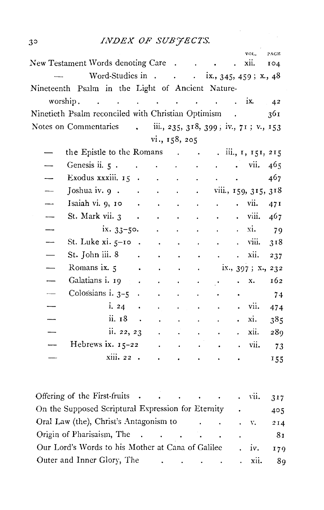# *INDEX OF SUBJECTS.*

|                                                                                                   |           |                                                |                         |                             |                      |                                                         | VOL.                 | PAGE |
|---------------------------------------------------------------------------------------------------|-----------|------------------------------------------------|-------------------------|-----------------------------|----------------------|---------------------------------------------------------|----------------------|------|
| New Testament Words denoting Care .                                                               |           |                                                |                         | and the company of the com- |                      |                                                         | xii.                 | IO4  |
| Word-Studies in ix., 345, 459; x., 48                                                             |           |                                                |                         |                             |                      |                                                         |                      |      |
| Nineteenth Psalm in the Light of Ancient Nature-                                                  |           |                                                |                         |                             |                      |                                                         |                      |      |
| worship.                                                                                          |           |                                                |                         |                             |                      |                                                         |                      | 42   |
| Ninetieth Psalm reconciled with Christian Optimism .                                              |           |                                                |                         |                             |                      |                                                         |                      | 361  |
| Notes on Commentaries                                                                             |           | $\ldots$ iii., 235, 318, 399; iv., 71; v., 153 |                         |                             |                      |                                                         |                      |      |
|                                                                                                   |           | vi., 158, 205                                  |                         |                             |                      |                                                         |                      |      |
| the Epistle to the Romans $\ldots$ $\ldots$ $\ldots$ $\ldots$ $\ldots$ $\ldots$ $\ldots$ $\ldots$ |           |                                                |                         |                             |                      |                                                         |                      |      |
| Genesis ii. $5 \cdot \cdot \cdot \cdot \cdot \cdot$                                               |           |                                                |                         |                             | $\mathbf{L}$         |                                                         | $\cdot$ vii.         | 465  |
| Exodus xxxiii. $15 \cdot \cdot \cdot$                                                             |           |                                                |                         |                             |                      | $\mathbf{L}^{\text{max}}$ and $\mathbf{L}^{\text{max}}$ |                      | 467  |
| Joshua iv. $9 \cdot \cdot \cdot \cdot \cdot$                                                      |           |                                                |                         |                             |                      |                                                         | viii., 159, 315, 318 |      |
| Isaiah vi. $9, 10$                                                                                |           |                                                | $\sim 100$ km s $^{-1}$ | ¥.                          |                      |                                                         | vii.                 | 47I  |
| St. Mark vii. 3.                                                                                  |           | $\sim 100$                                     | $\sim$ $\sim$           | $\ddot{\phantom{0}}$        |                      |                                                         | viii.                | 467  |
| $ix. 33-50.$                                                                                      |           |                                                |                         |                             |                      |                                                         | xi.                  | 79   |
| St. Luke $xi$ . $5-10$ .                                                                          |           | $\sim$ $\sim$                                  | $\bullet$               | $\bullet$                   |                      |                                                         | viii.                | 318  |
| St. John iii. 8 .                                                                                 |           |                                                |                         |                             |                      | $\ddot{\phantom{0}}$                                    | xii.                 | 237  |
| Romans ix. 5                                                                                      | $\bullet$ | $\ddot{\phantom{0}}$                           |                         | $\bullet$                   |                      |                                                         | ix., 397; x., 232    |      |
| Galatians i. 19 .                                                                                 |           |                                                |                         |                             |                      |                                                         | x.                   | 162  |
| Colossians $i.3-5$ .                                                                              |           |                                                |                         |                             |                      | $\bullet$                                               |                      | 74   |
| i. 24                                                                                             | $\bullet$ |                                                | $\ddot{\phantom{0}}$    |                             |                      |                                                         | vii.                 | 474  |
| ii. 18                                                                                            | $\sim 10$ | $\ddot{\phantom{0}}$                           |                         | $\ddot{\phantom{0}}$        |                      |                                                         | xi.                  | 385  |
| ii. 22, 23                                                                                        |           |                                                |                         |                             |                      |                                                         | xii.                 | 289  |
| Hebrews ix. $15-22$                                                                               |           |                                                |                         |                             |                      |                                                         | vii.                 | 73   |
| xiii. 22 .                                                                                        |           | $\ddot{\phantom{0}}$                           | $\bullet$               |                             | $\ddot{\phantom{0}}$ | $\bullet$                                               |                      | 155  |
|                                                                                                   |           |                                                |                         |                             |                      |                                                         |                      |      |

| Offering of the First-fruits vii. 317                                                                 |  |  |      |
|-------------------------------------------------------------------------------------------------------|--|--|------|
| On the Supposed Scriptural Expression for Eternity .                                                  |  |  | 405  |
|                                                                                                       |  |  | 214  |
|                                                                                                       |  |  | - 81 |
| Our Lord's Words to his Mother at Cana of Galilee . iv. 179                                           |  |  |      |
| Outer and Inner Glory, The<br>$\cdots$ $\cdots$ $\cdots$ $\cdots$ $\cdots$ $\cdots$ $\cdots$ $\cdots$ |  |  | 89   |

 $3<sup>5</sup>$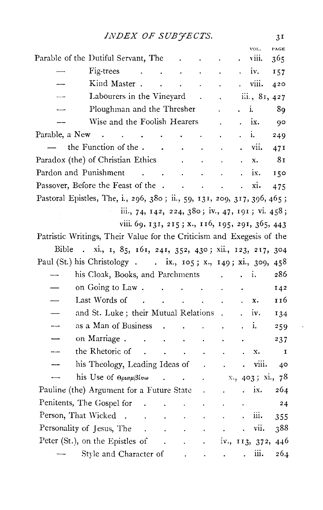|                | INDEX OF SUBJECTS.                                                      |                                                                  |                                                         |                                                       |                                        |                      |                      |                | 3I           |
|----------------|-------------------------------------------------------------------------|------------------------------------------------------------------|---------------------------------------------------------|-------------------------------------------------------|----------------------------------------|----------------------|----------------------|----------------|--------------|
|                |                                                                         |                                                                  |                                                         |                                                       |                                        |                      |                      | VOL.           | PAGE         |
|                | Parable of the Dutiful Servant, The                                     |                                                                  |                                                         |                                                       | $\ddot{\phantom{0}}$                   | $\bullet$ .          |                      | viii.          | 365          |
|                | Fig-trees<br>$\sim$                                                     | $\sim$ $\sim$                                                    |                                                         |                                                       |                                        |                      | $\cdot$ iv.          |                | 157          |
|                | Kind Master.                                                            | $\ddot{\phantom{a}}$                                             |                                                         |                                                       | $\mathbf{r} = \mathbf{r} + \mathbf{r}$ |                      |                      | viii.          | 420          |
|                | Labourers in the Vineyard                                               |                                                                  |                                                         | $\sim 10^7$                                           |                                        | $\ddot{\phantom{a}}$ |                      | iii., 81, 427  |              |
|                | Ploughman and the Thresher                                              |                                                                  |                                                         |                                                       |                                        |                      |                      | i.             | 89           |
|                | Wise and the Foolish Hearers                                            |                                                                  |                                                         |                                                       |                                        |                      | $\cdot$ ix.          |                | 90           |
| Parable, a New | $\ddot{\phantom{1}}$                                                    | and the control of the                                           |                                                         | $\bullet$ .                                           |                                        |                      | $\ddot{\phantom{0}}$ | i.             | 249          |
|                | the Function of the.                                                    | $\sim$ $\sim$                                                    | $\sim$                                                  |                                                       |                                        |                      |                      | vii.           | 471          |
|                | Paradox (the) of Christian Ethics                                       |                                                                  |                                                         | $\ddot{\phantom{0}}$                                  | $\ddot{\phantom{0}}$                   |                      |                      | x.             | 81           |
|                | Pardon and Punishment                                                   | $\mathcal{L}(\mathcal{A})$ and $\mathcal{L}(\mathcal{A})$ . Then |                                                         |                                                       | $\ddot{\phantom{a}}$                   |                      |                      | ix.            | 150          |
|                | Passover, Before the Feast of the                                       |                                                                  |                                                         |                                                       |                                        | $\sim$ $\sim$        | $\ddot{\phantom{0}}$ | xi.            | 475          |
|                | Pastoral Epistles, The, i., 296, 380; ii., 59, 131, 209, 317, 396, 465; |                                                                  |                                                         |                                                       |                                        |                      |                      |                |              |
|                |                                                                         | iii., 74, 142, 224, 380; iv., 47, 191; vi. 458;                  |                                                         |                                                       |                                        |                      |                      |                |              |
|                |                                                                         | viii. 69, 131, 215; x., 116, 195, 291, 365, 443                  |                                                         |                                                       |                                        |                      |                      |                |              |
|                | Patristic Writings, Their Value for the Criticism and Exegesis of the   |                                                                  |                                                         |                                                       |                                        |                      |                      |                |              |
| Bible          | . xi., 1, 85, 161, 241, 352, 430; xii., 123, 217, 304                   |                                                                  |                                                         |                                                       |                                        |                      |                      |                |              |
|                | Paul (St.) his Christology ix., 105; x., 149; xi., 309, 458             |                                                                  |                                                         |                                                       |                                        |                      |                      |                |              |
|                | his Cloak, Books, and Parchments                                        |                                                                  |                                                         |                                                       |                                        | $\ddot{\phantom{0}}$ | $\ldots$ i.          |                | 286          |
|                | on Going to Law.                                                        |                                                                  |                                                         |                                                       | $\sim 100$                             |                      |                      |                | 142          |
|                | Last Words of                                                           | the contract of the contract of                                  |                                                         |                                                       |                                        |                      |                      | x.             | 116          |
|                | and St. Luke; their Mutual Relations .                                  |                                                                  |                                                         |                                                       |                                        |                      |                      | IV.            | 134          |
|                | as a Man of Business                                                    |                                                                  | <b>Contract Contract</b>                                |                                                       | <b>Contractor</b>                      | $\ddot{\phantom{a}}$ |                      | i.             |              |
|                | on Marriage.                                                            |                                                                  |                                                         |                                                       |                                        |                      |                      |                | 259          |
|                |                                                                         | $\mathcal{L}_{\bullet}$<br>$\sim$                                |                                                         | $\ddot{\phantom{a}}$                                  | ÷.                                     |                      |                      |                | 237          |
|                | the Rhetoric of                                                         | $\mathcal{L}(\mathcal{A})$ and $\mathcal{L}(\mathcal{A})$        |                                                         | <b>Contractor</b>                                     | $\epsilon$                             |                      |                      | x.             | $\mathbf{I}$ |
|                | his Theology, Leading Ideas of                                          |                                                                  |                                                         |                                                       |                                        |                      | $\ddot{\phantom{0}}$ | viii.          | 40           |
|                | his Use of $\theta \rho \alpha \mu \beta \epsilon \nu \omega$           |                                                                  |                                                         |                                                       |                                        |                      |                      | x, 403; x1, 78 |              |
|                | Pauline (the) Argument for a Future State.                              |                                                                  |                                                         |                                                       |                                        |                      | a co                 | ix.            | 264          |
|                | Penitents, The Gospel for                                               |                                                                  |                                                         | $\mathbf{r} = \mathbf{r}$ , $\mathbf{r} = \mathbf{r}$ | $\mathcal{L}^{\mathcal{L}}$            |                      |                      |                | 24           |
|                | Person, That Wicked                                                     |                                                                  |                                                         | <b>Contract Contract</b>                              |                                        |                      | $\mathbf{r}$         | iii.           | 355          |
|                | Personality of Jesus, The                                               | $\sim 10^{11}$ km $^{-1}$                                        | $\ddot{\phantom{a}}$                                    | $\sim$                                                |                                        |                      |                      | . vii.         | 388          |
|                | Peter (St.), on the Epistles of                                         |                                                                  | $\mathcal{L}(\mathbf{A})$ and $\mathcal{L}(\mathbf{A})$ |                                                       | $\sim$ 100 $\mu$                       |                      |                      | iv., 113, 372, | 446          |
|                | Style and Character of                                                  |                                                                  |                                                         |                                                       |                                        |                      |                      | iii.           | 264          |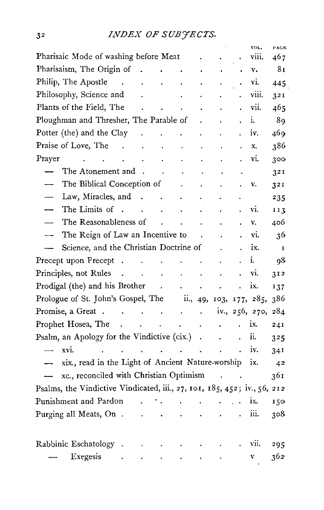|                                                                                    |                      |                                                       |                      |                                                                                                   |                             | VOL.           | PAGE         |
|------------------------------------------------------------------------------------|----------------------|-------------------------------------------------------|----------------------|---------------------------------------------------------------------------------------------------|-----------------------------|----------------|--------------|
| Pharisaic Mode of washing before Meat                                              |                      |                                                       |                      |                                                                                                   |                             | viii.          | 467          |
| Pharisaism, The Origin of<br>$\ddot{\phantom{a}}$                                  | $\ddot{\phantom{a}}$ | $\sim 10$                                             | $\ddot{\phantom{0}}$ |                                                                                                   |                             | v.             | 81           |
| Philip, The Apostle .<br>$\mathcal{L}^{\pm}$                                       | $\ddot{\phantom{0}}$ |                                                       |                      | ÷.                                                                                                |                             | vi.            | 445          |
| Philosophy, Science and                                                            |                      | $\ddot{\phantom{a}}$                                  | $\blacksquare$       |                                                                                                   |                             | viii.          | 321          |
| Plants of the Field, The<br>and the contract of the con-                           |                      |                                                       | $\ddot{\phantom{1}}$ | $\ddot{\phantom{0}}$                                                                              | $\ddot{\phantom{0}}$        | vii.           | 465          |
| Ploughman and Thresher, The Parable of                                             |                      |                                                       |                      |                                                                                                   |                             | i.             | 89           |
| Potter (the) and the Clay<br><b>Contract Contract</b>                              | $\ddot{\phantom{a}}$ | $\ddot{\phantom{0}}$                                  | $\ddot{\phantom{0}}$ |                                                                                                   | $\ddot{\phantom{a}}$        | iv.            | 469          |
| Praise of Love, The<br>$\sim 100$ km s $^{-1}$                                     | $\ddot{\phantom{0}}$ | $\ddot{\phantom{0}}$                                  |                      |                                                                                                   |                             | X.             | 386          |
| Prayer<br><b>Contract Contract</b><br>$\overline{a}$                               | $\ddot{\phantom{0}}$ | $\ddot{\phantom{0}}$                                  |                      |                                                                                                   |                             | vi.            | 300          |
| The Atonement and .                                                                | $\ddot{\phantom{0}}$ | $\ddot{\phantom{0}}$                                  |                      |                                                                                                   |                             |                | 32I          |
| The Biblical Conception of                                                         |                      |                                                       |                      |                                                                                                   |                             | v.             | 32 I         |
| Law, Miracles, and.<br>$\overline{\phantom{0}}$                                    | <b>Contractor</b>    | $\ddot{\phantom{0}}$                                  | $\ddot{\phantom{0}}$ |                                                                                                   |                             |                | 235          |
| The Limits of .<br>$\overline{\phantom{0}}$<br>and the contract of the contract of |                      |                                                       | $\ddot{\phantom{0}}$ |                                                                                                   |                             | vi.            | 113          |
| The Reasonableness of                                                              | $\sim 10^{-11}$      | $\ddot{\phantom{a}}$                                  | $\sim$               | $\ddot{\phantom{0}}$                                                                              |                             | v.             | 406          |
| The Reign of Law an Incentive to<br>$\overline{\phantom{0}}$                       |                      |                                                       | $\ddot{\phantom{a}}$ |                                                                                                   |                             | vi.            | 36           |
| Science, and the Christian Doctrine of<br>$\qquad \qquad$                          |                      |                                                       |                      |                                                                                                   |                             | ix.            | $\mathbf{I}$ |
| Precept upon Precept                                                               |                      |                                                       |                      |                                                                                                   |                             | i.             | 98           |
| Principles, not Rules.<br>$\sim$ $\sim$                                            | $\sim$               | $\sim$ $-$                                            | $\hat{\bullet}$      | $\ddot{\phantom{0}}$                                                                              |                             | vi.            | 312          |
| Prodigal (the) and his Brother                                                     |                      |                                                       |                      | $\ddot{\phantom{0}}$                                                                              | $\ddot{\phantom{0}}$        | ix.            | 137          |
| Prologue of St. John's Gospel, The ii., 49, 103, 177, 285,                         |                      |                                                       |                      |                                                                                                   |                             |                | 386          |
| Promise, a Great                                                                   |                      |                                                       |                      |                                                                                                   |                             | iv., 256, 270, | 284          |
| Prophet Hosea, The<br>$\sim 100$ km s $^{-1}$                                      |                      | $\mathcal{L} \rightarrow \mathcal{L}$ , $\mathcal{L}$ | $\bullet$            | ï                                                                                                 |                             | iх.            | 241          |
| Psalm, an Apology for the Vindictive (cix.) .                                      |                      |                                                       |                      | $\ddot{\phantom{0}}$                                                                              |                             | ii.            | 325          |
| xvi.<br>الأرابية التعاريب والمنابذ<br>$\overline{\phantom{0}}$                     |                      |                                                       |                      | $\ddot{\phantom{a}}$                                                                              |                             | iv.            | 34I          |
| xix., read in the Light of Ancient Nature-worship                                  |                      |                                                       |                      |                                                                                                   |                             | ix.            | 42           |
| xc., reconciled with Christian Optimism                                            |                      |                                                       |                      | $\sim 100$ km s $^{-1}$                                                                           |                             |                | 361          |
| Psalms, the Vindictive Vindicated, iii., 27, 101, 185, 452; iv., 56, 212           |                      |                                                       |                      |                                                                                                   |                             |                |              |
| Punishment and Pardon<br>$\mathbf{r}$                                              |                      |                                                       |                      | $\mathbf{r}^{\left(1\right)}$ and $\mathbf{r}^{\left(2\right)}$ and $\mathbf{r}^{\left(3\right)}$ | $\mathbb{R}^{\mathbb{Z}}$ . | ix.            | 150          |
| Purging all Meats, On.<br>$\ddot{\phantom{a}}$                                     | $\ddot{\phantom{1}}$ |                                                       |                      |                                                                                                   |                             | iii.           | 308          |
|                                                                                    |                      |                                                       |                      |                                                                                                   |                             |                |              |
|                                                                                    |                      |                                                       |                      |                                                                                                   |                             |                |              |
| Rabbinic Eschatology                                                               |                      |                                                       | $\cdot$              |                                                                                                   |                             | vii.           | 295          |
| Exegesis<br>÷,                                                                     |                      |                                                       |                      | $\ddot{\phantom{0}}$                                                                              |                             | V              | 362          |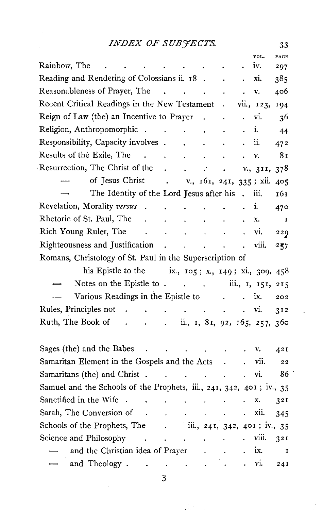33

|                                                                                                                                                                                                                                                                                                                                                                   |                                            |                                                             |                                   |                                                         |                      | VOL.       | PACE        |
|-------------------------------------------------------------------------------------------------------------------------------------------------------------------------------------------------------------------------------------------------------------------------------------------------------------------------------------------------------------------|--------------------------------------------|-------------------------------------------------------------|-----------------------------------|---------------------------------------------------------|----------------------|------------|-------------|
| Rainbow, The<br>$\bullet$ . In the case of the case of the case of the case of the case of the case of the case of the case of the case of the case of the case of the case of the case of the case of the case of the case of the case of the cas                                                                                                                |                                            |                                                             |                                   |                                                         |                      | IV.        | 297         |
| Reading and Rendering of Colossians ii. 18.                                                                                                                                                                                                                                                                                                                       |                                            |                                                             |                                   |                                                         |                      | xi.        | 385         |
| Reasonableness of Prayer, The                                                                                                                                                                                                                                                                                                                                     | $\mathbb{R}^n$ . The set of $\mathbb{R}^n$ | $\sim$ $\sim$                                               |                                   |                                                         |                      | v.         | 406         |
| Recent Critical Readings in the New Testament                                                                                                                                                                                                                                                                                                                     |                                            |                                                             |                                   | $\ddot{\phantom{0}}$                                    |                      | vii., 123, | 194         |
| Reign of Law (the) an Incentive to Prayer.                                                                                                                                                                                                                                                                                                                        |                                            |                                                             |                                   | $\blacksquare$                                          |                      | vi.        | 36          |
| Religion, Anthropomorphic.                                                                                                                                                                                                                                                                                                                                        | $\sim 100$                                 | $\sim$ .                                                    | $\ddot{\phantom{0}}$              |                                                         |                      | i.         | 44          |
| Responsibility, Capacity involves.                                                                                                                                                                                                                                                                                                                                |                                            |                                                             | $\ddot{\phantom{a}}$              |                                                         |                      | ii.        | 472         |
| Results of the Exile, The<br>$\mathbf{r}$                                                                                                                                                                                                                                                                                                                         | <b>Contractor</b>                          | $\sim 100$ km s $^{-1}$                                     |                                   |                                                         |                      | v.         | 81          |
| Resurrection, The Christ of the                                                                                                                                                                                                                                                                                                                                   | $\ddot{\phantom{a}}$                       | $\mathbf{r}$                                                | $\cdot$                           |                                                         |                      | V., 311,   | 378         |
| of Jesus Christ .                                                                                                                                                                                                                                                                                                                                                 |                                            | v., 161, 241, 335; xii.                                     |                                   |                                                         |                      |            | 405         |
| The Identity of the Lord Jesus after his                                                                                                                                                                                                                                                                                                                          |                                            |                                                             |                                   |                                                         | $\ddot{\phantom{a}}$ | iii.       | 161         |
| Revelation, Morality versus.                                                                                                                                                                                                                                                                                                                                      |                                            | and the contract of the                                     | $\ddot{\phantom{0}}$              |                                                         |                      | i.         | 470         |
| Rhetoric of St. Paul, The<br>$\sim 10^{-1}$                                                                                                                                                                                                                                                                                                                       |                                            | $\ddot{\bullet}$                                            |                                   |                                                         |                      | x.         | $\mathbf I$ |
| Rich Young Ruler, The<br>$\mathcal{A}^{\mathcal{A}}$ and $\mathcal{A}^{\mathcal{A}}_{\mathcal{A}}$                                                                                                                                                                                                                                                                |                                            | $\ddot{\phantom{0}}$                                        | $\ddot{\phantom{0}}$              |                                                         |                      | vi.        | 229         |
| Righteousness and Justification                                                                                                                                                                                                                                                                                                                                   | <b>Contract Contract</b>                   | $\ddot{\phantom{a}}$                                        | <b>Contract Contract Contract</b> |                                                         | $\ddot{\phantom{0}}$ | viii.      | 257         |
| Romans, Christology of St. Paul in the Superscription of                                                                                                                                                                                                                                                                                                          |                                            |                                                             |                                   |                                                         |                      |            |             |
| his Epistle to the $ix, i \circ 5; x, i \circ 49; xi, j \circ 9, 458$                                                                                                                                                                                                                                                                                             |                                            |                                                             |                                   |                                                         |                      |            |             |
| Notes on the Epistle to iii., 1, 151, 215                                                                                                                                                                                                                                                                                                                         |                                            |                                                             |                                   |                                                         |                      |            |             |
| Various Readings in the Epistle to                                                                                                                                                                                                                                                                                                                                |                                            |                                                             |                                   | $\mathbf{L}^{\text{max}}$ and $\mathbf{L}^{\text{max}}$ |                      | ix.        | 202         |
| Rules, Principles not                                                                                                                                                                                                                                                                                                                                             | $\ddot{\phantom{0}}$                       | and the contract of                                         |                                   |                                                         | $\ddot{\phantom{0}}$ | vi.        | 312         |
| Ruth, The Book of<br>$\ldots$ $\ldots$ $\ldots$ $\ldots$ $\ldots$ $\ldots$ $\ldots$ $\ldots$ $\ldots$ $\ldots$ $\ldots$ $\ldots$ $\ldots$ $\ldots$ $\ldots$ $\ldots$ $\ldots$ $\ldots$ $\ldots$ $\ldots$ $\ldots$ $\ldots$ $\ldots$ $\ldots$ $\ldots$ $\ldots$ $\ldots$ $\ldots$ $\ldots$ $\ldots$ $\ldots$ $\ldots$ $\ldots$ $\ldots$ $\ldots$ $\ldots$ $\ldots$ |                                            |                                                             |                                   |                                                         |                      |            | 360         |
|                                                                                                                                                                                                                                                                                                                                                                   |                                            |                                                             |                                   |                                                         |                      |            |             |
| Sages (the) and the Babes                                                                                                                                                                                                                                                                                                                                         |                                            | the contract of the contract of                             |                                   |                                                         |                      | v.         | 421         |
| Samaritan Element in the Gospels and the Acts .                                                                                                                                                                                                                                                                                                                   |                                            |                                                             |                                   |                                                         |                      | VII.       | 22          |
| Samaritans (the) and Christ.                                                                                                                                                                                                                                                                                                                                      |                                            | and the contract of the contract of                         |                                   |                                                         |                      | vi.        | 86          |
| Samuel and the Schools of the Prophets, iii., 241, 342, 401; iv., 35                                                                                                                                                                                                                                                                                              |                                            |                                                             |                                   |                                                         |                      |            |             |
| Sanctified in the Wife                                                                                                                                                                                                                                                                                                                                            | $\sim 100$ km s $^{-1}$                    |                                                             | <b>All Contracts</b>              |                                                         |                      | X.         | 32I         |
| Sarah, The Conversion of<br>$\sim$                                                                                                                                                                                                                                                                                                                                | $\ddot{\phantom{a}}$                       |                                                             |                                   |                                                         |                      | xii.       | 345         |
| Schools of the Prophets, The                                                                                                                                                                                                                                                                                                                                      |                                            | iii., 241, 342, 401; iv., 35                                |                                   |                                                         |                      |            |             |
| Science and Philosophy                                                                                                                                                                                                                                                                                                                                            |                                            | $\mathbf{r} = \mathbf{r} + \mathbf{r}$ , where $\mathbf{r}$ | $\mathbf{r}$                      |                                                         |                      | viii.      | 321         |
| and the Christian idea of Prayer .                                                                                                                                                                                                                                                                                                                                |                                            |                                                             |                                   |                                                         |                      | ix.        | 1           |
| and Theology.<br>$\cdot$                                                                                                                                                                                                                                                                                                                                          | $\epsilon_{\rm{max}}$                      |                                                             |                                   |                                                         |                      | vi.        | 241         |
|                                                                                                                                                                                                                                                                                                                                                                   |                                            |                                                             |                                   |                                                         |                      |            |             |

3

ji politika<br>Saman

ł,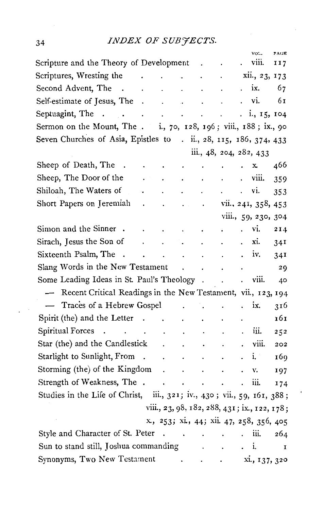# 34 *INDEX OF SUBJECTS.*

|                                                                         |                              |                      |                         |                      |                                              |                      | VOL.                | PAGE |
|-------------------------------------------------------------------------|------------------------------|----------------------|-------------------------|----------------------|----------------------------------------------|----------------------|---------------------|------|
| Scripture and the Theory of Development                                 |                              |                      |                         |                      | ٠                                            |                      | viii.               | 117  |
| Scriptures, Wresting the                                                | the contract of the contract |                      |                         | $\cdot$              |                                              |                      | xii., 23, 173       |      |
| Second Advent, The.                                                     | $\ddot{\phantom{0}}$         | $\sim$               | $\cdot$                 | $\ddot{\phantom{a}}$ | $\ddot{\phantom{0}}$                         | $\ddot{\phantom{0}}$ | ix.                 | 67   |
| Self-estimate of Jesus, The                                             |                              |                      |                         | $\sim$ $\sim$        |                                              |                      | . vi.               | 61   |
| Septuagint, The<br><b>Contract Contract Contract</b>                    |                              | <b>Service</b> State |                         |                      |                                              | $\ddot{\phantom{0}}$ | i., 15, 104         |      |
| Sermon on the Mount, The . i., 70, 128, 196; viii., 188; ix., 90        |                              |                      |                         |                      |                                              |                      |                     |      |
| Seven Churches of Asia, Epistles to . ii., 28, 115, 186, 374, 433       |                              |                      |                         |                      |                                              |                      |                     |      |
|                                                                         |                              |                      |                         |                      | iii., 48, 204, 282, 433                      |                      |                     |      |
| Sheep of Death, The                                                     |                              | $\bullet$            | $\bullet$               |                      |                                              |                      | x.                  | 466  |
| Sheep, The Door of the                                                  |                              |                      |                         |                      |                                              | $\ddot{\phantom{0}}$ | viii.               | 359  |
| Shiloah, The Waters of                                                  |                              |                      |                         |                      |                                              | $\cdot$              | VI.                 | 353  |
| Short Papers on Jeremiah                                                |                              | $\ddot{\phantom{0}}$ | $\mathbf{r}$            | $\ddot{\phantom{0}}$ |                                              |                      | vii., 241, 358, 453 |      |
|                                                                         |                              |                      |                         |                      |                                              |                      | viii., 59, 230, 304 |      |
| Simon and the Sinner.                                                   |                              | $\bullet$            | $\ddot{\phantom{0}}$    | $\bullet$            | ÷                                            |                      | vi.                 | 214  |
| Sirach, Jesus the Son of                                                | $\ddot{\phantom{0}}$         | $\ddot{\phantom{0}}$ |                         | $\ddot{\phantom{0}}$ |                                              |                      | xi.                 | 341  |
| Sixteenth Psalm, The<br>$\sim$                                          |                              | l.                   | $\ddot{\phantom{0}}$    | $\ddot{\phantom{0}}$ |                                              |                      | iv.                 | 34I  |
| Slang Words in the New Testament                                        |                              |                      | $\ddot{\phantom{0}}$    | $\cdot$              |                                              |                      |                     | 29   |
| Some Leading Ideas in St. Paul's Theology.                              |                              |                      |                         |                      |                                              |                      | viii.               | 40   |
| Recent Critical Readings in the New Testament, vii., 123, 194           |                              |                      |                         |                      |                                              |                      |                     |      |
| - Traces of a Hebrew Gospel                                             |                              |                      |                         |                      |                                              |                      | ix.                 | 316  |
| Spirit (the) and the Letter.                                            |                              | $\ddot{\phantom{0}}$ | $\cdot$                 |                      |                                              |                      |                     | 161  |
| Spiritual Forces<br><b>Carl Common</b>                                  |                              |                      | $\bullet$               | $\ddot{\phantom{0}}$ |                                              |                      | iii.                | 252  |
| Star (the) and the Candlestick                                          |                              |                      | $\ddot{\phantom{0}}$    |                      |                                              |                      | viii.               | 202  |
| Starlight to Sunlight, From                                             | $\ddot{\phantom{a}}$         | $\ddot{\phantom{0}}$ | $\ddot{\phantom{0}}$    | $\ddot{\phantom{0}}$ |                                              |                      | i.                  | 169  |
| Storming (the) of the Kingdom                                           |                              | $\ddot{\phantom{0}}$ | $\ddot{\phantom{0}}$    | $\ddot{\phantom{0}}$ | $\ddot{\phantom{0}}$                         |                      | v.                  | 197  |
| Strength of Weakness, The .                                             |                              | $\cdot$              | $\bullet$               | $\blacksquare$       |                                              |                      | iii.                | 174  |
| Studies in the Life of Christ, iii., 321; iv., 430; vii., 59, 161, 388; |                              |                      |                         |                      |                                              |                      |                     |      |
|                                                                         |                              |                      |                         |                      | viii., 23, 98, 182, 288, 431; ix., 122, 178; |                      |                     |      |
|                                                                         |                              |                      |                         |                      | x, 253; xi, 44; xii. 47, 258, 356, 405       |                      |                     |      |
| Style and Character of St. Peter                                        |                              |                      | and the contract of the |                      |                                              |                      | iii.                | 264  |
| Sun to stand still, Joshua commanding                                   |                              |                      |                         | $\ddot{\phantom{0}}$ |                                              |                      | i.                  | I    |
| Synonyms, Two New Testament                                             |                              |                      | $\ddot{\phantom{0}}$    |                      | $\bullet$                                    |                      | xi., 137, 320       |      |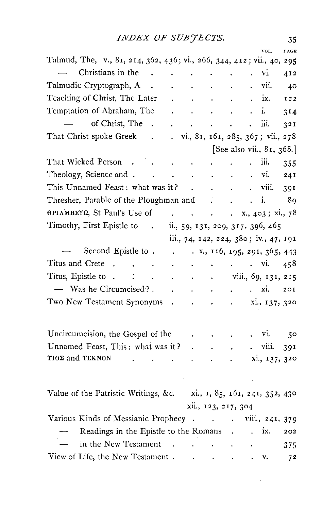|                                                                                           |                                               |                             |                                                                                                                  |                      |        | VOL.                                                                                                                              | PACE |
|-------------------------------------------------------------------------------------------|-----------------------------------------------|-----------------------------|------------------------------------------------------------------------------------------------------------------|----------------------|--------|-----------------------------------------------------------------------------------------------------------------------------------|------|
| Talmud, The, v., 81, 214, 362, 436; vi., 266, 344, 412; vii., 40, 295                     |                                               |                             |                                                                                                                  |                      |        |                                                                                                                                   |      |
| Christians in the .                                                                       |                                               |                             | the contract of the contract of                                                                                  |                      |        | vi.                                                                                                                               | 412  |
| Talmudic Cryptograph, A.                                                                  |                                               |                             | $\mathbf{r}^{\prime}$ , and $\mathbf{r}^{\prime}$ , and $\mathbf{r}^{\prime}$ , and $\mathbf{r}^{\prime}$        |                      |        | . vii.                                                                                                                            | - 40 |
| Teaching of Christ, The Later                                                             | $\mathbf{r} = \mathbf{r} \times \mathbf{r}$ . |                             | $\sim 10^{-11}$                                                                                                  | <b>Carl College</b>  |        | ix.                                                                                                                               | I22  |
| Temptation of Abraham, The                                                                |                                               |                             | $\mathbf{r} = \mathbf{r} \cdot \mathbf{r} = \mathbf{r} \cdot \mathbf{r} = \mathbf{r} \cdot \mathbf{r}$ . The set |                      |        |                                                                                                                                   | 314  |
| of Christ, The.                                                                           |                                               |                             | and a strong control of the state of                                                                             |                      |        | iii.                                                                                                                              | 32I  |
| That Christ spoke Greek .                                                                 |                                               |                             |                                                                                                                  |                      |        | $\ldots$ vi., 81, 161, 285, 367; vii., 278                                                                                        |      |
|                                                                                           |                                               |                             |                                                                                                                  |                      |        | [See also vii., 81, 368.]                                                                                                         |      |
| That Wicked Person                                                                        | the contract of the contract of               |                             |                                                                                                                  |                      | $\sim$ | iii.                                                                                                                              | 355  |
| Theology, Science and vi.                                                                 |                                               |                             |                                                                                                                  |                      |        |                                                                                                                                   | 241  |
| This Unnamed Feast: what was it? viii.                                                    |                                               |                             |                                                                                                                  |                      |        |                                                                                                                                   | 391  |
| Thresher, Parable of the Ploughman and i. 89                                              |                                               |                             |                                                                                                                  |                      |        |                                                                                                                                   |      |
| OPIAMBETQ, St Paul's Use of x., 403; xi., 78                                              |                                               |                             |                                                                                                                  |                      |        |                                                                                                                                   |      |
| Timothy, First Epistle to . ii., 59, 131, 209, 317, 396, 465                              |                                               |                             |                                                                                                                  |                      |        |                                                                                                                                   |      |
|                                                                                           |                                               |                             |                                                                                                                  |                      |        | iii., 74, 142, 224, 380; iv., 47, 191                                                                                             |      |
| Second Epistle to x., 116, 195, 291, 365, 443                                             |                                               |                             |                                                                                                                  |                      |        |                                                                                                                                   |      |
| Titus and Crete                                                                           |                                               |                             |                                                                                                                  |                      |        |                                                                                                                                   |      |
| Titus, Epistle to $\therefore$ $\therefore$ $\therefore$ $\therefore$ viii., 69, 131, 215 |                                               |                             |                                                                                                                  |                      |        |                                                                                                                                   |      |
| - Was he Circumcised?.                                                                    |                                               |                             |                                                                                                                  |                      |        | $\cdots$ $\cdots$ $\cdots$ $\cdots$ $\cdots$ $\cdots$ $\cdots$ $\cdots$ $\cdots$ $\cdots$ $\cdots$ $\cdots$ $\cdots$ $\cdots$     |      |
| Two New Testament Synonyms                                                                |                                               |                             |                                                                                                                  |                      |        | $\ldots$ , $\ldots$ , $\ldots$ , $\ldots$ , $\ldots$ , $\ldots$ , $\ldots$ , $\ldots$ , $\ldots$ , $\ldots$ , $\ldots$ , $\ldots$ |      |
|                                                                                           |                                               |                             |                                                                                                                  |                      |        |                                                                                                                                   |      |
| Uncircumcision, the Gospel of the                                                         |                                               |                             |                                                                                                                  |                      |        |                                                                                                                                   |      |
| Unnamed Feast, This: what was it?                                                         |                                               |                             |                                                                                                                  |                      |        | $\overline{\phantom{a}}$ viii.                                                                                                    |      |
| YIOΣ and TEKNON                                                                           |                                               | $\mathbf{r}$                | $\ddot{\phantom{a}}$                                                                                             | $\ddot{\phantom{a}}$ |        |                                                                                                                                   | 391  |
|                                                                                           |                                               | $\mathbf{r} = \mathbf{r}$ . |                                                                                                                  |                      |        | xi., 137, 320                                                                                                                     |      |
|                                                                                           |                                               |                             |                                                                                                                  |                      |        |                                                                                                                                   |      |
| Value of the Patristic Writings, &c. xi., 1, 85, 161, 241, 352, 430                       |                                               |                             |                                                                                                                  |                      |        |                                                                                                                                   |      |
|                                                                                           |                                               |                             | xii., 123, 217, 304                                                                                              |                      |        |                                                                                                                                   |      |
| Various Kinds of Messianic Prophecy viii., 241, 379                                       |                                               |                             |                                                                                                                  |                      |        |                                                                                                                                   |      |
| Readings in the Epistle to the Romans ix.                                                 |                                               |                             |                                                                                                                  |                      |        |                                                                                                                                   | 202  |
| in the New Testament                                                                      |                                               |                             |                                                                                                                  |                      |        |                                                                                                                                   | 375  |
| View of Life, the New Testament                                                           |                                               |                             |                                                                                                                  |                      |        | v.                                                                                                                                | 72   |
|                                                                                           |                                               |                             |                                                                                                                  |                      |        |                                                                                                                                   |      |

y.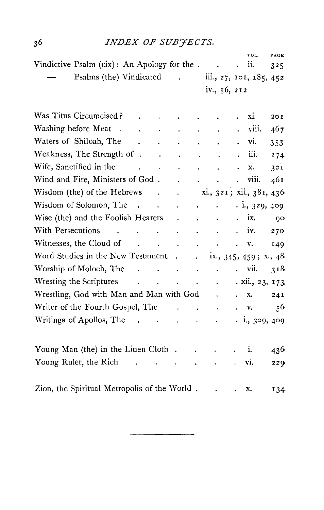# *INDEX OF SUB'JECTS.*

|                                              |                                 |                                                         |                         |                                                                                                 |                                          |                      | VOL.                                                                          | PAGE |
|----------------------------------------------|---------------------------------|---------------------------------------------------------|-------------------------|-------------------------------------------------------------------------------------------------|------------------------------------------|----------------------|-------------------------------------------------------------------------------|------|
| Vindictive Psalm (cix): An Apology for the.  |                                 |                                                         |                         |                                                                                                 |                                          |                      | ii.                                                                           | 325  |
| Psalms (the) Vindicated .                    |                                 |                                                         |                         |                                                                                                 | iii., 27, 101, 185, 452                  |                      |                                                                               |      |
|                                              |                                 |                                                         |                         |                                                                                                 | iv., 56, 212                             |                      |                                                                               |      |
|                                              |                                 |                                                         |                         |                                                                                                 |                                          |                      |                                                                               |      |
| Was Titus Circumcised?                       |                                 |                                                         |                         |                                                                                                 |                                          |                      | xi.                                                                           | 201  |
| Washing before Meat<br>$\sim$                | $\ddot{\phantom{a}}$            | $\sim$                                                  | ä.                      | $\ddot{\phantom{0}}$                                                                            | $\ddot{\phantom{0}}$                     |                      | viii.                                                                         | 467  |
| Waters of Shiloah, The                       |                                 | $\mathbf{L}^{\text{max}}$ and $\mathbf{L}^{\text{max}}$ | $\ddot{\phantom{0}}$    |                                                                                                 |                                          |                      | vi.                                                                           | 353  |
| Weakness, The Strength of .                  |                                 | $\ddot{\phantom{0}}$                                    | $\mathbf{a}$            |                                                                                                 |                                          |                      | iii.                                                                          | 174  |
| Wife, Sanctified in the                      | $\sim$                          | $\sim$ $\sim$                                           | $\sim 100$ km s $^{-1}$ |                                                                                                 |                                          |                      | x.                                                                            | 32I  |
| Wind and Fire, Ministers of God.             |                                 |                                                         |                         | $\mathbf{r} = \mathbf{r} \times \mathbf{r}$ , where $\mathbf{r} = \mathbf{r} \times \mathbf{r}$ |                                          | $\mathbf{L}$         | viii.                                                                         | 461  |
| Wisdom (the) of the Hebrews                  |                                 | $\mathbf{r} = \mathbf{r}$                               |                         |                                                                                                 | $\ldots$ xi., 321; xii., 381, 436        |                      |                                                                               |      |
| Wisdom of Solomon, The                       |                                 |                                                         | $\mathbf{v}$            | $\sim$                                                                                          | $\ddot{\phantom{a}}$                     |                      | $\frac{1}{2}$ , 329, 409                                                      |      |
| Wise (the) and the Foolish Hearers           |                                 |                                                         | $\sim$                  |                                                                                                 | $\sim$ $\sim$                            | $\ddot{\phantom{0}}$ | ix.                                                                           | 90   |
| With Persecutions<br>$\sim$                  | <b>Contract Contract Street</b> | $\ddot{\phantom{0}}$                                    | $\sim 10^{-10}$         | $\ddot{\phantom{0}}$                                                                            | $\sim$ $\sim$                            |                      | $\mathbf{v}$ iv.                                                              | 270  |
| Witnesses, the Cloud of Theorem 2014         |                                 |                                                         |                         |                                                                                                 | $\sim 100$ km s $^{-1}$                  |                      | $\mathbf{v} = \mathbf{v}$                                                     | 149  |
| Word Studies in the New Testament. .         |                                 |                                                         |                         | $\ddot{\phantom{0}}$                                                                            | ix., $345, 459$ ; x., $48$               |                      |                                                                               |      |
| Worship of Moloch, The                       |                                 |                                                         |                         | and the state of the                                                                            |                                          |                      | . vii.                                                                        | 318  |
| Wresting the Scriptures                      |                                 |                                                         |                         |                                                                                                 | the contract of the contract of the con- |                      | . xii., 23, 173                                                               |      |
| Wrestling, God with Man and Man with God.    |                                 |                                                         |                         |                                                                                                 |                                          |                      | x.                                                                            | 241  |
| Writer of the Fourth Gospel, The             |                                 |                                                         | $\mathbf{r}$            | $\ddot{\phantom{a}}$                                                                            | $\bullet$                                |                      | $\mathbf{v}$                                                                  | 56   |
| Writings of Apollos, The                     |                                 |                                                         |                         | and the state of the state of                                                                   |                                          |                      | $\frac{1}{2}$ , $\frac{1}{3}$ , $\frac{1}{3}$ , $\frac{1}{4}$ , $\frac{1}{9}$ |      |
|                                              |                                 |                                                         |                         |                                                                                                 |                                          |                      |                                                                               |      |
| Young Man (the) in the Linen Cloth.          |                                 |                                                         |                         |                                                                                                 |                                          |                      | i.                                                                            | 436  |
|                                              |                                 |                                                         |                         | $\ddot{\phantom{0}}$                                                                            |                                          |                      |                                                                               |      |
| Young Ruler, the Rich                        |                                 |                                                         |                         | $\bullet$                                                                                       |                                          |                      | vi.                                                                           | 229  |
|                                              |                                 |                                                         |                         |                                                                                                 |                                          |                      |                                                                               |      |
| Zion, the Spiritual Metropolis of the World. |                                 |                                                         |                         |                                                                                                 |                                          |                      | х.                                                                            | 134  |

 $3^6$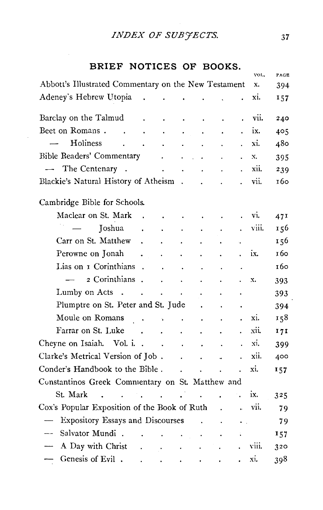# *INDEX OF SUBYECTS.* <sup>37</sup>

# BRIEF NOTICES OF BOOKS.

|                          | Abbott's Illustrated Commentary on the New Testament |                                   |                      |                      |                                             |                |                      | x.    | 394 |
|--------------------------|------------------------------------------------------|-----------------------------------|----------------------|----------------------|---------------------------------------------|----------------|----------------------|-------|-----|
|                          |                                                      |                                   |                      |                      |                                             |                |                      |       |     |
|                          | Adeney's Hebrew Utopia                               |                                   |                      |                      |                                             |                |                      | xi.   | 157 |
|                          | Barclay on the Talmud                                | $\ddot{\phantom{0}}$              | $\blacksquare$       | $\bullet$            | $\bullet$                                   |                |                      | vii.  | 240 |
|                          | Beet on Romans                                       | $\ddot{\phantom{1}}$              | $\sim$               |                      |                                             |                |                      | ix.   | 405 |
|                          | Holiness                                             |                                   | $\ddot{\phantom{0}}$ |                      |                                             |                |                      | xi.   | 480 |
|                          | Bible Readers' Commentary                            |                                   |                      |                      | $\mathbf{L} = \mathbf{L} \times \mathbf{L}$ |                |                      | X.    | 395 |
|                          | The Centenary<br>$\sim$                              |                                   |                      | $\ddot{\phantom{a}}$ | $\ddot{\phantom{0}}$                        |                |                      | xii.  | 239 |
|                          | Blackie's Natural History of Atheism.                |                                   |                      |                      | $\ddot{\phantom{a}}$                        |                |                      | vii.  | 160 |
|                          | Cambridge Bible for Schools.                         |                                   |                      |                      |                                             |                |                      |       |     |
|                          | Maclear on St. Mark                                  | $\mathcal{L}$                     |                      | $\sim$               | $\sim$                                      |                |                      | vi.   | 471 |
|                          | Joshua                                               |                                   |                      |                      |                                             |                |                      | viii. | 156 |
|                          | Carr on St. Matthew                                  | $\ddot{\phantom{a}}$              |                      |                      |                                             |                |                      |       | 156 |
|                          | Perowne on Jonah                                     | $\ddot{\phantom{0}}$              | $\ddot{\phantom{0}}$ | $\ddot{\phantom{0}}$ |                                             | ٠              | $\ddot{\phantom{a}}$ | ix.   | 160 |
|                          | Lias on I Corinthians.                               |                                   |                      | $\ddot{\phantom{0}}$ |                                             |                | $\bullet$            |       | 160 |
|                          | 2 Corinthians .                                      |                                   | $\ddot{\phantom{0}}$ | $\sim 10$            |                                             |                | $\ddot{\phantom{0}}$ | x.    | 393 |
|                          | Lumby on Acts                                        |                                   |                      | $\ddot{\phantom{0}}$ |                                             |                |                      |       | 393 |
|                          | Plumptre on St. Peter and St. Jude                   |                                   |                      |                      |                                             |                |                      |       | 394 |
|                          | Moule on Romans<br>$\sim$ $\sim$                     |                                   |                      | and the contract     | $\bullet$                                   |                |                      | xi.   | 158 |
|                          | Farrar on St. Luke                                   |                                   | $\sim$               | $\ddot{\phantom{0}}$ | ٠                                           |                |                      | xii.  | 171 |
|                          | Cheyne on Isaiah. Vol. i                             |                                   |                      |                      | $\mathcal{L}_{\rm{max}}$<br>$\bullet$       |                |                      | xi.   | 399 |
|                          | Clarke's Metrical Version of Job.                    |                                   |                      |                      |                                             | J.             |                      | xii.  | 400 |
|                          | Conder's Handbook to the Bible.                      |                                   |                      | $\mathbf{r}$         | $\ddot{\phantom{0}}$                        |                |                      | xi.   | 157 |
|                          | Constantinos Greek Commentary on St. Matthew and     |                                   |                      |                      |                                             |                |                      |       |     |
|                          | St. Mark<br>$\ddot{\phantom{a}}$                     | <b>Contract Contract Contract</b> |                      |                      | $\ddot{\phantom{0}}$                        |                |                      | ix.   | 325 |
|                          | Cox's Popular Exposition of the Book of Ruth         |                                   |                      |                      |                                             | $\overline{a}$ | a.                   | vii.  | 79  |
| $\overline{\phantom{a}}$ | <b>Expository Essays and Discourses</b>              |                                   |                      |                      |                                             |                | $\ddot{\phantom{a}}$ |       | 79  |
| $- -$                    | Salvator Mundi.                                      |                                   |                      |                      |                                             |                |                      |       | 157 |
|                          | A Day with Christ                                    |                                   |                      |                      |                                             |                |                      | viii. | 320 |
| $\overline{\phantom{0}}$ | Genesis of Evil.                                     |                                   |                      |                      |                                             |                |                      | xi.   | 398 |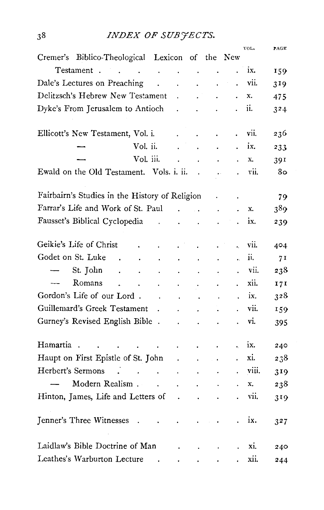# INDEX OF SUBJECTS.

|          |                                                 |                                                                                                                                            |                                                                                                                                                                                                                               |                           |                                           |                                                                                                        |                                             | VOL.        | PAGE             |
|----------|-------------------------------------------------|--------------------------------------------------------------------------------------------------------------------------------------------|-------------------------------------------------------------------------------------------------------------------------------------------------------------------------------------------------------------------------------|---------------------------|-------------------------------------------|--------------------------------------------------------------------------------------------------------|---------------------------------------------|-------------|------------------|
|          | Cremer's Biblico-Theological Lexicon of the New |                                                                                                                                            |                                                                                                                                                                                                                               |                           |                                           |                                                                                                        |                                             |             |                  |
|          | Testament                                       |                                                                                                                                            |                                                                                                                                                                                                                               |                           |                                           |                                                                                                        |                                             | $\cdot$ ix. | 159              |
|          | Dale's Lectures on Preaching                    |                                                                                                                                            | $\mathbf{v}^{(i)}$                                                                                                                                                                                                            | $\sim$                    | $\mathbf{L}^{(1)}$                        | $\mathbf{v}^{(i)}$                                                                                     |                                             | vii.        | 319              |
|          | Delitzsch's Hebrew New Testament.               |                                                                                                                                            |                                                                                                                                                                                                                               |                           |                                           | $\sim 10^{-10}$                                                                                        | $\ddot{\phantom{0}}$                        | x.          | 475              |
|          | Dyke's From Jerusalem to Antioch                |                                                                                                                                            |                                                                                                                                                                                                                               |                           |                                           |                                                                                                        | $\ddot{\phantom{0}}$                        | ii.         | 324              |
|          | Ellicott's New Testament, Vol. i.               |                                                                                                                                            |                                                                                                                                                                                                                               | $\mathbf{L}^{\text{max}}$ | $\mathbf{v}^{(i)}$                        | $\sim$                                                                                                 |                                             | vii.        | 236              |
|          |                                                 |                                                                                                                                            | Vol. ii.                                                                                                                                                                                                                      |                           |                                           | $\mathcal{L}^{\text{max}}(\mathcal{L}^{\text{max}})$                                                   | $\ddot{\phantom{a}}$                        | ix.         | 233              |
|          |                                                 |                                                                                                                                            | Vol. iii. and a control of the control of the control of the control of the control of the control of the control of the control of the control of the control of the control of the control of the control of the control of |                           |                                           |                                                                                                        |                                             | X.          | 391              |
|          | Ewald on the Old Testament. Vols. i. ii. .      |                                                                                                                                            |                                                                                                                                                                                                                               |                           |                                           | $\ddot{\psi}$                                                                                          | $\ddot{\phantom{0}}$                        | vii.        | 80               |
|          | Fairbairn's Studies in the History of Religion  |                                                                                                                                            |                                                                                                                                                                                                                               |                           |                                           |                                                                                                        | $\bullet$                                   |             | 79               |
|          | Farrar's Life and Work of St. Paul              |                                                                                                                                            |                                                                                                                                                                                                                               |                           |                                           | $\mathbf{r}^{\prime}$ and $\mathbf{r}^{\prime}$ and $\mathbf{r}^{\prime}$ and $\mathbf{r}^{\prime}$    | $\sim$                                      | Х.          | 389              |
|          | Fausset's Biblical Cyclopedia                   |                                                                                                                                            | <b>Contractor</b>                                                                                                                                                                                                             |                           | $\cdot$ $\cdot$                           | $\ddot{\phantom{a}}$                                                                                   |                                             | ix.         | 239              |
|          | Geikie's Life of Christ                         | <b>Contract Contract</b>                                                                                                                   | $\ddot{\phantom{0}}$                                                                                                                                                                                                          | $\ddot{\phantom{0}}$      | $\mathbf{L}$                              | $\ddot{\phantom{0}}$                                                                                   | $\hat{\bullet}$                             | vii.        | 404.             |
|          | Godet on St. Luke.                              | $\mathcal{L}^{\pm}$                                                                                                                        | $\ddot{\phantom{a}}$                                                                                                                                                                                                          |                           | $\mathbf{z} = \mathbf{z} + \mathbf{z}$ .  | $\sim$ $\sim$                                                                                          | $\ddot{\bullet}$                            | ii.         | 71               |
|          | — St. John                                      | $\mathbf{r} = \mathbf{r}$                                                                                                                  | $\sim 100$                                                                                                                                                                                                                    | $\sim 100$ km s $^{-1}$   | $\sim 100$                                | $\overline{\phantom{a}}$                                                                               | $\ddot{\phantom{0}}$                        | vii.        | 238              |
|          | Romans .                                        | $\sim$                                                                                                                                     | <b>Contract Contract</b>                                                                                                                                                                                                      |                           | $\sim$                                    | $\ddot{\phantom{0}}$                                                                                   | $\ddot{\phantom{0}}$                        | xii.        | 171              |
|          | Gordon's Life of our Lord.                      |                                                                                                                                            | $\mathcal{L}^{\mathcal{L}}$ and $\mathcal{L}^{\mathcal{L}}$ and $\mathcal{L}^{\mathcal{L}}$ and $\mathcal{L}^{\mathcal{L}}$                                                                                                   |                           |                                           |                                                                                                        |                                             | $\cdot$ ix. | 328              |
|          | Guillemard's Greek Testament                    |                                                                                                                                            |                                                                                                                                                                                                                               |                           |                                           |                                                                                                        |                                             | vii.        | 159              |
|          | Gurney's Revised English Bible                  |                                                                                                                                            |                                                                                                                                                                                                                               |                           | $\sim 100$                                | $\sim$ $\sim$                                                                                          |                                             | vi.         | 395              |
| Hamartia |                                                 | $\mathbf{r} = \left\{ \begin{array}{ll} 1 & \text{if} \ \mathbf{r} = \mathbf{r} \ \text{if} \ \mathbf{r} = \mathbf{r} \end{array} \right.$ |                                                                                                                                                                                                                               |                           | $\mathbf{A}^{(1)}$ and $\mathbf{A}^{(2)}$ |                                                                                                        | $\ddot{\phantom{0}}$                        | ix.         | 240              |
|          | Haupt on First Epistle of St. John.             |                                                                                                                                            |                                                                                                                                                                                                                               |                           |                                           | $\sim 10^{11}$ and $\sim 10^{11}$                                                                      |                                             | xi.         | 238              |
|          | Herbert's Sermons                               |                                                                                                                                            |                                                                                                                                                                                                                               |                           |                                           |                                                                                                        | $\ddot{\phantom{0}}$                        | viii.       | 319              |
|          | Modern Realism.                                 |                                                                                                                                            |                                                                                                                                                                                                                               | $\sim$                    | $\sim 10^{-11}$                           | $\sim$                                                                                                 | $\ddot{\phantom{0}}$                        | x.          | 238              |
|          | Hinton, James, Life and Letters of .            |                                                                                                                                            |                                                                                                                                                                                                                               |                           | $\sim$                                    | $\ddot{\phantom{0}}$                                                                                   |                                             | . vii.      | 319              |
|          | Jenner's Three Witnesses                        | <b>CALCO A</b>                                                                                                                             |                                                                                                                                                                                                                               |                           |                                           | $\mathcal{L}^{\mathcal{L}}$ and $\mathcal{L}^{\mathcal{L}}$ are the set of $\mathcal{L}^{\mathcal{L}}$ |                                             | ix.         | 3 <sup>2</sup> 7 |
|          | Laidlaw's Bible Doctrine of Man                 |                                                                                                                                            |                                                                                                                                                                                                                               |                           |                                           |                                                                                                        | $\ddot{\phantom{a}}$                        | xi.         | 240              |
|          | Leathes's Warburton Lecture                     |                                                                                                                                            | <b>Contract Contract Contract</b>                                                                                                                                                                                             |                           |                                           |                                                                                                        | and the second control of the second second | xii.        | 244              |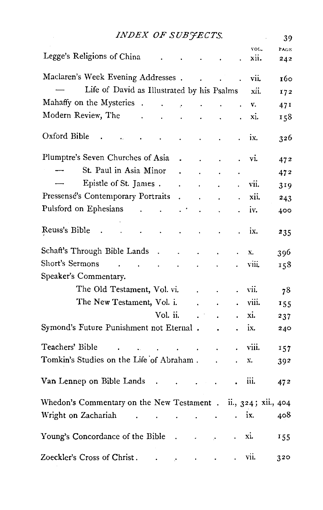| INDEX OF SUBJECTS.                                                                 |                           |            |                      |       | 39   |
|------------------------------------------------------------------------------------|---------------------------|------------|----------------------|-------|------|
| Legge's Religions of China                                                         |                           |            |                      | VOL.  | PAGE |
|                                                                                    |                           |            | $\blacksquare$       | xii.  | 242  |
| Maclaren's Week Evening Addresses                                                  |                           |            |                      | vii.  | 160  |
| Life of David as Illustrated by his Psalms                                         |                           |            |                      | xii.  | 172  |
| Mahaffy on the Mysteries                                                           | $\sim 100$                |            |                      | v.    | 47 I |
| Modern Review, The .<br>$\ddot{\phantom{0}}$<br>$\bullet$                          | $\ddot{\phantom{0}}$      |            |                      | xi.   | 158  |
| Oxford Bible<br>$\ddot{\phantom{0}}$                                               | $\ddot{\phantom{0}}$      |            |                      | ix.   | 326  |
| Plumptre's Seven Churches of Asia<br>$\ddot{\phantom{0}}$                          | $\ddot{\phantom{0}}$      | $\cdot$    | $\ddot{\phantom{0}}$ | vi.   | 472  |
| St. Paul in Asia Minor<br>$\ddot{\phantom{0}}$                                     |                           |            |                      |       | 472  |
| Epistle of St. James.<br>$\ddot{\phantom{0}}$                                      |                           |            |                      | vii.  | 319  |
| Pressensé's Contemporary Portraits<br>$\ddot{\phantom{0}}$                         |                           |            |                      | xii.  | 243  |
| Pulsford on Ephesians<br>$\ddotsc$<br>$\ddot{\phantom{0}}$<br>. .                  |                           |            |                      | iv.   | 400  |
| Reuss's Bible<br>$\ddot{\phantom{0}}$<br>$\blacksquare$                            |                           |            |                      | ix.   | 235  |
| Schaft's Through Bible Lands<br>$\ddot{\phantom{0}}$<br>$\sim$                     | $\cdot$                   |            |                      | X.    | 396  |
| Short's Sermons<br>and the contract of the<br>$\sim$                               | $\cdot$                   |            |                      | viii. | 158  |
| Speaker's Commentary.                                                              |                           |            |                      |       |      |
| The Old Testament, Vol. vi.                                                        |                           |            |                      | vii.  | 78   |
| The New Testament, Vol. i.                                                         |                           |            | $\ddot{\phantom{0}}$ | viii. | 155  |
| Vol. ii.                                                                           |                           |            |                      | xi.   | 237  |
| Symond's Future Punishment not Eternal.                                            |                           |            |                      | ix.   | 240  |
| Teachers' Bible<br>the contract of the contract of                                 | $\sim 10^{-11}$           |            |                      | viii. | 157  |
| Tomkin's Studies on the Life of Abraham.                                           |                           |            |                      | х.    | 392  |
| Van Lennep on Bible Lands.                                                         | $\mathbf{r} = \mathbf{r}$ |            |                      | iii.  | 472  |
| Whedon's Commentary on the New Testament . ii., 324; xii., 404                     |                           |            |                      |       |      |
| Wright on Zachariah<br>the contract of the contract of the                         |                           |            | . ix.                |       | 408  |
| Young's Concordance of the Bible<br>$\overline{\phantom{a}}$                       |                           | $\epsilon$ |                      | xi.   | 155  |
| Zoeckler's Cross of Christ.<br>$\bullet$ and $\bullet$ and $\bullet$ and $\bullet$ |                           |            |                      | vii.  | 320  |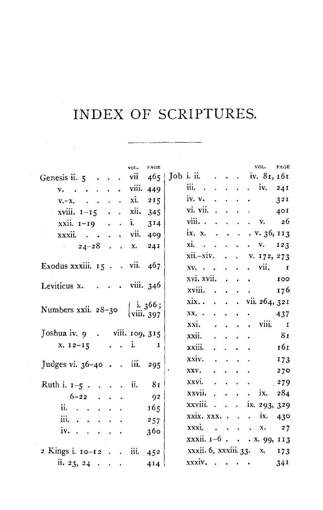$\mathcal{L}_{\rm{max}}$ 

|                                                                     |  | vol. | PAGE |  |  |  | VOL.                                                    | PAGE |
|---------------------------------------------------------------------|--|------|------|--|--|--|---------------------------------------------------------|------|
| Genesis ii. 5 vii 465   Job i. ii. iv. 81, 161                      |  |      |      |  |  |  |                                                         |      |
| $v. \t. \t. \t. \t viii. 449$                                       |  |      |      |  |  |  | iii. $\cdots$ $\cdots$ $\cdots$ $\cdots$ $\cdots$ $24I$ |      |
| $v - x$ , xi, 215                                                   |  |      |      |  |  |  | iv. v. $32I$                                            |      |
| xviii. $1-15$ xii. 345                                              |  |      |      |  |  |  | vi. vii. $\cdot \cdot \cdot$ 401                        |      |
| $\overline{x}$ xii. $\overline{1}-\overline{1}9$ i.                 |  |      | 314  |  |  |  | viii. v. 26                                             |      |
| xxxii. vii. 409                                                     |  |      |      |  |  |  | ix. x. $v.36$ , $113$                                   |      |
| $24-28$ X. 241                                                      |  |      |      |  |  |  |                                                         |      |
|                                                                     |  |      |      |  |  |  | xii.-xiv. v. 172, 273                                   |      |
| Exodus xxxiii. $15 \cdot \cdot \cdot \text{vi. } 467$               |  |      |      |  |  |  | $xv. \t v. \t v. \t vi. \t v.$                          |      |
|                                                                     |  |      |      |  |  |  | xvi. xvii.                                              |      |
| Leviticus x. $\cdots$ viii. 346                                     |  |      |      |  |  |  | xviii. 176                                              |      |
|                                                                     |  |      |      |  |  |  | xix. vii. 264, 321                                      |      |
| Numbers xxii. 28-30 $\begin{cases} i. 366 \\ viii. 397 \end{cases}$ |  |      |      |  |  |  |                                                         |      |
|                                                                     |  |      |      |  |  |  | $xxi. \t \t \tviii. \tI$                                |      |
| Joshua iv. $9 \cdot \text{viii. } 109, 315$                         |  |      |      |  |  |  | $xxii.$ $\ldots$ $81$                                   |      |
| $x. 12-15$ i. I                                                     |  |      |      |  |  |  | $xxiii. \t \t \t161$                                    |      |
| Judges vi. $36-40$ iii. 295                                         |  |      |      |  |  |  | xxiv. $173$                                             |      |
|                                                                     |  |      |      |  |  |  | $XXV.$ 270                                              |      |
| Ruth i. $I - 5$ . ii.                                               |  |      | 8I   |  |  |  | xxvi. 279                                               |      |
| $6-22$                                                              |  |      | 92   |  |  |  | xxvii $ix. 284$                                         |      |
| ii.                                                                 |  |      | 165  |  |  |  | xxviii ix. 293, 329                                     |      |
| iii. $\blacksquare$                                                 |  |      | 257  |  |  |  | xxix. xxx. $\cdot$ $\cdot$ $\cdot$ ix. 430              |      |
| iv. $\cdots$                                                        |  |      | 360  |  |  |  | $\overline{xx}$ $x$ . 27                                |      |
|                                                                     |  |      |      |  |  |  | xxxii. 1-6. x. 99, 113                                  |      |
| 2 Kings i. 10–12. iii. $452$                                        |  |      |      |  |  |  | xxxii. 6, xxxiii. 33. x. 173                            |      |
| ii. 23, 24 414                                                      |  |      |      |  |  |  | $xxxxiv. \t\t\t\t \t\t\t341$                            |      |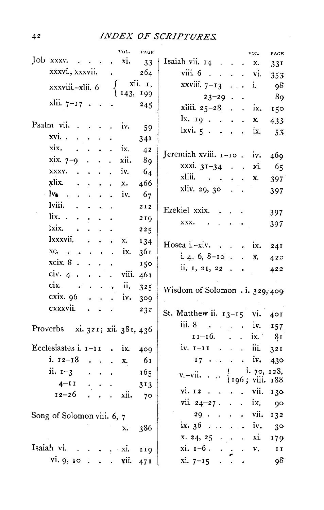| VOL.<br>PAGE                                                                                           | VOL.<br>$\textbf{PAGE}$                                                  |
|--------------------------------------------------------------------------------------------------------|--------------------------------------------------------------------------|
| Job xxxv. $\cdot$ .<br>$\cdot$ xi.<br>-33                                                              | Isaiah vii. $14$<br>x.<br>33 <sup>T</sup>                                |
| xxxvi., xxxvii.<br>264<br>$\mathbf{r} = \mathbf{r}$                                                    | viii. 6 vi.<br>353                                                       |
| xii. I,<br>xxxviii.-xlii. 6                                                                            | xxviii. $7-13$ i.<br>- 98                                                |
| † 143, 199                                                                                             | $23 - 29$<br>89                                                          |
| $x$ lii. $7-17$ .<br>245                                                                               | xliii. 25-28 ix.<br>150                                                  |
|                                                                                                        | $\frac{1}{x}$ . 19.<br>Х,<br>433                                         |
| Psalm vii. iv.<br>59                                                                                   | $l$ xvi. $5 \cdot \cdot \cdot \cdot \cdot$ ix.<br>53                     |
| $xvi. \t\t\t\t \t\t\t$<br>$\mathbf{L}^{\text{max}}$<br>$\ddot{\phantom{0}}$<br>34 <sup>1</sup>         |                                                                          |
| xix. .<br>$\cdot$ $\cdot$ ix.<br>4 <sup>2</sup>                                                        |                                                                          |
| $\sin 7-9$<br>xii.<br>$\ddot{\phantom{a}}$<br>- 89                                                     | Jeremiah xviii. 1-10 . iv.<br>469                                        |
| $XXXV$ .<br>$\cdot$ iv.<br>64                                                                          | xxxi. $31-34$ .<br>xi.<br>- 65                                           |
| xlix.<br>$\ddot{\phantom{a}}$<br>$\mathbf{r}$<br>466<br>$\ddot{\bullet}$<br>$\ddot{\phantom{0}}$<br>x. | xliii.<br>$\cdot \cdot \cdot$ X,<br>397                                  |
| $-1v_0$ .<br>iv.<br>-67<br>$\ddot{\phantom{0}}$<br>$\ddot{\phantom{a}}$<br>$\mathbf{v}$                | xliv. 29, 30.<br>397                                                     |
| lviii.<br>$\mathbf{r}$<br>$\ddot{\phantom{a}}$<br>212<br>$\bullet$ .<br>$\bullet$                      |                                                                          |
| $\lim_{n \to \infty}$<br>$\bullet$ .<br>$\bullet$<br>$\sim$ $\sim$<br>219                              | Ezekiel xxix.<br>397                                                     |
| lxix.<br>225<br>$\mathbf{A}^{\mathrm{max}}$<br>$\blacksquare$<br>$\bullet$                             | XXX.<br>$\mathcal{L}(\mathbf{z})$ , and $\mathcal{L}(\mathbf{z})$<br>397 |
| lxxxvii.<br>$\ddot{\phantom{a}}$<br><b>X.</b><br>134                                                   |                                                                          |
| $xc \cdot \cdot \cdot \cdot \cdot \cdot ix$<br>361                                                     | Hosea i.-xiv. ix. $24I$                                                  |
| xcix. 8.<br>150                                                                                        | i. 4, 6, 8–10. $x$<br>422                                                |
| $\bullet$<br>civ. $4 \cdot \cdot \cdot$<br>. viii.                                                     | ii. $1, 21, 22$<br>422                                                   |
| 461<br>$c$ ix $\cdots$ ii.                                                                             |                                                                          |
| 325                                                                                                    | Wisdom of Solomon . i. 329, 409                                          |
| $\csc x$ . $\sin x$ . $\sin x$ . $\sin x$ .<br>309                                                     |                                                                          |
| cxxxvii.<br>232                                                                                        | St. Matthew ii. $13-15$ vi. 401                                          |
| Proverbs xi. 321; xii. 381, 436                                                                        | iii. 8<br>$\cdot$ iv. 157                                                |
|                                                                                                        | $11-16.$ ix $81$                                                         |
| Ecclesiastes i. $i - i i$ . ix.<br>409                                                                 | iv. $\mathbf{I}-\mathbf{I}\mathbf{I}$ iii.<br>32I                        |
| i. $12-18$<br>-61<br>x.                                                                                | $17 \cdot \cdot \cdot \cdot \cdot \cdot 100 \cdot 430$                   |
| ii. $1-3$<br>165<br>$\mathbf{L} = \mathbf{L}$<br>$\ddot{\phantom{a}}$                                  | i. 70, 128,<br>$\mathbf{1}$                                              |
| $4 - I I$<br>313<br>$\mathcal{L}^{\mathcal{L}}$                                                        | v.-vii. $\cdots$ (196; viii. 188)                                        |
| $12-26$ xii.                                                                                           | vi. I2. vii.<br>130                                                      |
| 70                                                                                                     | vii. $24-27$ . ix. 90                                                    |
| Song of Solomon viii. 6, 7                                                                             |                                                                          |
| 386<br>x.                                                                                              | ix. $36 \ldots \ldots \ldots$ iv.<br>$3^\circ$                           |
|                                                                                                        | $x. 24, 25 \cdot \cdot \cdot \cdot x$ i.<br>179                          |
| Isaiah vi. xi.<br>119                                                                                  | $x$ i. $1-6$ . v.<br>$I$ $I$                                             |
| vi. 9, 10 vii.<br>47I                                                                                  | $xi. 7-15$<br>98<br>$\bullet$                                            |
|                                                                                                        |                                                                          |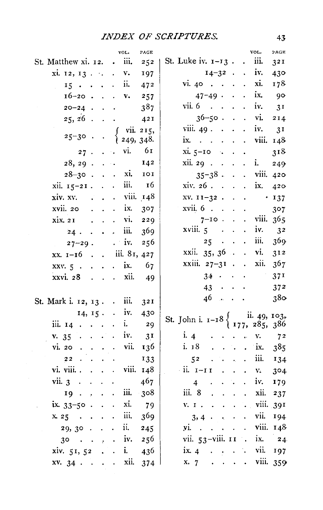|                                                                                 | VOL.                                   | PAGE             | vot.<br>PAGE                                                                                                                      |
|---------------------------------------------------------------------------------|----------------------------------------|------------------|-----------------------------------------------------------------------------------------------------------------------------------|
| St. Matthew xi. 12.                                                             | iii.<br>$\ddot{\phantom{0}}$           | 252              | St. Luke iv. 1-13.<br>iii.<br>$\ddot{\phantom{a}}$<br>3 <sup>21</sup>                                                             |
| xi. 12, 13                                                                      | $\mathbf{v}$ .<br>$\ddot{\phantom{0}}$ | 197              | $14 - 32$ .<br>$\cdot$ iv.<br>430                                                                                                 |
| $15 \cdot \cdot$<br>$\ddot{\phantom{0}}$                                        | ii.<br>$\ddot{\phantom{0}}$            | 472              | xi.<br>vi. $40$ .<br>178<br>$\sim$ 40 $\,$<br>$\sim$                                                                              |
| 16-20 .<br>$\ddot{\phantom{0}}$                                                 | v.<br>$\ddot{\phantom{0}}$             | 257              | ix.<br>$47 - 49$ .<br>$\ddot{\phantom{0}}$<br>-90                                                                                 |
| $20 - 24$ .<br>$\ddot{\phantom{0}}$                                             | $\vec{\bullet}$                        | 387              | vii. 6<br>iv.<br>$\ddot{\phantom{a}}$<br>3 <sup>I</sup>                                                                           |
| 25, 26<br>$\ddot{\phantom{a}}$<br>$\ddot{\phantom{0}}$                          |                                        | 421              | $36 - 50$ .<br>vi.<br>2I4<br>$\ddot{\phantom{a}}$<br>$\ddot{\phantom{0}}$                                                         |
|                                                                                 |                                        | vii. 215,        | viii. 49.<br>iv.<br>3I<br>$\sim$ $\sim$<br>$\ddot{\phantom{0}}$                                                                   |
| $25 - 30$                                                                       |                                        | 249, 348.        | viii.<br>ix.<br>148<br>$\ddot{\phantom{0}}$<br>$\ddot{\phantom{a}}$<br>$\ddot{\phantom{0}}$                                       |
| 27.<br>$\ddot{\phantom{0}}$                                                     | vi.<br>$\sim$ .                        | - 6 I            | $xi. 5-10$<br>318<br>$\mathcal{L}_{\bullet}$                                                                                      |
| $28, 29$ .<br>$\ddot{\phantom{a}}$                                              | ÷.                                     | 142              | xii. 29 .<br>i.<br>$\ddot{\phantom{a}}$<br>249<br>$\cdot$<br>$\sim$                                                               |
| $28 - 30$ .<br>$\ddot{\phantom{0}}$                                             | xi.<br>$\ddot{\phantom{a}}$            | 101              | $35 - 38$ .<br>$\overline{\phantom{a}}$ viii.<br>$\ddot{\phantom{a}}$<br>420                                                      |
| xii. 15-21.<br>$\ddot{\phantom{a}}$                                             | iii.<br>$\cdot$                        | 16               | xiv. 26.<br>ix.<br>$\overline{a}$<br>420<br>$\sim$<br>$\overline{a}$                                                              |
| xiv. xv.                                                                        | $\mathbf{r}$                           | viii. 148        | $xy. 11-32.$<br>$+137$<br>$\ddot{\phantom{a}}$<br>$\overline{a}$                                                                  |
| xvii. 20                                                                        | ix.<br>$\ddot{\phantom{a}}$            | 3 <sub>0</sub> 7 | xvii. 6<br>307                                                                                                                    |
| xix. 21<br>l.<br>$\ddot{\phantom{0}}$                                           | vi.<br>$\ddot{\phantom{0}}$            | 229              | viii. 365<br>$7-10$ .<br>$\overline{a}$<br>$\overline{a}$                                                                         |
| 24.<br>$\ddot{\phantom{a}}$<br>$\ddot{\phantom{0}}$                             | iii.<br>ä.                             | 369              | xviii. 5<br>iv.<br>$\ddot{\phantom{a}}$<br>3 <sup>2</sup><br>$\ddot{\phantom{a}}$<br>$\sim$                                       |
| $27 - 29$ .                                                                     | $\cdot$ iv.                            | 256              | iii.<br>369<br>25<br>$\sim$ $\sim$<br>$\sim$ .<br>$\ddot{\phantom{0}}$                                                            |
| $xx. 1-16$ .<br>$\ddot{\phantom{a}}$                                            | iii. 81, 427                           |                  | xxii. 35, 36 .<br>vi.<br>$\ddot{\phantom{0}}$<br>312                                                                              |
| xxv. 5.<br>$\ddot{\phantom{a}}$<br>$\cdot$                                      | ix.<br>$\ddot{\phantom{0}}$            | 67               | xxiii. 27-31<br>367<br>xii.<br>$\ddot{\phantom{a}}$<br>$\ddot{\phantom{a}}$                                                       |
| xxvi. 28<br>$\ddot{\phantom{a}}$<br>$\ddot{\phantom{a}}$                        | xii.<br>÷.                             | - 49             | 37 <sup>1</sup><br>34<br>$\mathcal{L}(\mathcal{L})$ , and $\mathcal{L}(\mathcal{L})$<br>$\ddot{\phantom{a}}$                      |
|                                                                                 |                                        |                  | $\mathcal{L}^{\text{max}}$ , $\mathcal{L}^{\text{max}}$<br>37 <sup>2</sup><br>43                                                  |
| St. Mark i. 12, 13.                                                             | iii.                                   | 32I              | 380<br>46<br>والمواليون                                                                                                           |
| 14, 15.                                                                         | iv.<br>$\mathcal{L}^{\pm}$             | 430              |                                                                                                                                   |
| iii. 14<br>$\ddot{\phantom{a}}$<br>$\ddot{\phantom{0}}$<br>$\ddot{\phantom{0}}$ | i.<br>$\ddot{\phantom{0}}$             | 29               | ii. 49, 103,<br>, 285, 386<br>St. John i. 1-18 $\begin{cases} 11 \\ 177 \end{cases}$                                              |
| v. 35<br>$\ddot{\phantom{0}}$<br>$\ddot{\phantom{0}}$                           | iv.                                    | 3 <sup>T</sup>   | i. 4<br>v.<br>72<br>$\mathbf{r}$                                                                                                  |
| vi. 20                                                                          | vii.                                   | 136              | i. 18<br>ix.<br>385<br>$\mathcal{L}_{\text{max}}$<br>$\ddot{\phantom{a}}$<br>$\overline{a}$<br>$\overline{\phantom{a}}$           |
| 22<br>$\ddot{\phantom{a}}$                                                      |                                        | 133              | iii.<br>5 <sup>2</sup><br>134<br>$\ddot{\phantom{a}}$                                                                             |
| vi. viii. .<br>$\ddot{\phantom{a}}$<br>$\ddot{\phantom{0}}$                     | viii.<br>$\ddot{\phantom{a}}$          | 148              | - ii. 1–11<br>304<br>V.<br>$\cdot$                                                                                                |
| vii.3<br>$\ddot{\phantom{1}}$<br>$\ddot{\phantom{0}}$                           |                                        | 467              | iv.<br>179<br>$\overline{\mathbf{4}}$<br>r.<br>$\ddot{\phantom{0}}$<br>$\ddot{\phantom{0}}$                                       |
| 19<br>$\ddot{\phantom{0}}$<br>$\lambda$                                         | iii.                                   | 308              | iii. 8<br>xii.<br>237<br>$\ddot{\phantom{0}}$<br>$\ddot{\phantom{0}}$<br>$\cdot$                                                  |
| $ix.33-50.$                                                                     | xi.                                    | 79               | viii.<br>39I<br>V. I.<br>÷.<br>$\ddot{\phantom{0}}$<br>$\ddot{\phantom{a}}$<br>i.                                                 |
| x.25<br>$\ddot{\phantom{a}}$<br>$\ddot{\phantom{0}}$                            | iii.                                   | 369              | vii.<br>194<br>3, 4.<br>$\ddot{\phantom{0}}$<br>$\ddot{\phantom{0}}$<br>$\bullet$                                                 |
| 29, 30.                                                                         | ii.                                    | 245              | viii. 148<br>yi.<br>$\sim$ $\sim$<br>$\ddot{\phantom{0}}$<br>$\ddot{\phantom{0}}$<br>$\ddot{\phantom{0}}$<br>$\ddot{\phantom{0}}$ |
| 30<br>$\ddot{\phantom{0}}$<br>$\sim$ .<br>ŀ.                                    | iv.<br>$\ddot{\phantom{0}}$            | 256              | vii. 53-viii. 11<br>ix.<br>24<br>$\ddot{\phantom{0}}$                                                                             |
| xiv. 51, 52                                                                     | i.                                     | 436              | vii.<br>ix. 4<br>197<br>$\sim$ 4<br>$\ddot{\phantom{0}}$                                                                          |
| xv. 34.<br>$\sim$<br>$\ddot{\phantom{0}}$                                       | xii.<br>$\ddot{\phantom{0}}$           | 374              | viii.<br>$\mathbf{r} = \mathbf{r} \mathbf{r}$ .<br>359<br>x. 7<br>$\ddot{\phantom{a}}$<br>$\bullet$                               |
|                                                                                 |                                        |                  |                                                                                                                                   |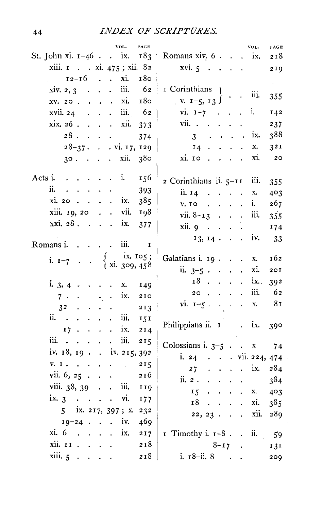| PAGE<br>VOL.                                                     | VOL.<br>PAGE                                                                                                      |
|------------------------------------------------------------------|-------------------------------------------------------------------------------------------------------------------|
| St. John xi. $1-46$ . ix. $183$   Romans xiv. 6. ix.             | 218                                                                                                               |
| xiii. 1 xi. 475; xii. 82                                         | $xvi. 5 \cdot \cdot \cdot$<br>219                                                                                 |
| $12 - 16$<br>xi.<br>180                                          | $\omega_{\rm{eff}}$                                                                                               |
| xiv. 2, 3 iii. $62$                                              | I Corinthians<br>$\mathbf{I}$                                                                                     |
| 180<br>xv. 20. xi.                                               | v. $1-5$ , $13$ $\}$ $\cdot$ $\cdot$ iii.<br>355                                                                  |
| xvii. 24 iii. 62                                                 | vi. $1 - 7$ i.<br>142                                                                                             |
| $x$ ix. 26.<br>xii.<br>373                                       | $vii.$ $\ldots$ $\ldots$ $\ldots$<br>237                                                                          |
| $28. \cdot \cdot \cdot$<br>374                                   | 388<br>$3 \cdot \cdot \cdot \cdot \cdot$ ix.                                                                      |
| $28-37$ . vi. 17, 129                                            | $14 \cdot \cdot \cdot \cdot$<br>32I<br>X.                                                                         |
| $30. \cdot \cdot \cdot \cdot \cdot$ xii.<br>380                  | $xi$ . $i \cdot \cdot \cdot$<br>xi.<br>${\bf 20}$                                                                 |
| Acts i i.<br>156                                                 | $2$ Corinthians ii. $5-11$ iii.<br>355                                                                            |
| ii.<br>393                                                       | $\overline{\text{ii}}$ . $\overline{\text{14}}$<br>403<br>$\mathbf{x}_\bullet$                                    |
| $xi. 20$ ix.<br>385                                              | $V.$ IO $\cdot \cdot \cdot$<br>i.<br>267                                                                          |
| xiii. 19, 20 vii.<br>198                                         | iii.<br>vii. $8-13$<br>355                                                                                        |
| xxi. 28. ix.<br>377                                              | xii.9<br>174<br>$\mathbf{L}^{(1)}$                                                                                |
|                                                                  | $13, 14$ . . iv.<br>33                                                                                            |
| $\ldots$ $\ldots$ $\ldots$ $\ldots$<br>Romans i.<br>$\mathbf{I}$ |                                                                                                                   |
| f ix. 105;<br>{ xi. 309, 458<br>i. $1 - 7$                       | Galatians i. 19. x.<br>162                                                                                        |
|                                                                  | ii. $3-5$<br>xi.<br>20I                                                                                           |
| i. 3, 4 X.<br>149                                                | $18$ ix.<br>392                                                                                                   |
| $7 \cdot \cdot \cdot \cdot \cdot \cdot \cdot$ ix.<br>210         | $20 \cdot \cdot \cdot \cdot$<br>iii.<br>62                                                                        |
| $3^2$ .<br>213<br>$\ddot{\phantom{a}}$<br>$\ddot{\phantom{0}}$   | vi. $1-5$ . x.<br>8 <sub>I</sub>                                                                                  |
| ii. iii.<br>151                                                  |                                                                                                                   |
| $17 \cdot \cdot \cdot \cdot \cdot$ ix.<br>214                    | Philippians ii. 1 . ix.<br>390                                                                                    |
| iii.<br>iii.<br>215                                              |                                                                                                                   |
| iv. $18, 19$ . ix. $215, 392$                                    | Colossians i. $3-5$ x 74                                                                                          |
| 215                                                              | i. 24 vii. 224, 474                                                                                               |
| vii. $6, 25$<br>216                                              | $27 \cdot \cdot \cdot \cdot \cdot \text{ix.}$<br>284                                                              |
| viii. $38, 39$ iii.<br>119                                       | $\ddot{\text{a}}$ .<br>384<br>$\mathbf{z} = \mathbf{z} + \mathbf{z} + \mathbf{z} + \mathbf{z}$ . The $\mathbf{z}$ |
| $ix, 3 \cdot \cdot \cdot \cdot \cdot \text{vi.}$                 | $\mathbf{r} = \mathbf{r} + \mathbf{r} + \mathbf{r}$ .<br>403<br>$15 -$<br>X.                                      |
| 177                                                              | xi.<br>18<br>$\mathbf{r} = \mathbf{r} + \mathbf{r} + \mathbf{r}$ .<br>$3^{8}5$                                    |
| 5 ix. 217, 397; x. 232<br>$19-24$ iv.                            | $22, 23$ xii.<br>289                                                                                              |
| 469<br>$xi$ . 6                                                  |                                                                                                                   |
| ix.<br>$\mathcal{L}^{\pm}$<br>217                                | I Timothy i. $I-8$ . ii. 59                                                                                       |
| xii. II.<br>218                                                  | $8 - 17$ .<br>131                                                                                                 |
| xiii.5<br>218                                                    | i. $18$ -ii. 8<br>209                                                                                             |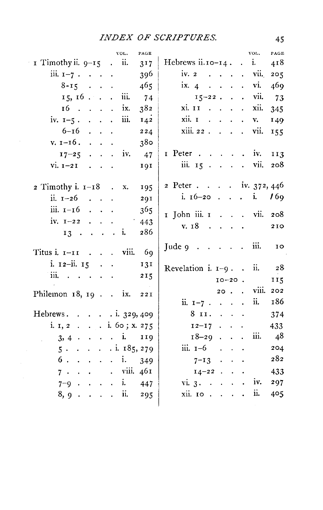| VOL.<br>PAGE                                                              | VOL.<br>PAGE                                                                                                                                                                                        |
|---------------------------------------------------------------------------|-----------------------------------------------------------------------------------------------------------------------------------------------------------------------------------------------------|
| $\bar{x}$ Timothy ii. $9-\bar{x}$ . ii.<br>317                            | Hebrews ii. $10 - 14$ . i.<br>418                                                                                                                                                                   |
| iii. $1 - 7$<br>396                                                       | iv. $2 \cdot \cdot \cdot \cdot \cdot \cdot$ vii.<br>205                                                                                                                                             |
| $8 - 15$<br>465                                                           | $\overline{1}x$ , 4, $\overline{4}$ , $\overline{4}$ , $\overline{4}$<br>vi.<br>469                                                                                                                 |
| 15, 16 iii.<br>74                                                         | $15 - 22$<br>vii.<br>73                                                                                                                                                                             |
| $16$ ix.<br>382                                                           | $x$ i. $11$<br>xii.<br>$\mathbf{L}^{\text{max}}$<br>345                                                                                                                                             |
| iii.<br>142<br>iv. $1-5$ .                                                | xii. I<br>$\mathcal{L}(\mathcal{L}^{\mathcal{L}}(\mathcal{L}^{\mathcal{L}}(\mathcal{L}^{\mathcal{L}}(\mathcal{L}^{\mathcal{L}}(\mathcal{L}^{\mathcal{L}}(\mathcal{L}^{\mathcal{L}})))$<br>149<br>v. |
| $6 - 16$<br>224                                                           | xiii. 22.<br>vii.<br>155                                                                                                                                                                            |
| $v. 1-16.$<br>380                                                         |                                                                                                                                                                                                     |
| $17-25$ iv.<br>47                                                         | $I$ Peter<br>iv.<br>113                                                                                                                                                                             |
| $vi. I-2I$<br>191                                                         | iii. $15 \cdot \cdot \cdot \cdot$<br>208<br>vii.                                                                                                                                                    |
|                                                                           |                                                                                                                                                                                                     |
| $2$ Timothy i. $1-18$ .<br>x.<br>195                                      | 2 Peter iv. 372, 446                                                                                                                                                                                |
| ii. $1-26$<br>291                                                         | i. $16-20$ i.<br>16 <sub>9</sub>                                                                                                                                                                    |
| iii. $i - 16$<br>365                                                      | 1 John iii. 1 vii.<br>208                                                                                                                                                                           |
| iv. $1-22$<br>443                                                         | v. 18<br>$\mathcal{L}(\mathcal{A})$ , and $\mathcal{L}(\mathcal{A})$                                                                                                                                |
| 286<br>$13 \cdot \cdot \cdot \cdot \cdot$ i.                              | 210                                                                                                                                                                                                 |
| Titus i. 1-11 viii.<br>69                                                 | iii.<br>Jude $9 \cdot \cdot \cdot \cdot$<br>10                                                                                                                                                      |
| i. $12-i$ i. $15 \cdot \cdot \cdot$<br>131                                |                                                                                                                                                                                                     |
| iii.<br>215                                                               | 28<br>Revelation i. $1-9$ . . ii.                                                                                                                                                                   |
|                                                                           | $10 - 20$ .<br>115                                                                                                                                                                                  |
| Philemon $18$ , $19$ . $\ldots$ ix.<br><b>22I</b>                         | $20.$ $\ddot{\text{v}}$ viii.<br>202                                                                                                                                                                |
|                                                                           | 186<br>ii.<br>ii. $1-7$                                                                                                                                                                             |
| Hebrews. $329,409$                                                        | $8$ II.<br>374                                                                                                                                                                                      |
| i. 1, 2. i. 60; x. 275                                                    | $12-17$<br>433                                                                                                                                                                                      |
| $3, 4$ i. 119                                                             | - 48<br>$18 - 29$<br>iii.                                                                                                                                                                           |
| $5 \cdot \cdot \cdot \cdot \cdot \cdot \cdot 1.185,279$                   | iii. $1-6$<br>204                                                                                                                                                                                   |
| 6.<br>349                                                                 | 282<br>$7 - 13$                                                                                                                                                                                     |
| $7 \cdot \cdot \cdot \cdot \cdot \cdot \cdot \cdot \cdot \cdot \cdot 461$ | $14-22$<br>433                                                                                                                                                                                      |
| $7-9$ i. 447                                                              | vi. 3.<br>iv.<br>297                                                                                                                                                                                |
| ii.<br>8,9.<br>295<br>$\sim 10^{-1}$ and $\sim 10^{-1}$                   | ii.<br>$xii.$ IO $\cdot \cdot \cdot$<br>405                                                                                                                                                         |
|                                                                           |                                                                                                                                                                                                     |